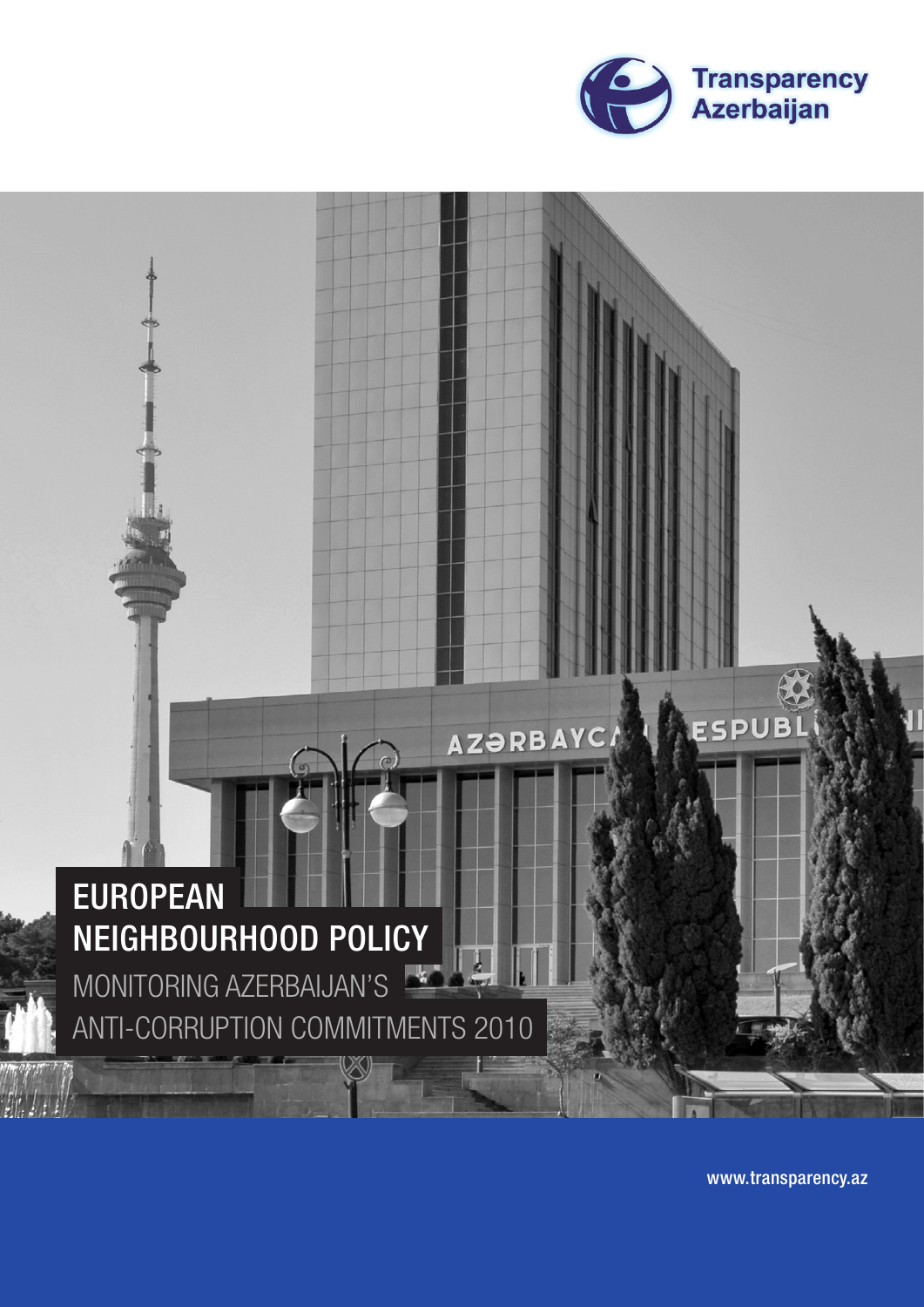



www.transparency.az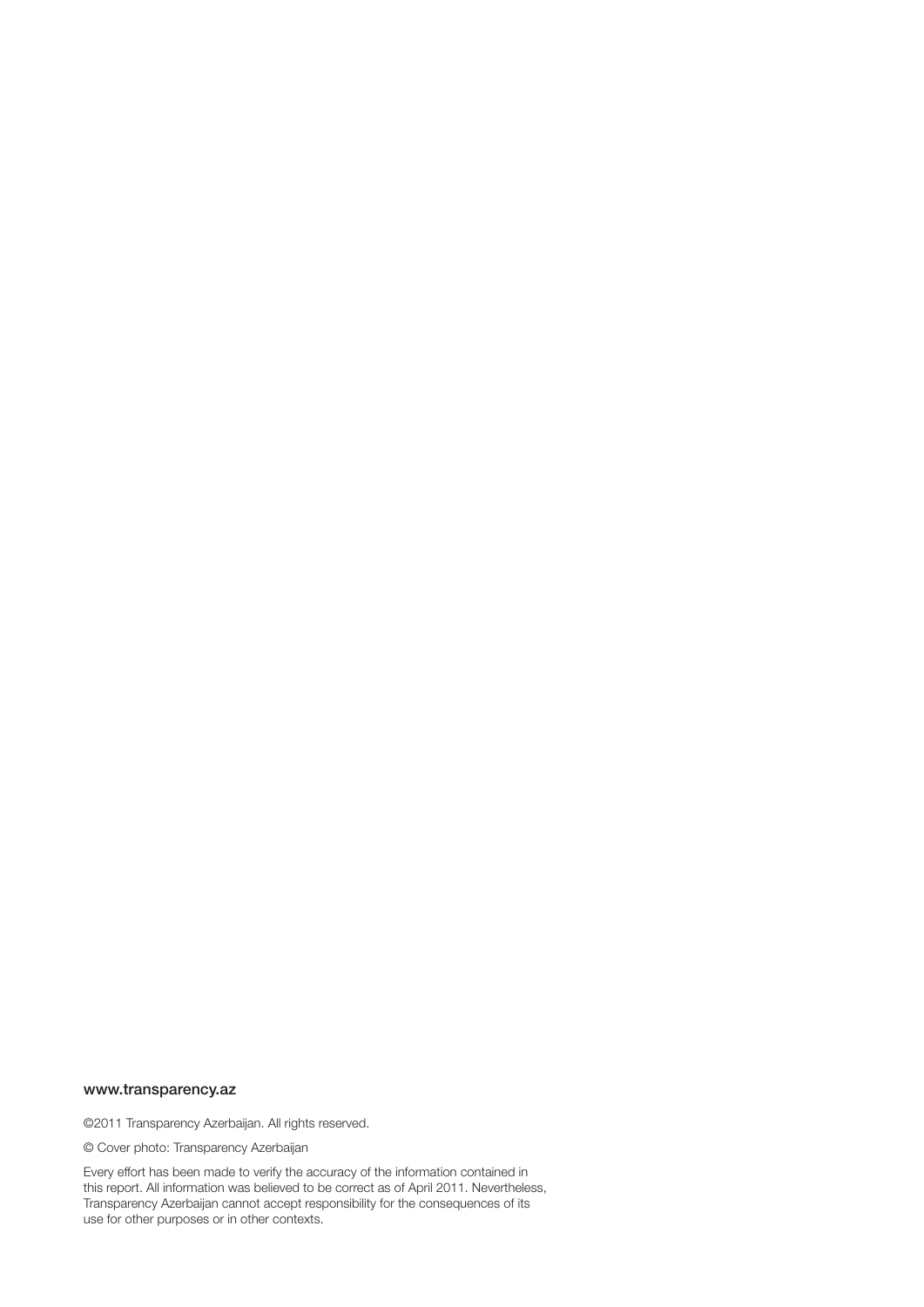#### www.transparency.az

©2011 Transparency Azerbaijan. All rights reserved.

© Cover photo: Transparency Azerbaijan

Every effort has been made to verify the accuracy of the information contained in this report. All information was believed to be correct as of April 2011. Nevertheless, Transparency Azerbaijan cannot accept responsibility for the consequences of its use for other purposes or in other contexts.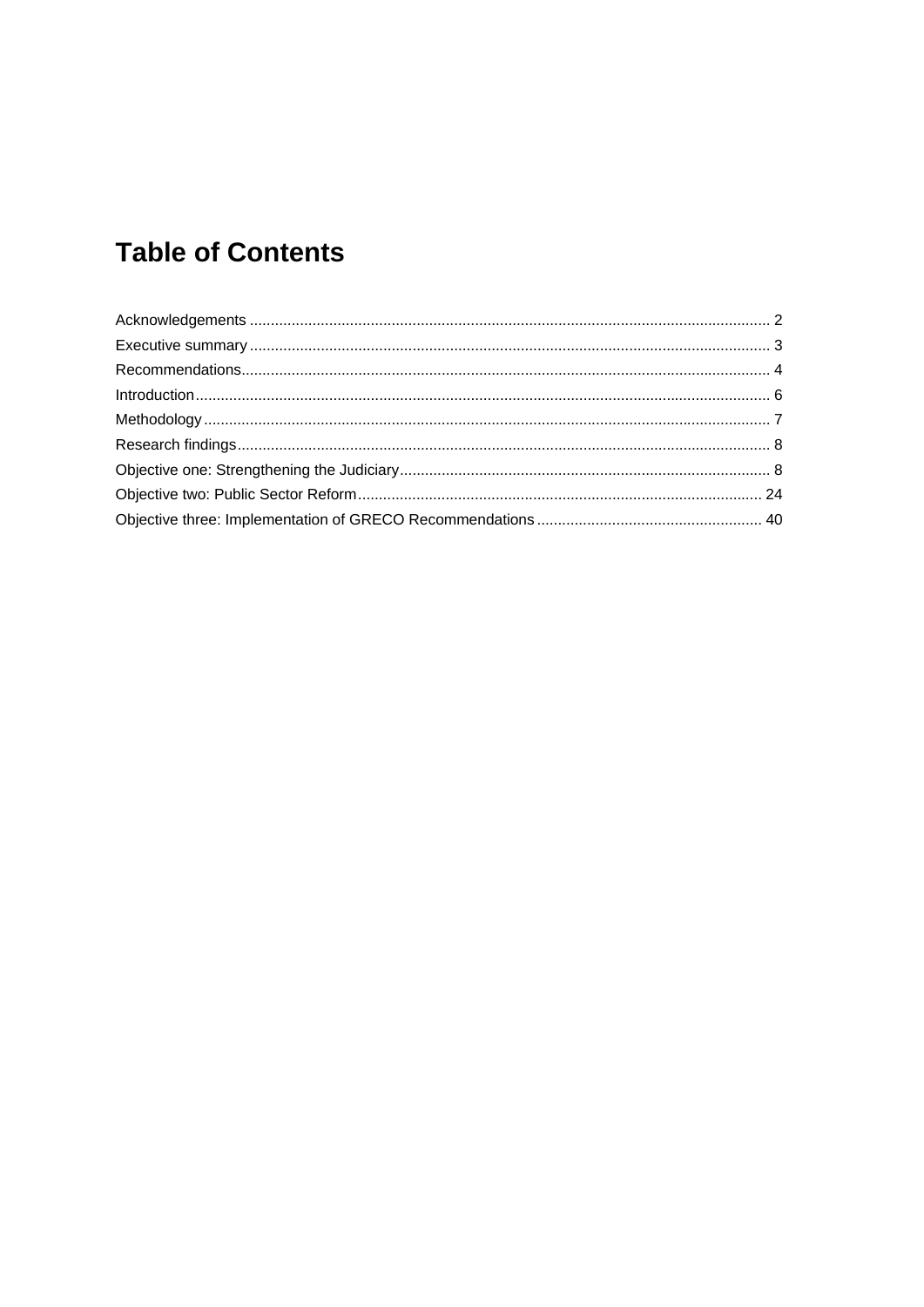# **Table of Contents**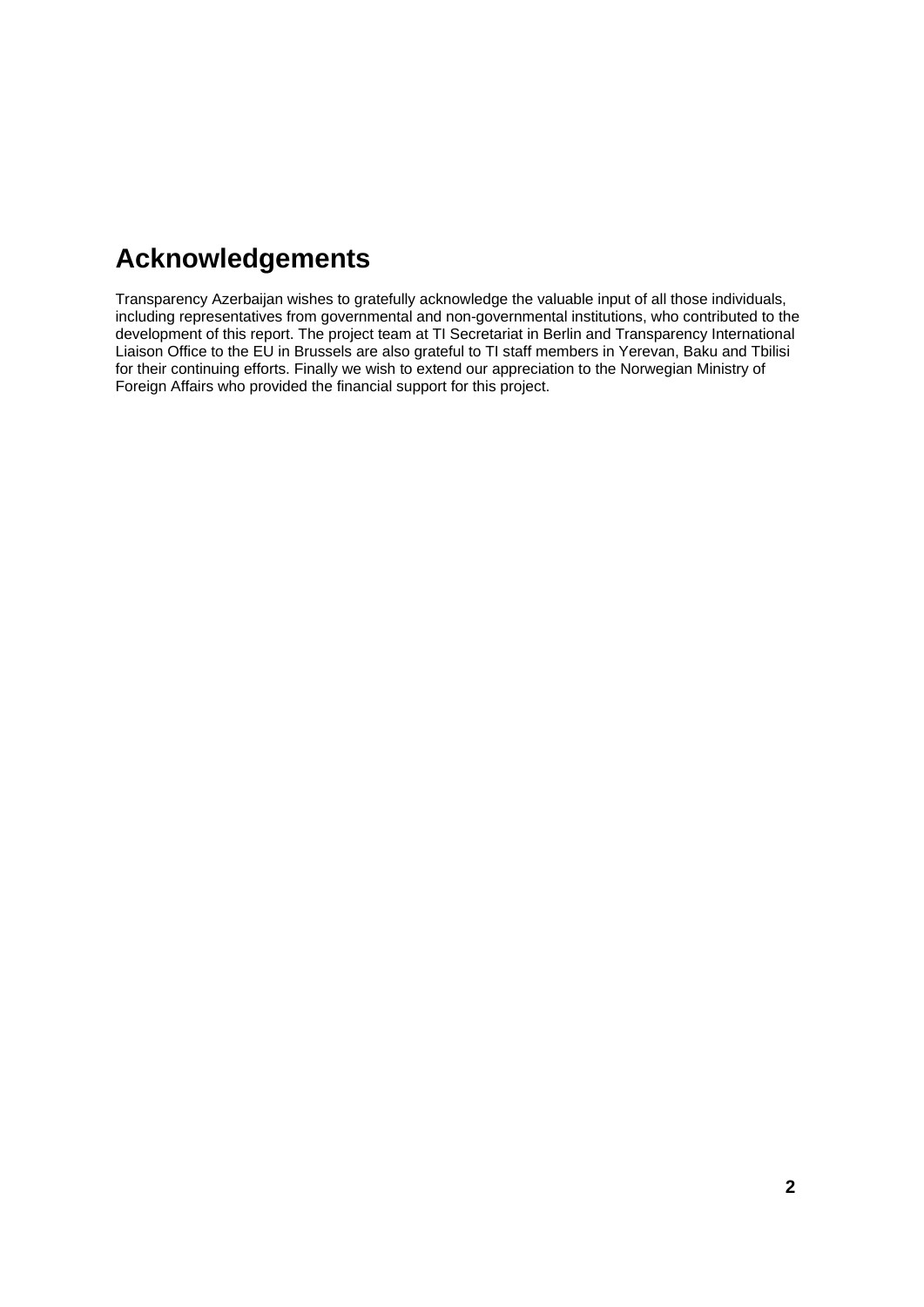# **Acknowledgements**

Transparency Azerbaijan wishes to gratefully acknowledge the valuable input of all those individuals, including representatives from governmental and non-governmental institutions, who contributed to the development of this report. The project team at TI Secretariat in Berlin and Transparency International Liaison Office to the EU in Brussels are also grateful to TI staff members in Yerevan, Baku and Tbilisi for their continuing efforts. Finally we wish to extend our appreciation to the Norwegian Ministry of Foreign Affairs who provided the financial support for this project.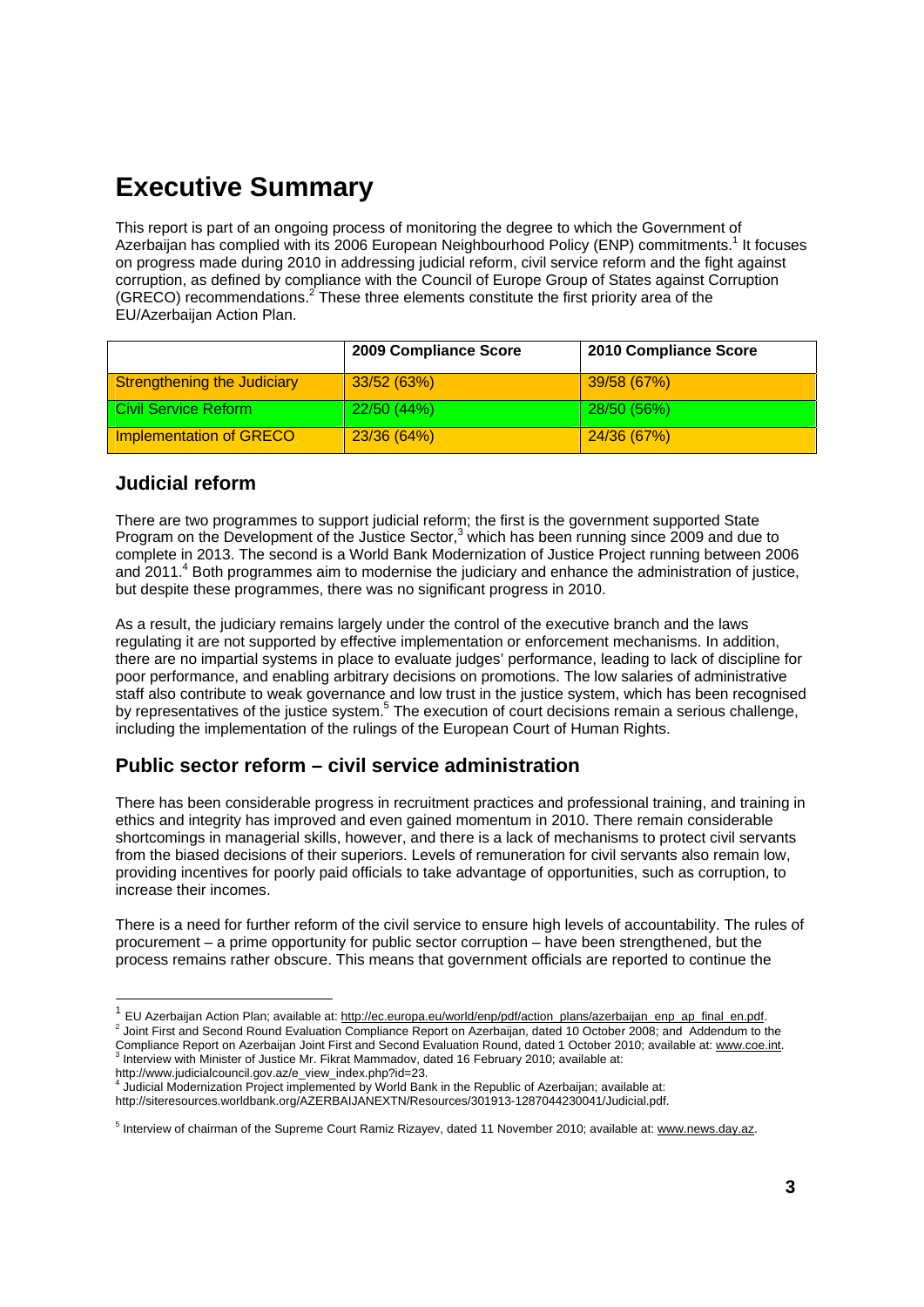# **Executive Summary**

This report is part of an ongoing process of monitoring the degree to which the Government of Azerbaijan has complied with its 2006 European Neighbourhood Policy (ENP) commitments.<sup>1</sup> It focuses on progress made during 2010 in addressing judicial reform, civil service reform and the fight against corruption, as defined by compliance with the Council of Europe Group of States against Corruption (GRECO) recommendations.<sup>2</sup> These three elements constitute the first priority area of the EU/Azerbaijan Action Plan.

|                                    | 2009 Compliance Score | 2010 Compliance Score |
|------------------------------------|-----------------------|-----------------------|
| <b>Strengthening the Judiciary</b> | 33/52(63%)            | 39/58 (67%)           |
| Civil Service Reform               | 22/50(44%)            | 28/50(56%)            |
| <b>Implementation of GRECO</b>     | 23/36 (64%)           | 24/36 (67%)           |

# **Judicial reform**

There are two programmes to support judicial reform; the first is the government supported State Program on the Development of the Justice Sector,<sup>3</sup> which has been running since 2009 and due to complete in 2013. The second is a World Bank Modernization of Justice Project running between 2006 and 2011.<sup>4</sup> Both programmes aim to modernise the judiciary and enhance the administration of justice, but despite these programmes, there was no significant progress in 2010.

As a result, the judiciary remains largely under the control of the executive branch and the laws regulating it are not supported by effective implementation or enforcement mechanisms. In addition, there are no impartial systems in place to evaluate judges' performance, leading to lack of discipline for poor performance, and enabling arbitrary decisions on promotions. The low salaries of administrative staff also contribute to weak governance and low trust in the justice system, which has been recognised by representatives of the justice system.<sup>5</sup> The execution of court decisions remain a serious challenge, including the implementation of the rulings of the European Court of Human Rights.

# **Public sector reform – civil service administration**

There has been considerable progress in recruitment practices and professional training, and training in ethics and integrity has improved and even gained momentum in 2010. There remain considerable shortcomings in managerial skills, however, and there is a lack of mechanisms to protect civil servants from the biased decisions of their superiors. Levels of remuneration for civil servants also remain low, providing incentives for poorly paid officials to take advantage of opportunities, such as corruption, to increase their incomes.

There is a need for further reform of the civil service to ensure high levels of accountability. The rules of procurement – a prime opportunity for public sector corruption – have been strengthened, but the process remains rather obscure. This means that government officials are reported to continue the

<sup>&</sup>lt;sup>1</sup> EU Azerbaijan Action Plan; available at: http://ec.europa.eu/world/enp/pdf/action\_plans/azerbaijan\_enp\_ap\_final\_en.pdf. <sup>2</sup> Joint First and Second Round Evaluation Compliance Report on Azerbaijan, dated 10 October 2008; and Addendum to the Compliance Report on Azerbaijan Joint First and Second Evaluation Round, dated 1 October 2010; available at: <u>www.coe.int</u>.<br><sup>3</sup> Interview with Minister of Justice Mr. Fikrat Mammadov, dated 16 February 2010; available at:

http://www.judicialcouncil.gov.az/e\_view\_index.php?id=23. 4 Judicial Modernization Project implemented by World Bank in the Republic of Azerbaijan; available at: http://siteresources.worldbank.org/AZERBAIJANEXTN/Resources/301913-1287044230041/Judicial.pdf.

<sup>&</sup>lt;sup>5</sup> Interview of chairman of the Supreme Court Ramiz Rizayev, dated 11 November 2010; available at: www.news.day.az.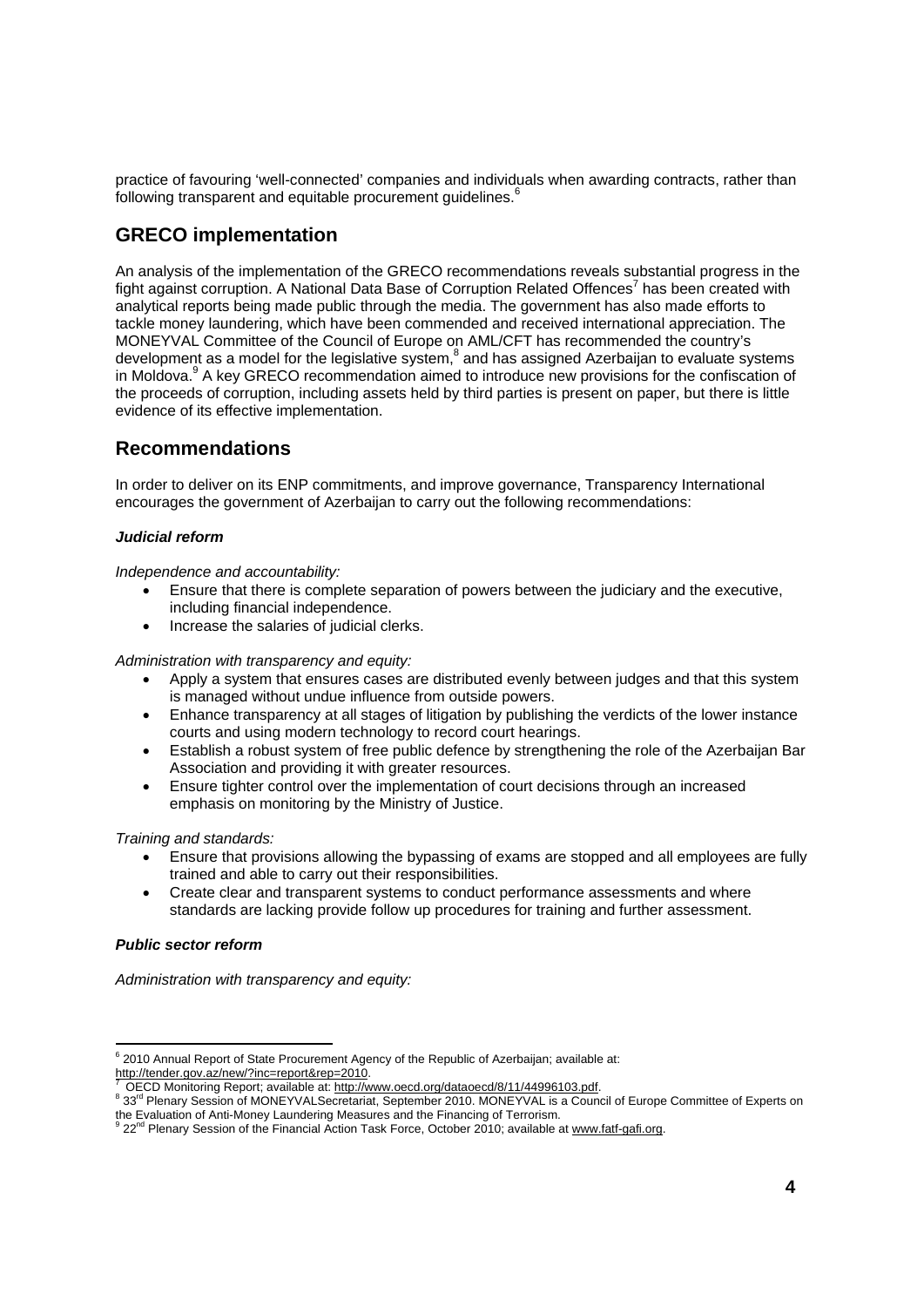practice of favouring 'well-connected' companies and individuals when awarding contracts, rather than following transparent and equitable procurement guidelines.<sup>6</sup>

# **GRECO implementation**

An analysis of the implementation of the GRECO recommendations reveals substantial progress in the fight against corruption. A National Data Base of Corruption Related Offences<sup>7</sup> has been created with analytical reports being made public through the media. The government has also made efforts to tackle money laundering, which have been commended and received international appreciation. The MONEYVAL Committee of the Council of Europe on AML/CFT has recommended the country's development as a model for the legislative system, $^8$  and has assigned Azerbaijan to evaluate systems in Moldova.<sup>9</sup> A key GRECO recommendation aimed to introduce new provisions for the confiscation of the proceeds of corruption, including assets held by third parties is present on paper, but there is little evidence of its effective implementation.

# **Recommendations**

In order to deliver on its ENP commitments, and improve governance, Transparency International encourages the government of Azerbaijan to carry out the following recommendations:

### *Judicial reform*

*Independence and accountability:* 

- Ensure that there is complete separation of powers between the judiciary and the executive, including financial independence.
- Increase the salaries of judicial clerks.

*Administration with transparency and equity:* 

- Apply a system that ensures cases are distributed evenly between judges and that this system is managed without undue influence from outside powers.
- Enhance transparency at all stages of litigation by publishing the verdicts of the lower instance courts and using modern technology to record court hearings.
- Establish a robust system of free public defence by strengthening the role of the Azerbaijan Bar Association and providing it with greater resources.
- Ensure tighter control over the implementation of court decisions through an increased emphasis on monitoring by the Ministry of Justice.

### *Training and standards:*

- Ensure that provisions allowing the bypassing of exams are stopped and all employees are fully trained and able to carry out their responsibilities.
- Create clear and transparent systems to conduct performance assessments and where standards are lacking provide follow up procedures for training and further assessment.

### *Public sector reform*

l

*Administration with transparency and equity:*

<sup>6</sup> 2010 Annual Report of State Procurement Agency of the Republic of Azerbaijan; available at: http://tender.gov.az/new/?inc=report&rep=2010.<br>7 OECD Monitoring Report; available at: http://www.oecd.org/dataoecd/8/11/44996103.pdf.

<sup>&</sup>lt;sup>8</sup> 33<sup>rd</sup> Plenary Session of MONEYVALSecretariat, September 2010. MONEYVAL is a Council of Europe Committee of Experts on the Evaluation of Anti-Money Laundering Measures and the Financing of Terrorism.

<sup>9 22&</sup>lt;sup>nd</sup> Plenary Session of the Financial Action Task Force, October 2010; available at www.fatf-gafi.org.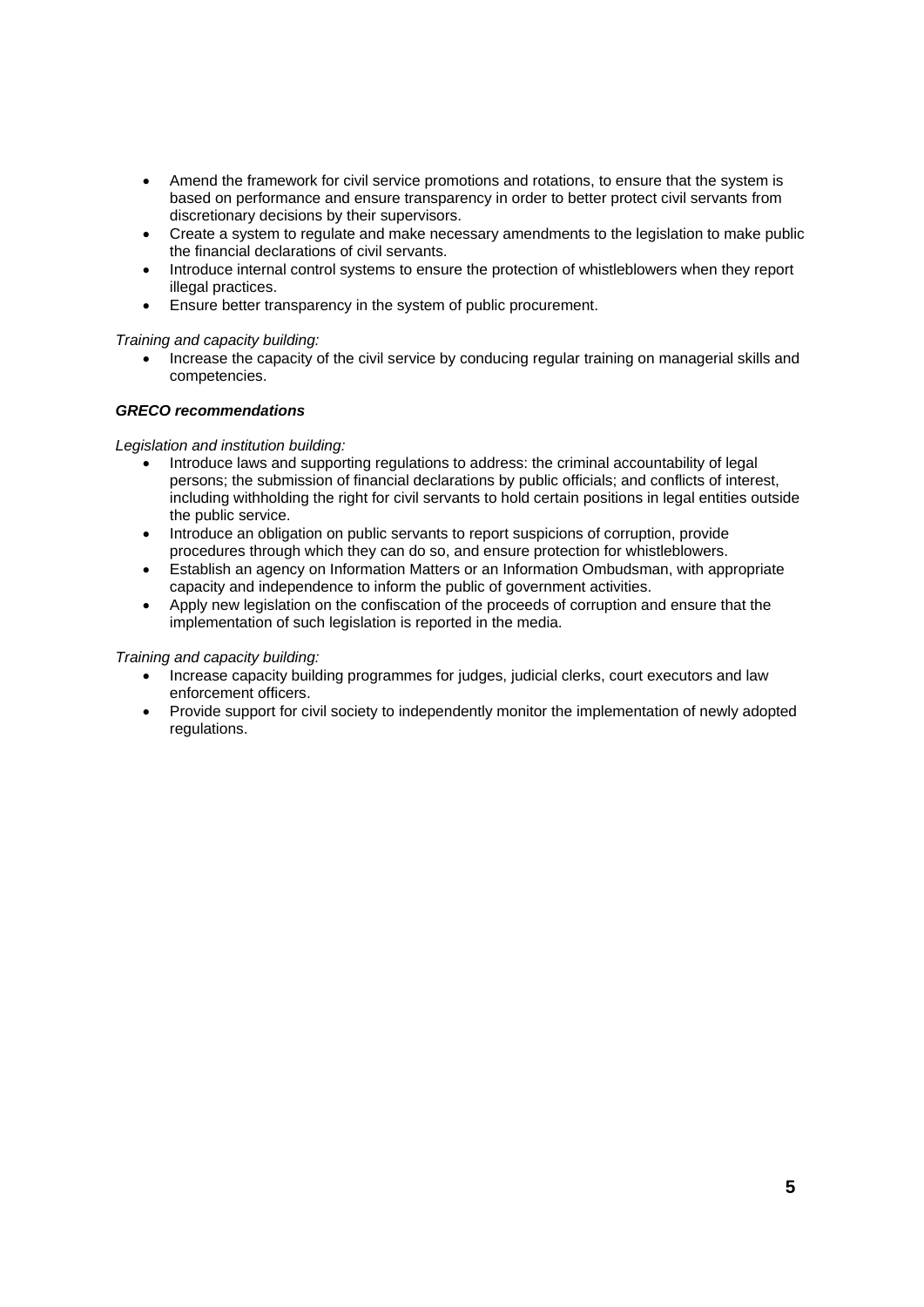- Amend the framework for civil service promotions and rotations, to ensure that the system is based on performance and ensure transparency in order to better protect civil servants from discretionary decisions by their supervisors.
- Create a system to regulate and make necessary amendments to the legislation to make public the financial declarations of civil servants.
- Introduce internal control systems to ensure the protection of whistleblowers when they report illegal practices.
- Ensure better transparency in the system of public procurement.

### *Training and capacity building:*

• Increase the capacity of the civil service by conducing regular training on managerial skills and competencies.

#### *GRECO recommendations*

#### *Legislation and institution building:*

- Introduce laws and supporting regulations to address: the criminal accountability of legal persons; the submission of financial declarations by public officials; and conflicts of interest, including withholding the right for civil servants to hold certain positions in legal entities outside the public service.
- Introduce an obligation on public servants to report suspicions of corruption, provide procedures through which they can do so, and ensure protection for whistleblowers.
- Establish an agency on Information Matters or an Information Ombudsman, with appropriate capacity and independence to inform the public of government activities.
- Apply new legislation on the confiscation of the proceeds of corruption and ensure that the implementation of such legislation is reported in the media.

#### *Training and capacity building:*

- Increase capacity building programmes for judges, judicial clerks, court executors and law enforcement officers.
- Provide support for civil society to independently monitor the implementation of newly adopted regulations.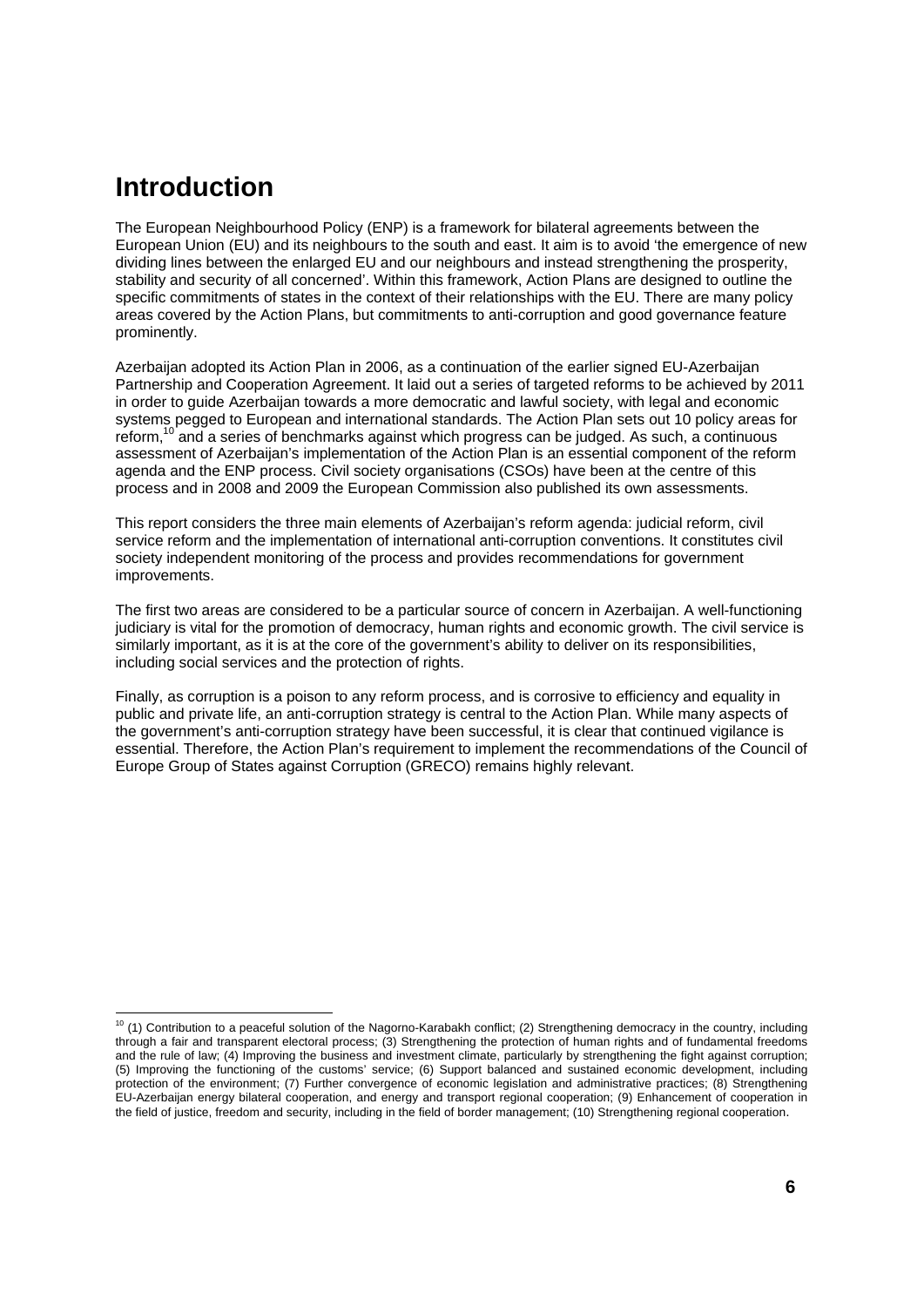# **Introduction**

The European Neighbourhood Policy (ENP) is a framework for bilateral agreements between the European Union (EU) and its neighbours to the south and east. It aim is to avoid 'the emergence of new dividing lines between the enlarged EU and our neighbours and instead strengthening the prosperity, stability and security of all concerned'. Within this framework, Action Plans are designed to outline the specific commitments of states in the context of their relationships with the EU. There are many policy areas covered by the Action Plans, but commitments to anti-corruption and good governance feature prominently.

Azerbaijan adopted its Action Plan in 2006, as a continuation of the earlier signed EU-Azerbaijan Partnership and Cooperation Agreement. It laid out a series of targeted reforms to be achieved by 2011 in order to guide Azerbaijan towards a more democratic and lawful society, with legal and economic systems pegged to European and international standards. The Action Plan sets out 10 policy areas for reform,<sup>10</sup> and a series of benchmarks against which progress can be judged. As such, a continuous assessment of Azerbaijan's implementation of the Action Plan is an essential component of the reform agenda and the ENP process. Civil society organisations (CSOs) have been at the centre of this process and in 2008 and 2009 the European Commission also published its own assessments.

This report considers the three main elements of Azerbaijan's reform agenda: judicial reform, civil service reform and the implementation of international anti-corruption conventions. It constitutes civil society independent monitoring of the process and provides recommendations for government improvements.

The first two areas are considered to be a particular source of concern in Azerbaijan. A well-functioning judiciary is vital for the promotion of democracy, human rights and economic growth. The civil service is similarly important, as it is at the core of the government's ability to deliver on its responsibilities, including social services and the protection of rights.

Finally, as corruption is a poison to any reform process, and is corrosive to efficiency and equality in public and private life, an anti-corruption strategy is central to the Action Plan. While many aspects of the government's anti-corruption strategy have been successful, it is clear that continued vigilance is essential. Therefore, the Action Plan's requirement to implement the recommendations of the Council of Europe Group of States against Corruption (GRECO) remains highly relevant.

 $10$  (1) Contribution to a peaceful solution of the Nagorno-Karabakh conflict; (2) Strengthening democracy in the country, including through a fair and transparent electoral process; (3) Strengthening the protection of human rights and of fundamental freedoms and the rule of law; (4) Improving the business and investment climate, particularly by strengthening the fight against corruption; (5) Improving the functioning of the customs' service; (6) Support balanced and sustained economic development, including protection of the environment; (7) Further convergence of economic legislation and administrative practices; (8) Strengthening EU-Azerbaijan energy bilateral cooperation, and energy and transport regional cooperation; (9) Enhancement of cooperation in the field of justice, freedom and security, including in the field of border management; (10) Strengthening regional cooperation.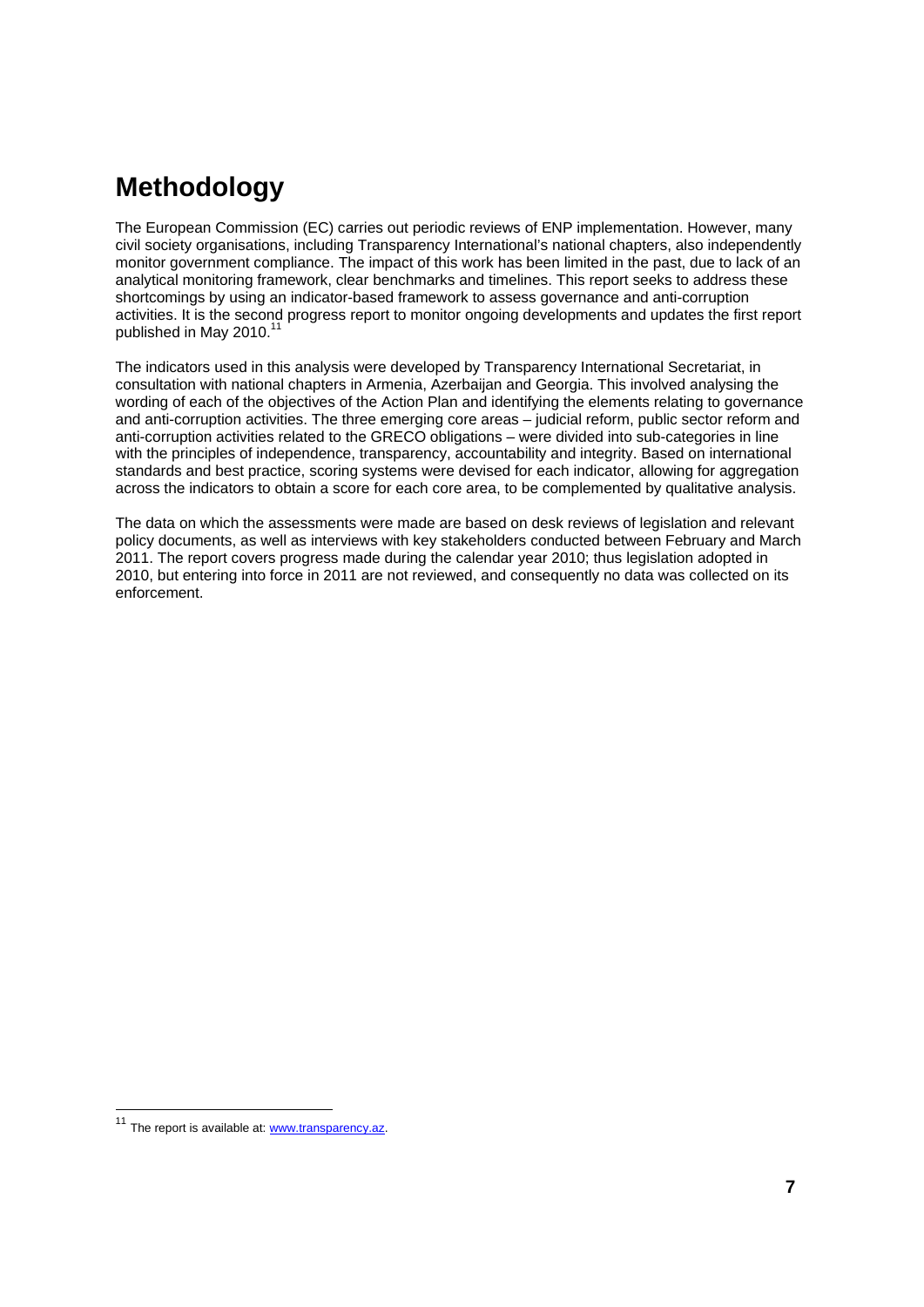# **Methodology**

The European Commission (EC) carries out periodic reviews of ENP implementation. However, many civil society organisations, including Transparency International's national chapters, also independently monitor government compliance. The impact of this work has been limited in the past, due to lack of an analytical monitoring framework, clear benchmarks and timelines. This report seeks to address these shortcomings by using an indicator-based framework to assess governance and anti-corruption activities. It is the second progress report to monitor ongoing developments and updates the first report published in May 2010.<sup>11</sup>

The indicators used in this analysis were developed by Transparency International Secretariat, in consultation with national chapters in Armenia, Azerbaijan and Georgia. This involved analysing the wording of each of the objectives of the Action Plan and identifying the elements relating to governance and anti-corruption activities. The three emerging core areas – judicial reform, public sector reform and anti-corruption activities related to the GRECO obligations – were divided into sub-categories in line with the principles of independence, transparency, accountability and integrity. Based on international standards and best practice, scoring systems were devised for each indicator, allowing for aggregation across the indicators to obtain a score for each core area, to be complemented by qualitative analysis.

The data on which the assessments were made are based on desk reviews of legislation and relevant policy documents, as well as interviews with key stakeholders conducted between February and March 2011. The report covers progress made during the calendar year 2010; thus legislation adopted in 2010, but entering into force in 2011 are not reviewed, and consequently no data was collected on its enforcement.

<sup>&</sup>lt;sup>11</sup> The report is available at: **www.transparency.az**.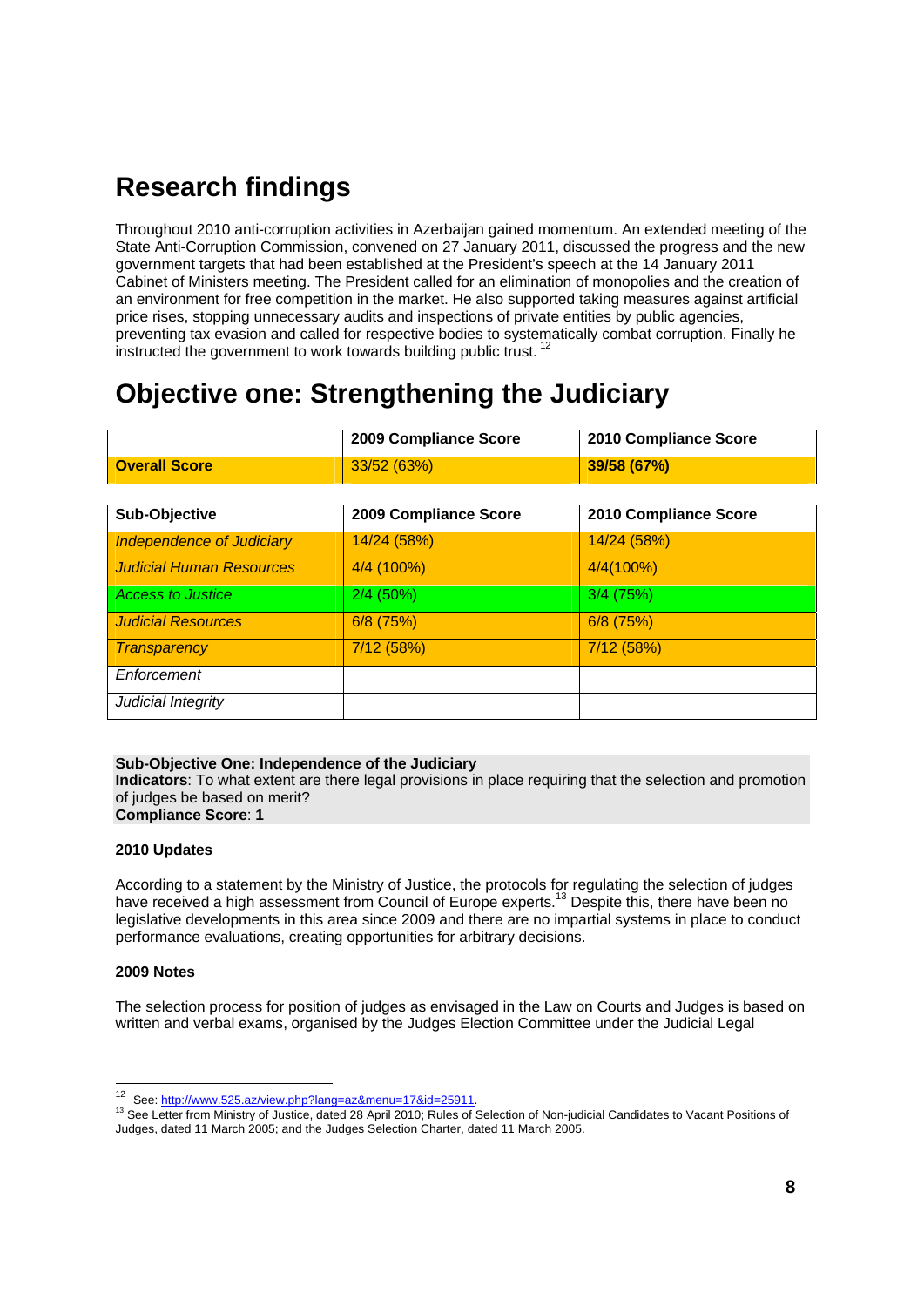# **Research findings**

Throughout 2010 anti-corruption activities in Azerbaijan gained momentum. An extended meeting of the State Anti-Corruption Commission, convened on 27 January 2011, discussed the progress and the new government targets that had been established at the President's speech at the 14 January 2011 Cabinet of Ministers meeting. The President called for an elimination of monopolies and the creation of an environment for free competition in the market. He also supported taking measures against artificial price rises, stopping unnecessary audits and inspections of private entities by public agencies, preventing tax evasion and called for respective bodies to systematically combat corruption. Finally he instructed the government to work towards building public trust.<sup>12</sup>

# **Objective one: Strengthening the Judiciary**

|                      | 2009 Compliance Score | 2010 Compliance Score |
|----------------------|-----------------------|-----------------------|
| <b>Overall Score</b> | 33/52(63%)            | 39/58 (67%)           |

| Sub-Objective                    | 2009 Compliance Score | 2010 Compliance Score |
|----------------------------------|-----------------------|-----------------------|
| <b>Independence of Judiciary</b> | 14/24 (58%)           | 14/24 (58%)           |
| <b>Judicial Human Resources</b>  | 4/4 (100%)            | 4/4(100%)             |
| <b>Access to Justice</b>         | $2/4$ (50%)           | $3/4$ (75%)           |
| <b>Judicial Resources</b>        | $6/8$ (75%)           | $6/8$ (75%)           |
| Transparency                     | 7/12 (58%)            | 7/12 (58%)            |
| Enforcement                      |                       |                       |
| Judicial Integrity               |                       |                       |

#### **Sub-Objective One: Independence of the Judiciary**

**Indicators**: To what extent are there legal provisions in place requiring that the selection and promotion of judges be based on merit? **Compliance Score**: **1**

#### **2010 Updates**

According to a statement by the Ministry of Justice, the protocols for regulating the selection of judges have received a high assessment from Council of Europe experts.<sup>13</sup> Despite this, there have been no legislative developments in this area since 2009 and there are no impartial systems in place to conduct performance evaluations, creating opportunities for arbitrary decisions.

#### **2009 Notes**

The selection process for position of judges as envisaged in the Law on Courts and Judges is based on written and verbal exams, organised by the Judges Election Committee under the Judicial Legal

<sup>&</sup>lt;sup>12</sup> See: http://www.525.az/view.php?lang=az&menu=17&id=25911.

<sup>13</sup> See Letter from Ministry of Justice, dated 28 April 2010; Rules of Selection of Non-judicial Candidates to Vacant Positions of Judges, dated 11 March 2005; and the Judges Selection Charter, dated 11 March 2005.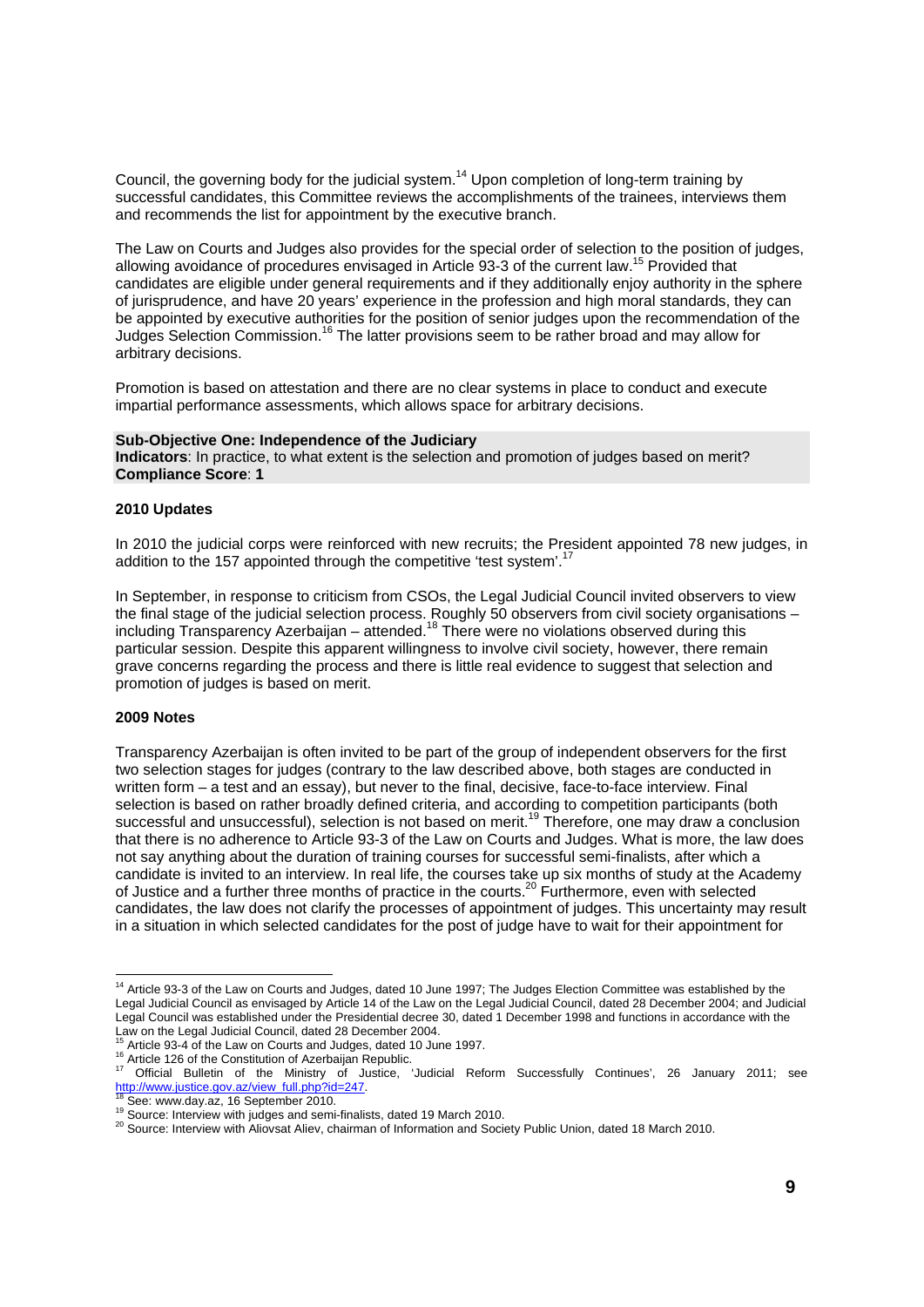Council, the governing body for the judicial system.<sup>14</sup> Upon completion of long-term training by successful candidates, this Committee reviews the accomplishments of the trainees, interviews them and recommends the list for appointment by the executive branch.

The Law on Courts and Judges also provides for the special order of selection to the position of judges, allowing avoidance of procedures envisaged in Article 93-3 of the current law.15 Provided that candidates are eligible under general requirements and if they additionally enjoy authority in the sphere of jurisprudence, and have 20 years' experience in the profession and high moral standards, they can be appointed by executive authorities for the position of senior judges upon the recommendation of the Judges Selection Commission.16 The latter provisions seem to be rather broad and may allow for arbitrary decisions.

Promotion is based on attestation and there are no clear systems in place to conduct and execute impartial performance assessments, which allows space for arbitrary decisions.

#### **Sub-Objective One: Independence of the Judiciary**

**Indicators**: In practice, to what extent is the selection and promotion of judges based on merit? **Compliance Score**: **1**

#### **2010 Updates**

In 2010 the judicial corps were reinforced with new recruits; the President appointed 78 new judges, in addition to the 157 appointed through the competitive 'test system'.<sup>17</sup>

In September, in response to criticism from CSOs, the Legal Judicial Council invited observers to view the final stage of the judicial selection process. Roughly 50 observers from civil society organisations – including Transparency Azerbaijan – attended.<sup>18</sup> There were no violations observed during this particular session. Despite this apparent willingness to involve civil society, however, there remain grave concerns regarding the process and there is little real evidence to suggest that selection and promotion of judges is based on merit.

#### **2009 Notes**

l

Transparency Azerbaijan is often invited to be part of the group of independent observers for the first two selection stages for judges (contrary to the law described above, both stages are conducted in written form – a test and an essay), but never to the final, decisive, face-to-face interview. Final selection is based on rather broadly defined criteria, and according to competition participants (both successful and unsuccessful), selection is not based on merit.<sup>19</sup> Therefore, one may draw a conclusion that there is no adherence to Article 93-3 of the Law on Courts and Judges. What is more, the law does not say anything about the duration of training courses for successful semi-finalists, after which a candidate is invited to an interview. In real life, the courses take up six months of study at the Academy of Justice and a further three months of practice in the courts.<sup>20</sup> Furthermore, even with selected candidates, the law does not clarify the processes of appointment of judges. This uncertainty may result in a situation in which selected candidates for the post of judge have to wait for their appointment for

 $14$  Article 93-3 of the Law on Courts and Judges, dated 10 June 1997; The Judges Election Committee was established by the Legal Judicial Council as envisaged by Article 14 of the Law on the Legal Judicial Council, dated 28 December 2004; and Judicial Legal Council was established under the Presidential decree 30, dated 1 December 1998 and functions in accordance with the Law on the Legal Judicial Council, dated 28 December 2004.

Article 126 of the Constitution of Azerbaiges, dated to suite 1997.<br>
<sup>16</sup> Article 126 of the Constitution of Azerbaigan Republic.<br>
<sup>17</sup> Official Bulletin of the Ministry of Justice, 'Judicial Reform Successfully Continues'

<sup>&</sup>lt;sup>19</sup> Source: Interview with judges and semi-finalists, dated 19 March 2010.<br><sup>20</sup> Source: Interview with Aliovsat Aliev, chairman of Information and Society Public Union, dated 18 March 2010.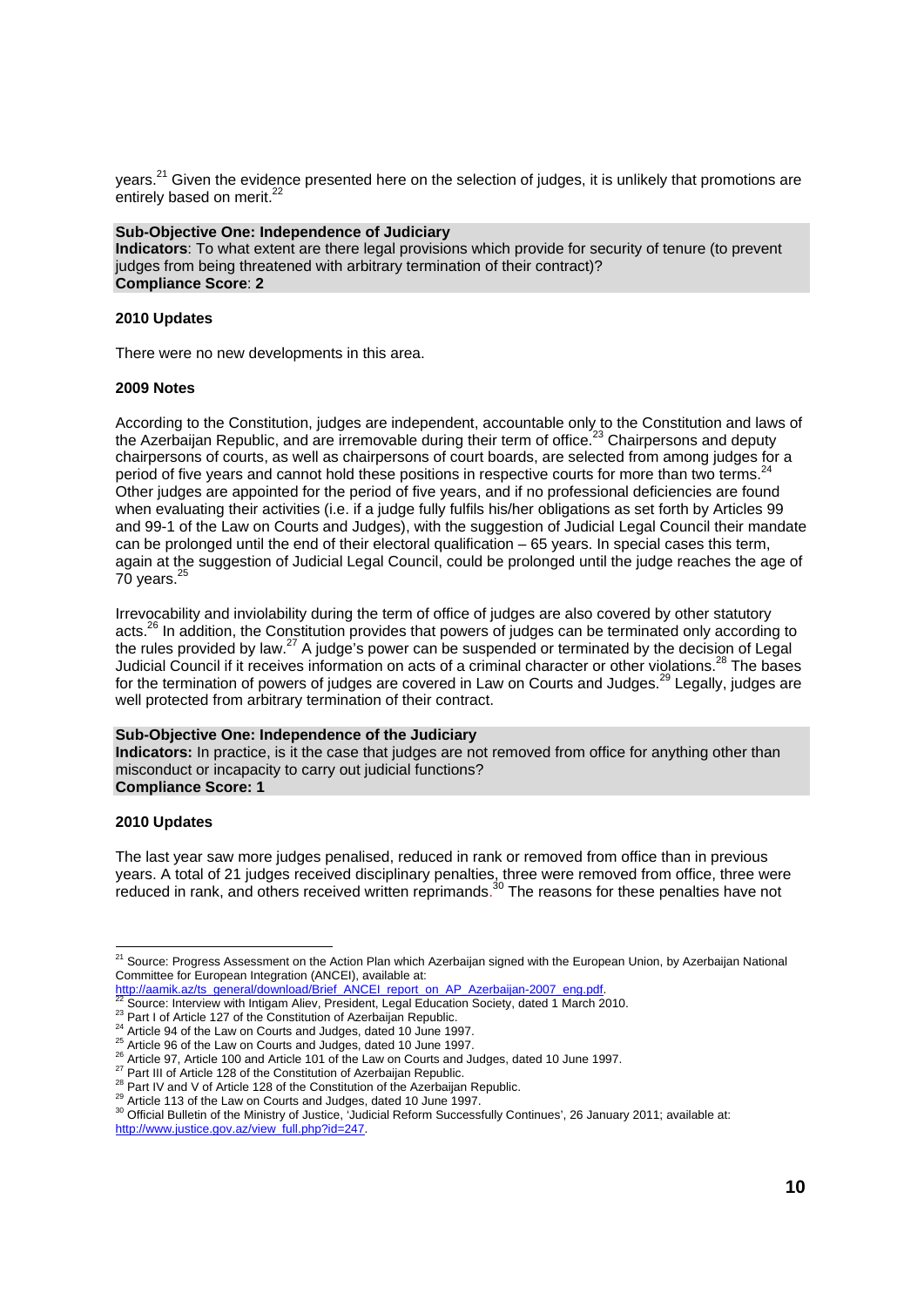years.<sup>21</sup> Given the evidence presented here on the selection of judges, it is unlikely that promotions are entirely based on merit.<sup>22</sup>

#### **Sub-Objective One: Independence of Judiciary**

**Indicators**: To what extent are there legal provisions which provide for security of tenure (to prevent judges from being threatened with arbitrary termination of their contract)? **Compliance Score**: **2** 

#### **2010 Updates**

There were no new developments in this area.

#### **2009 Notes**

According to the Constitution, judges are independent, accountable only to the Constitution and laws of the Azerbaijan Republic, and are irremovable during their term of office.<sup>23</sup> Chairpersons and deputy chairpersons of courts, as well as chairpersons of court boards, are selected from among judges for a period of five years and cannot hold these positions in respective courts for more than two terms.<sup>24</sup> Other judges are appointed for the period of five years, and if no professional deficiencies are found when evaluating their activities (i.e. if a judge fully fulfils his/her obligations as set forth by Articles 99 and 99-1 of the Law on Courts and Judges), with the suggestion of Judicial Legal Council their mandate can be prolonged until the end of their electoral qualification – 65 years. In special cases this term, again at the suggestion of Judicial Legal Council, could be prolonged until the judge reaches the age of 70 years. $25$ 

Irrevocability and inviolability during the term of office of judges are also covered by other statutory acts.<sup>26</sup> In addition, the Constitution provides that powers of judges can be terminated only according to the rules provided by law.<sup>27</sup> A judge's power can be suspended or terminated by the decision of Legal Judicial Council if it receives information on acts of a criminal character or other violations.<sup>28</sup> The bases for the termination of powers of judges are covered in Law on Courts and Judges.<sup>29</sup> Legally, judges are well protected from arbitrary termination of their contract.

#### **Sub-Objective One: Independence of the Judiciary**

**Indicators:** In practice, is it the case that judges are not removed from office for anything other than misconduct or incapacity to carry out judicial functions? **Compliance Score: 1**

#### **2010 Updates**

l

The last year saw more judges penalised, reduced in rank or removed from office than in previous years. A total of 21 judges received disciplinary penalties, three were removed from office, three were reduced in rank, and others received written reprimands.<sup>30</sup> The reasons for these penalties have not

<sup>&</sup>lt;sup>21</sup> Source: Progress Assessment on the Action Plan which Azerbaijan signed with the European Union, by Azerbaijan National Committee for European Integration (ANCEI), available at:<br>http://aamik.az/ts\_general/download/Brief\_ANCEI\_report\_on\_AP\_Azerbaijan-2007\_eng.pdf.

<sup>&</sup>lt;sup>22</sup> Source: Interview with Intigam Aliev, President, Legal Education Society, dated 1 March 2010.<br><sup>23</sup> Part I of Article 127 of the Constitution of Azerbaijan Republic.<br><sup>25</sup> Article 94 of the Law on Courts and Judges, da http://www.justice.gov.az/view\_full.php?id=247.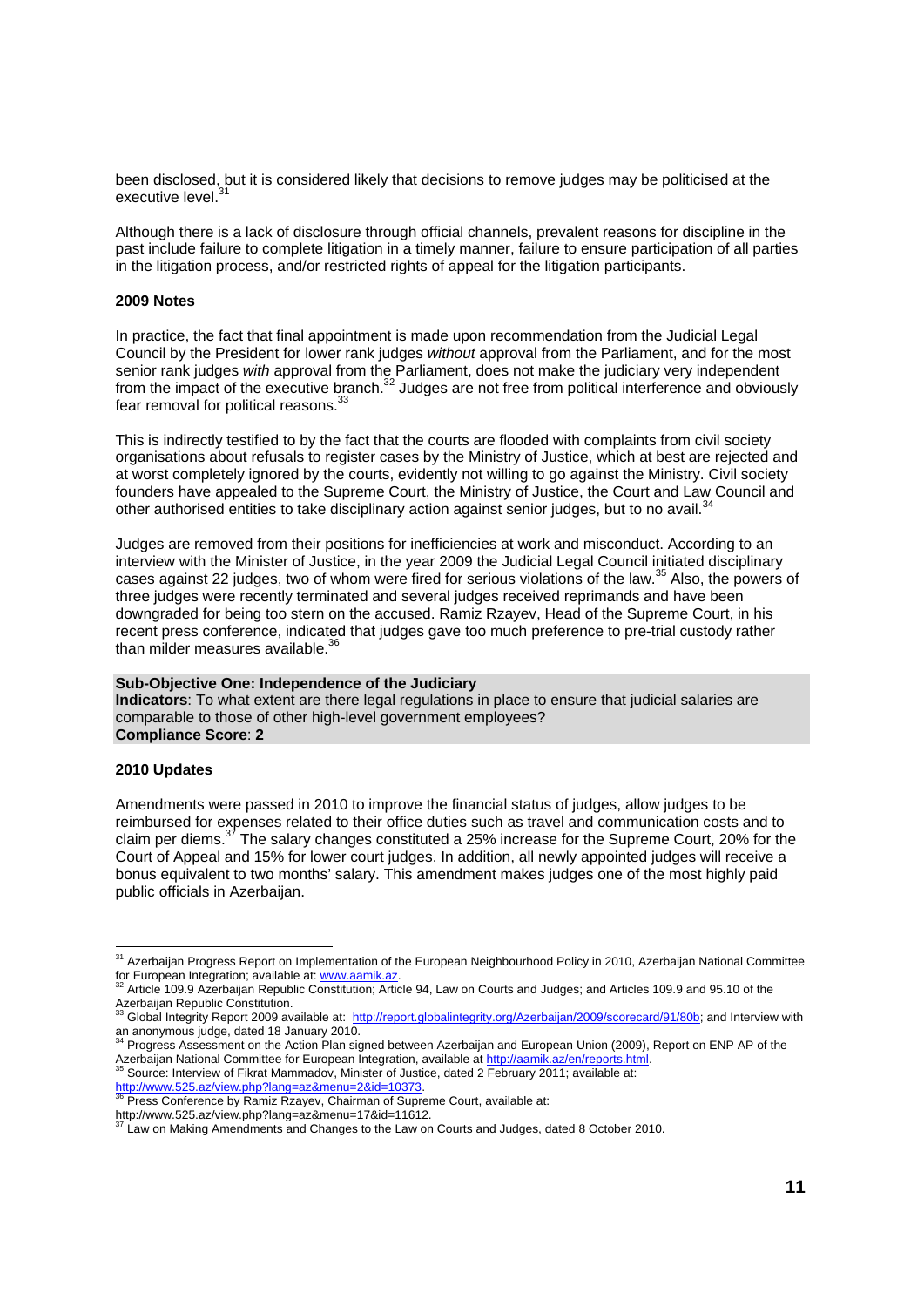been disclosed, but it is considered likely that decisions to remove judges may be politicised at the executive level.

Although there is a lack of disclosure through official channels, prevalent reasons for discipline in the past include failure to complete litigation in a timely manner, failure to ensure participation of all parties in the litigation process, and/or restricted rights of appeal for the litigation participants.

#### **2009 Notes**

In practice, the fact that final appointment is made upon recommendation from the Judicial Legal Council by the President for lower rank judges *without* approval from the Parliament, and for the most senior rank judges *with* approval from the Parliament, does not make the judiciary very independent from the impact of the executive branch.<sup>32</sup> Judges are not free from political interference and obviously fear removal for political reasons.<sup>3</sup>

This is indirectly testified to by the fact that the courts are flooded with complaints from civil society organisations about refusals to register cases by the Ministry of Justice, which at best are rejected and at worst completely ignored by the courts, evidently not willing to go against the Ministry. Civil society founders have appealed to the Supreme Court, the Ministry of Justice, the Court and Law Council and other authorised entities to take disciplinary action against senior judges, but to no avail.<sup>34</sup>

Judges are removed from their positions for inefficiencies at work and misconduct. According to an interview with the Minister of Justice, in the year 2009 the Judicial Legal Council initiated disciplinary cases against 22 judges, two of whom were fired for serious violations of the law.35 Also, the powers of three judges were recently terminated and several judges received reprimands and have been downgraded for being too stern on the accused. Ramiz Rzayev, Head of the Supreme Court, in his recent press conference, indicated that judges gave too much preference to pre-trial custody rather than milder measures available.<sup>3</sup>

#### **Sub-Objective One: Independence of the Judiciary**

**Indicators**: To what extent are there legal regulations in place to ensure that judicial salaries are comparable to those of other high-level government employees? **Compliance Score**: **2** 

#### **2010 Updates**

l

Amendments were passed in 2010 to improve the financial status of judges, allow judges to be reimbursed for expenses related to their office duties such as travel and communication costs and to claim per diems.<sup>37</sup> The salary changes constituted a 25% increase for the Supreme Court, 20% for the Court of Appeal and 15% for lower court judges. In addition, all newly appointed judges will receive a bonus equivalent to two months' salary. This amendment makes judges one of the most highly paid public officials in Azerbaijan.

<sup>&</sup>lt;sup>31</sup> Azerbaijan Progress Report on Implementation of the European Neighbourhood Policy in 2010, Azerbaijan National Committee for European Integration; available at: www.aamik.az.<br><sup>32</sup> Article 109.9 Azerbaijan Republic Constitution; Article 94, Law on Courts and Judges; and Articles 109.9 and 95.10 of the

Azerbaijan Republic Constitution.<br><sup>33</sup> Global Integrity Report 2009 available at: <u>http://report.globalintegrity.org/Azerbaijan/2009/scorecard/91/80b</u>; and Interview with an anonymous judge, dated 18 January 2010.<br>
<sup>34</sup> Progress Assessment on the Action Plan signed between Azerbaijan and European Union (2009), Report on ENP AP of the

Azerbaijan National Committee for European Integration, available at http://aamik.az/en/reports.html.<br><sup>35</sup> Source: Interview of Fikrat Mammadov, Minister of Justice, dated 2 February 2011; available at:

http://www.525.az/view.php?lang=az&menu=2&id=10373.<br><sup>36</sup> Press Conference by Ramiz Rzayev, Chairman of Supreme Court, available at:

http://www.525.az/view.php?lang=az&menu=17&id=11612.<br><sup>37</sup> Law on Making Amendments and Changes to the Law on Courts and Judges, dated 8 October 2010.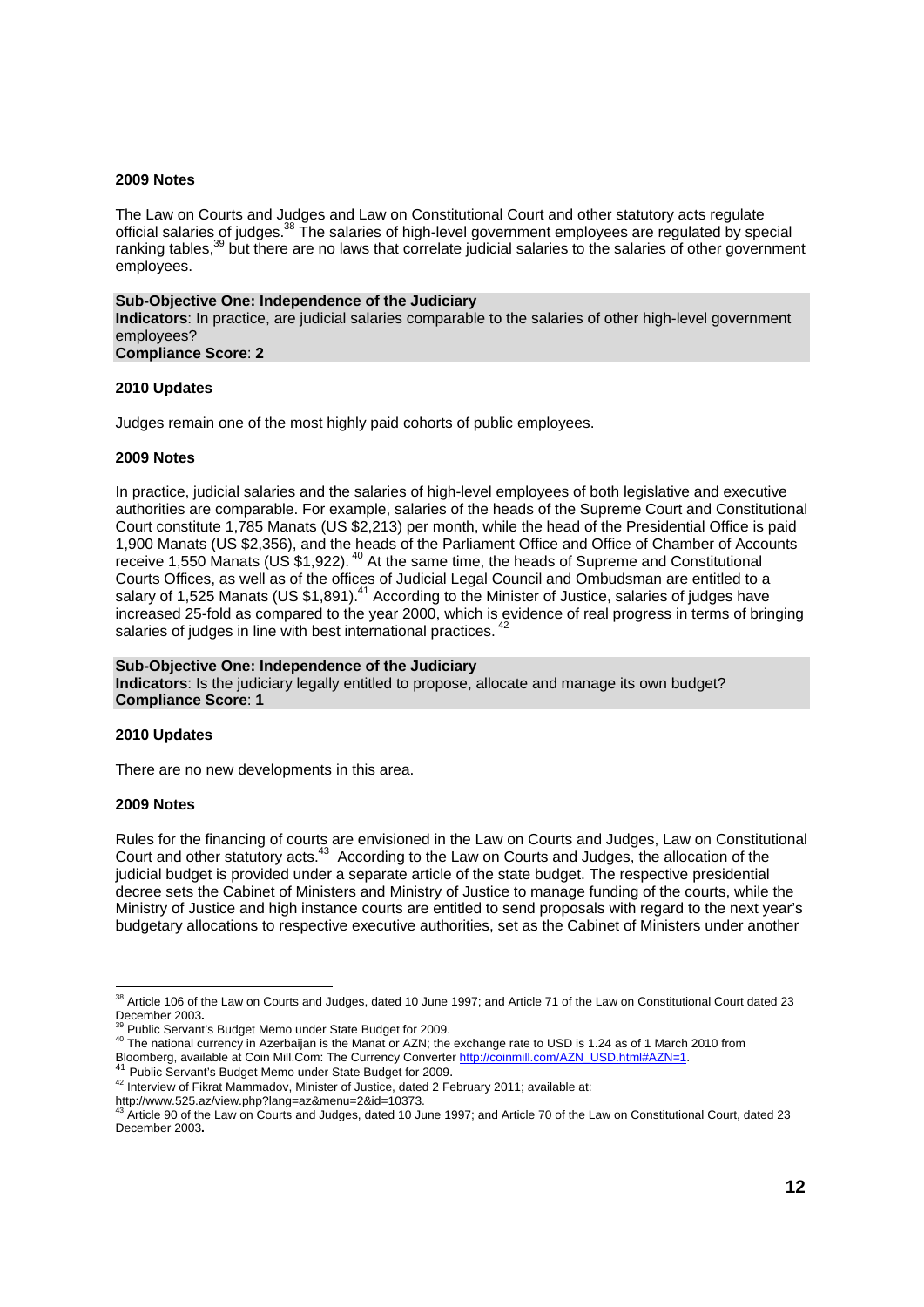#### **2009 Notes**

The Law on Courts and Judges and Law on Constitutional Court and other statutory acts regulate official salaries of judges.<sup>38</sup> The salaries of high-level government employees are regulated by special ranking tables,<sup>39</sup> but there are no laws that correlate judicial salaries to the salaries of other government employees.

#### **Sub-Objective One: Independence of the Judiciary Indicators**: In practice, are judicial salaries comparable to the salaries of other high-level government employees? **Compliance Score**: **2**

#### **2010 Updates**

Judges remain one of the most highly paid cohorts of public employees.

#### **2009 Notes**

In practice, judicial salaries and the salaries of high-level employees of both legislative and executive authorities are comparable. For example, salaries of the heads of the Supreme Court and Constitutional Court constitute 1,785 Manats (US \$2,213) per month, while the head of the Presidential Office is paid 1,900 Manats (US \$2,356), and the heads of the Parliament Office and Office of Chamber of Accounts receive 1,550 Manats (US  $$1,922$ ). <sup>40</sup> At the same time, the heads of Supreme and Constitutional Courts Offices, as well as of the offices of Judicial Legal Council and Ombudsman are entitled to a salary of 1,525 Manats (US \$1,891).<sup>41</sup> According to the Minister of Justice, salaries of judges have increased 25-fold as compared to the year 2000, which is evidence of real progress in terms of bringing salaries of judges in line with best international practices.

#### **Sub-Objective One: Independence of the Judiciary Indicators**: Is the judiciary legally entitled to propose, allocate and manage its own budget? **Compliance Score**: **1**

#### **2010 Updates**

There are no new developments in this area.

#### **2009 Notes**

Rules for the financing of courts are envisioned in the Law on Courts and Judges, Law on Constitutional Court and other statutory acts.<sup>43</sup> According to the Law on Courts and Judges, the allocation of the judicial budget is provided under a separate article of the state budget. The respective presidential decree sets the Cabinet of Ministers and Ministry of Justice to manage funding of the courts, while the Ministry of Justice and high instance courts are entitled to send proposals with regard to the next year's budgetary allocations to respective executive authorities, set as the Cabinet of Ministers under another

  $38$  Article 106 of the Law on Courts and Judges, dated 10 June 1997; and Article 71 of the Law on Constitutional Court dated 23

December 2003.<br><sup>39</sup> Public Servant's Budget Memo under State Budget for 2009.<br><sup>40</sup> The national currency in Azerbaijan is the Manat or AZN; the exchange rate to USD is 1.24 as of 1 March 2010 from Bloomberg, available at Coin Mill.Com: The Currency Converter http://coinmill.com/AZN\_USD.html#AZN=1<br><sup>41</sup> Public Servant's Budget Memo under State Budget for 2009.<br><sup>42</sup> Interview of Fikrat Mammadov, Minister of Justice, da

http://www.525.az/view.php?lang=az&menu=2&id=10373.<br><sup>43</sup> Article 90 of the Law on Courts and Judges, dated 10 June 1997; and Article 70 of the Law on Constitutional Court, dated 23 December 2003**.**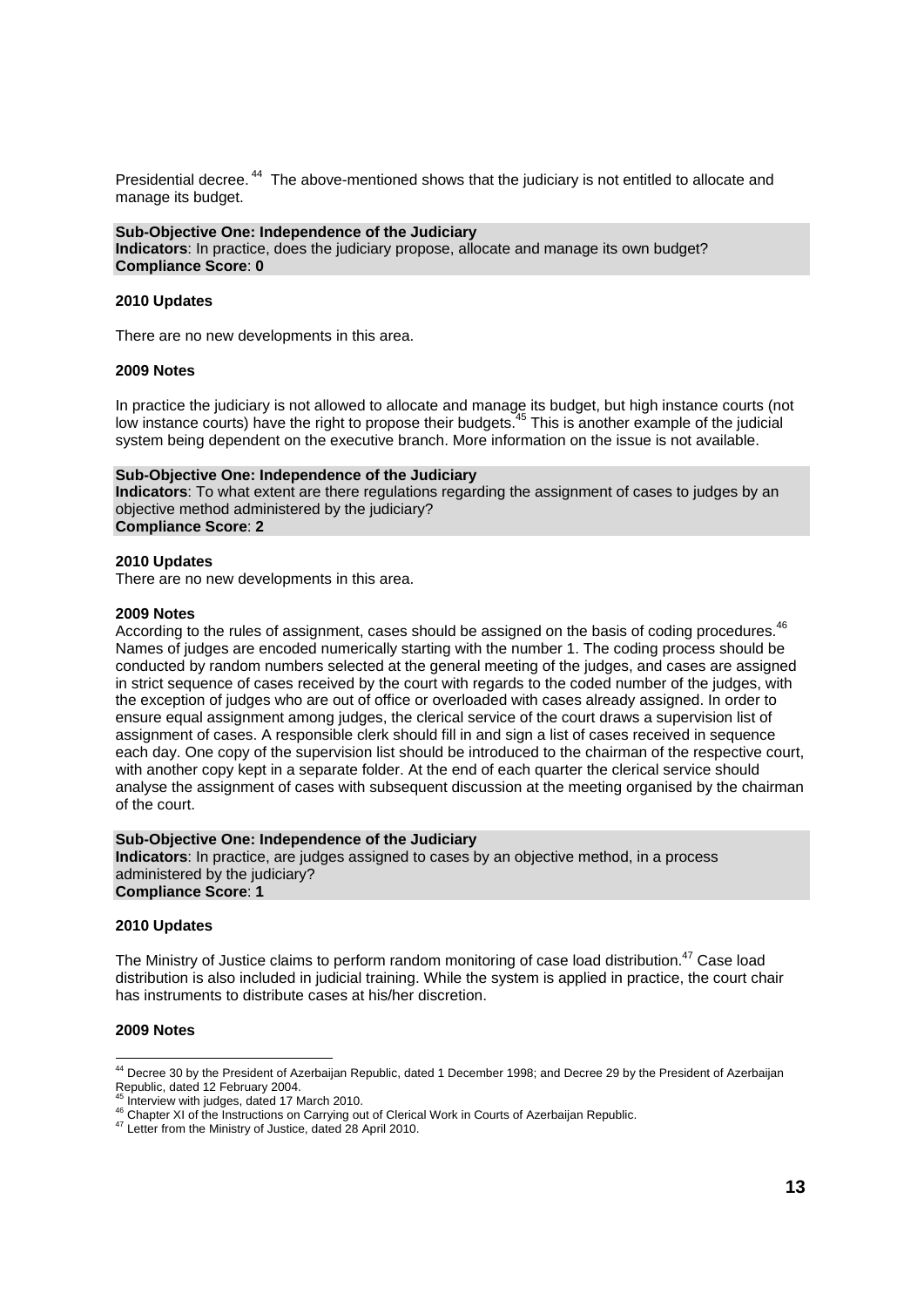Presidential decree.<sup>44</sup> The above-mentioned shows that the judiciary is not entitled to allocate and manage its budget.

**Sub-Objective One: Independence of the Judiciary Indicators**: In practice, does the judiciary propose, allocate and manage its own budget? **Compliance Score**: **0** 

#### **2010 Updates**

There are no new developments in this area.

#### **2009 Notes**

In practice the judiciary is not allowed to allocate and manage its budget, but high instance courts (not low instance courts) have the right to propose their budgets.<sup>45</sup> This is another example of the judicial system being dependent on the executive branch. More information on the issue is not available.

#### **Sub-Objective One: Independence of the Judiciary**

**Indicators**: To what extent are there regulations regarding the assignment of cases to judges by an objective method administered by the judiciary? **Compliance Score**: **2** 

#### **2010 Updates**

There are no new developments in this area.

#### **2009 Notes**

According to the rules of assignment, cases should be assigned on the basis of coding procedures.<sup>46</sup> Names of judges are encoded numerically starting with the number 1. The coding process should be conducted by random numbers selected at the general meeting of the judges, and cases are assigned in strict sequence of cases received by the court with regards to the coded number of the judges, with the exception of judges who are out of office or overloaded with cases already assigned. In order to ensure equal assignment among judges, the clerical service of the court draws a supervision list of assignment of cases. A responsible clerk should fill in and sign a list of cases received in sequence each day. One copy of the supervision list should be introduced to the chairman of the respective court, with another copy kept in a separate folder. At the end of each quarter the clerical service should analyse the assignment of cases with subsequent discussion at the meeting organised by the chairman of the court.

**Sub-Objective One: Independence of the Judiciary Indicators**: In practice, are judges assigned to cases by an objective method, in a process administered by the judiciary? **Compliance Score**: **1** 

#### **2010 Updates**

The Ministry of Justice claims to perform random monitoring of case load distribution.<sup>47</sup> Case load distribution is also included in judicial training. While the system is applied in practice, the court chair has instruments to distribute cases at his/her discretion.

#### **2009 Notes**

l

<sup>&</sup>lt;sup>44</sup> Decree 30 by the President of Azerbaijan Republic, dated 1 December 1998; and Decree 29 by the President of Azerbaijan Republic, dated 12 February 2004.<br><sup>45</sup> Interview with judges, dated 17 March 2010.

<sup>46</sup> Chapter XI of the Instructions on Carrying out of Clerical Work in Courts of Azerbaijan Republic.<br><sup>47</sup> Letter from the Ministry of Justice, dated 28 April 2010.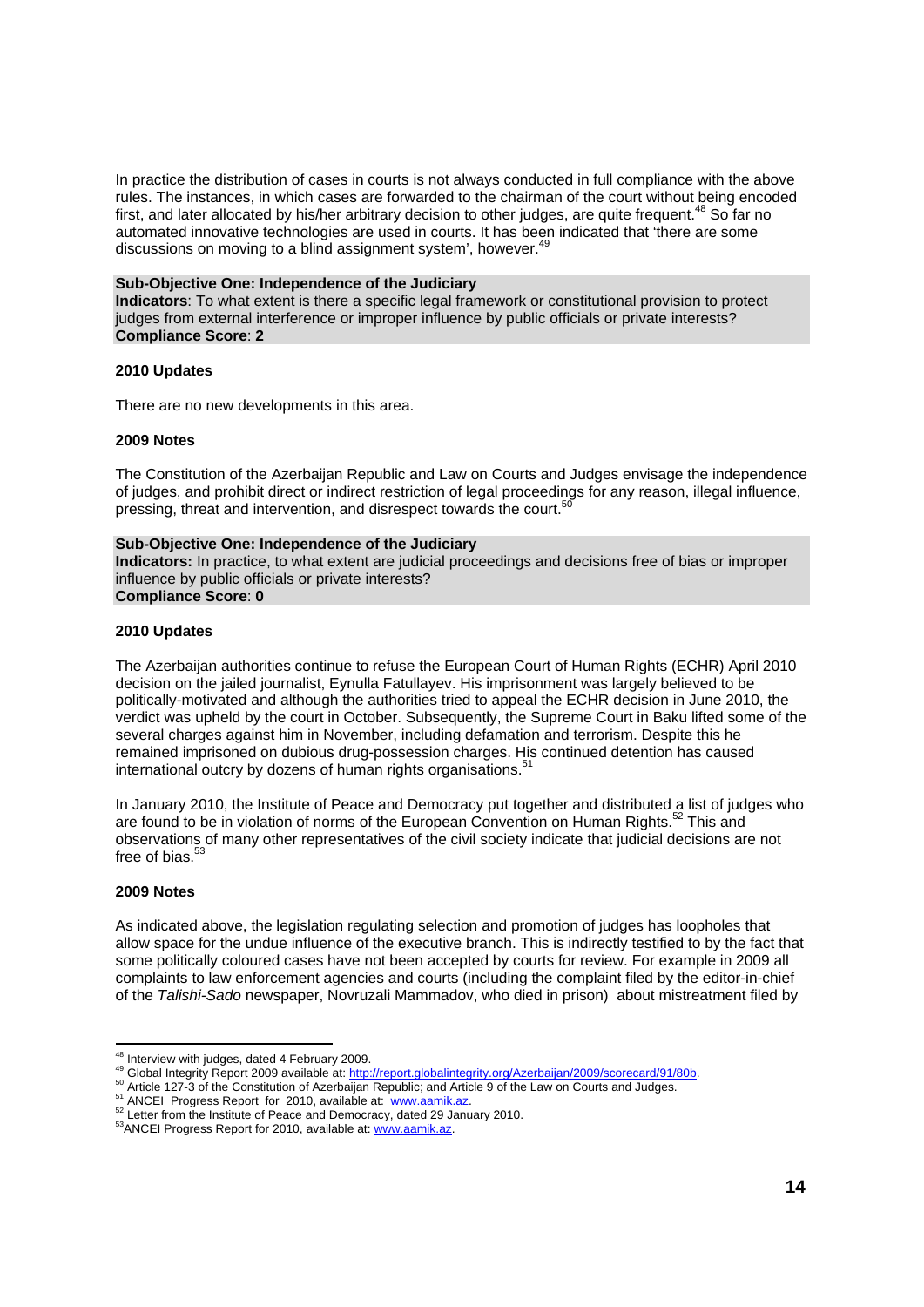In practice the distribution of cases in courts is not always conducted in full compliance with the above rules. The instances, in which cases are forwarded to the chairman of the court without being encoded first, and later allocated by his/her arbitrary decision to other judges, are quite frequent.<sup>48</sup> So far no automated innovative technologies are used in courts. It has been indicated that 'there are some discussions on moving to a blind assignment system', however.<sup>49</sup>

#### **Sub-Objective One: Independence of the Judiciary**

**Indicators**: To what extent is there a specific legal framework or constitutional provision to protect judges from external interference or improper influence by public officials or private interests? **Compliance Score**: **2** 

#### **2010 Updates**

There are no new developments in this area.

#### **2009 Notes**

The Constitution of the Azerbaijan Republic and Law on Courts and Judges envisage the independence of judges, and prohibit direct or indirect restriction of legal proceedings for any reason, illegal influence, pressing, threat and intervention, and disrespect towards the court.<sup>5</sup>

#### **Sub-Objective One: Independence of the Judiciary**

**Indicators:** In practice, to what extent are judicial proceedings and decisions free of bias or improper influence by public officials or private interests? **Compliance Score**: **0** 

#### **2010 Updates**

The Azerbaijan authorities continue to refuse the European Court of Human Rights (ECHR) April 2010 decision on the jailed journalist, Eynulla Fatullayev. His imprisonment was largely believed to be politically-motivated and although the authorities tried to appeal the ECHR decision in June 2010, the verdict was upheld by the court in October. Subsequently, the Supreme Court in Baku lifted some of the several charges against him in November, including defamation and terrorism. Despite this he remained imprisoned on dubious drug-possession charges. His continued detention has caused international outcry by dozens of human rights organisations.<sup>51</sup>

In January 2010, the Institute of Peace and Democracy put together and distributed a list of judges who are found to be in violation of norms of the European Convention on Human Rights.<sup>52</sup> This and observations of many other representatives of the civil society indicate that judicial decisions are not free of bias.<sup>5</sup>

#### **2009 Notes**

As indicated above, the legislation regulating selection and promotion of judges has loopholes that allow space for the undue influence of the executive branch. This is indirectly testified to by the fact that some politically coloured cases have not been accepted by courts for review. For example in 2009 all complaints to law enforcement agencies and courts (including the complaint filed by the editor-in-chief of the *Talishi-Sado* newspaper, Novruzali Mammadov, who died in prison) about mistreatment filed by

<sup>&</sup>lt;sup>48</sup> Interview with judges, dated 4 February 2009.

<sup>&</sup>lt;sup>49</sup> Global Integrity Report 2009 available at: <u>http://report.globalintegrity.org/Azerbaijan/2009/scorecard/91/80b</u><br><sup>50</sup> Article 127-3 of the Constitution of Azerbaijan Republic; and Article 9 of the Law on Courts and Jud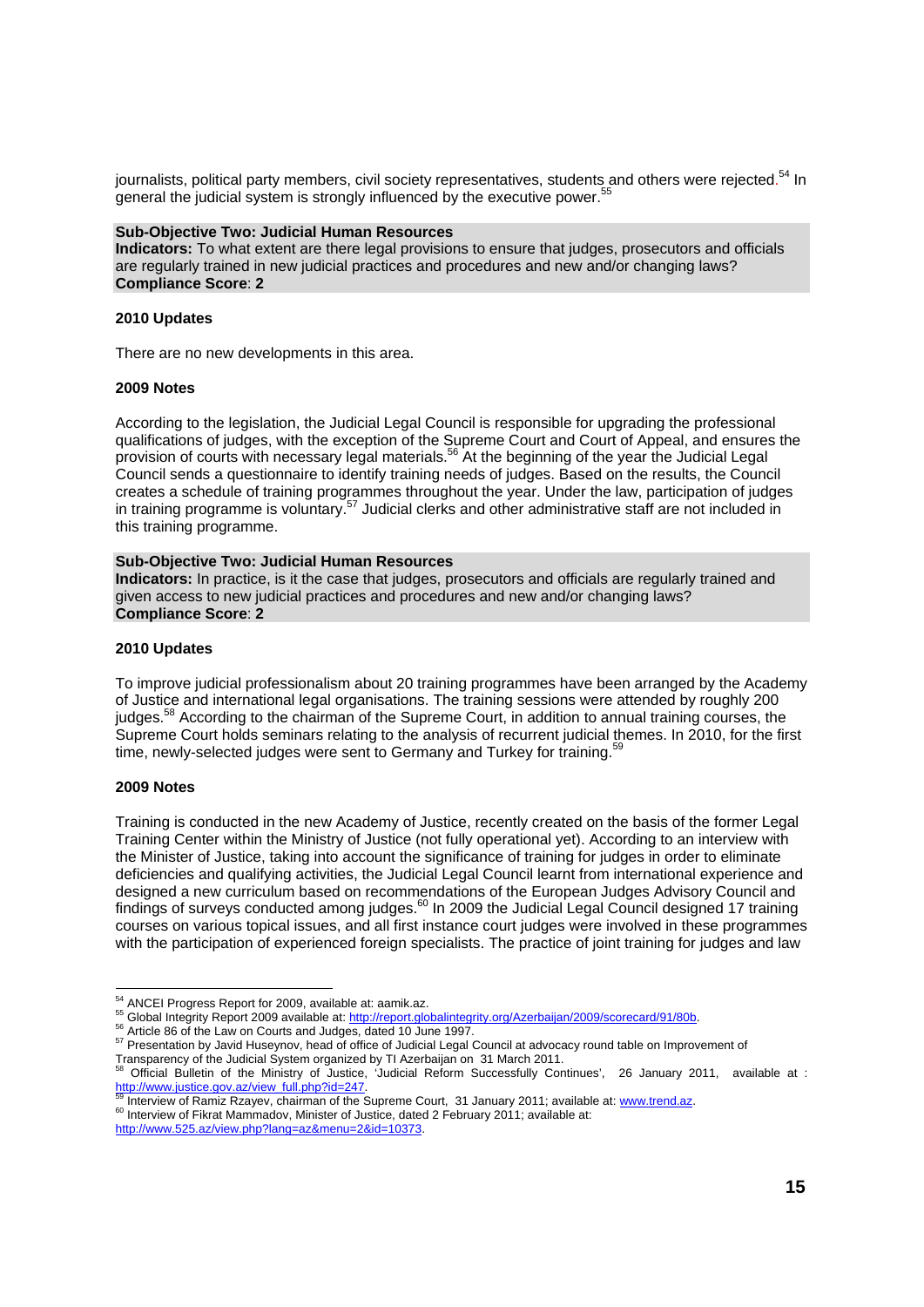journalists, political party members, civil society representatives, students and others were rejected.<sup>54</sup> In general the judicial system is strongly influenced by the executive power.<sup>5</sup>

#### **Sub-Objective Two: Judicial Human Resources**

**Indicators:** To what extent are there legal provisions to ensure that judges, prosecutors and officials are regularly trained in new judicial practices and procedures and new and/or changing laws? **Compliance Score**: **2** 

#### **2010 Updates**

There are no new developments in this area.

#### **2009 Notes**

According to the legislation, the Judicial Legal Council is responsible for upgrading the professional qualifications of judges, with the exception of the Supreme Court and Court of Appeal, and ensures the provision of courts with necessary legal materials.<sup>56</sup> At the beginning of the year the Judicial Legal Council sends a questionnaire to identify training needs of judges. Based on the results, the Council creates a schedule of training programmes throughout the year. Under the law, participation of judges in training programme is voluntary.<sup>57</sup> Judicial clerks and other administrative staff are not included in this training programme.

#### **Sub-Objective Two: Judicial Human Resources**

**Indicators:** In practice, is it the case that judges, prosecutors and officials are regularly trained and given access to new judicial practices and procedures and new and/or changing laws? **Compliance Score**: **2** 

#### **2010 Updates**

To improve judicial professionalism about 20 training programmes have been arranged by the Academy of Justice and international legal organisations. The training sessions were attended by roughly 200 judges.<sup>58</sup> According to the chairman of the Supreme Court, in addition to annual training courses, the Supreme Court holds seminars relating to the analysis of recurrent judicial themes. In 2010, for the first time, newly-selected judges were sent to Germany and Turkey for training.<sup>59</sup>

#### **2009 Notes**

Training is conducted in the new Academy of Justice, recently created on the basis of the former Legal Training Center within the Ministry of Justice (not fully operational yet). According to an interview with the Minister of Justice, taking into account the significance of training for judges in order to eliminate deficiencies and qualifying activities, the Judicial Legal Council learnt from international experience and designed a new curriculum based on recommendations of the European Judges Advisory Council and findings of surveys conducted among judges.<sup>60</sup> In 2009 the Judicial Legal Council designed 17 training courses on various topical issues, and all first instance court judges were involved in these programmes with the participation of experienced foreign specialists. The practice of joint training for judges and law

http://www.525.az/view.php?lang=az&menu=2&id=10373.

<sup>&</sup>lt;sup>54</sup> ANCEI Progress Report for 2009, available at: aamik.az.

<sup>&</sup>lt;sup>55</sup> Global Integrity Report 2009 available at: http://report.globalintegrity.org/Azerbaijan/2009/scorecard/91/80b.<br><sup>56</sup> Article 86 of the Law on Courts and Judges, dated 10 June 1997.<br><sup>57</sup> Presentation by Javid Huseynov, Transparency of the Judicial System organized by TI Azerbaijan on 31 March 2011.

<sup>58</sup> Official Bulletin of the Ministry of Justice, 'Judicial Reform Successfully Continues', 26 January 2011, available at : http://www.justice.gov.az/view\_full.php?id=247.<br><sup>59</sup> Interview of Ramiz Rzayev, chairman of the Supreme Court, 31 January 2011; available at: www.trend.az.<br><sup>60</sup> Interview of Fikrat Mammadov, Minister of Justice, dated 2 Fe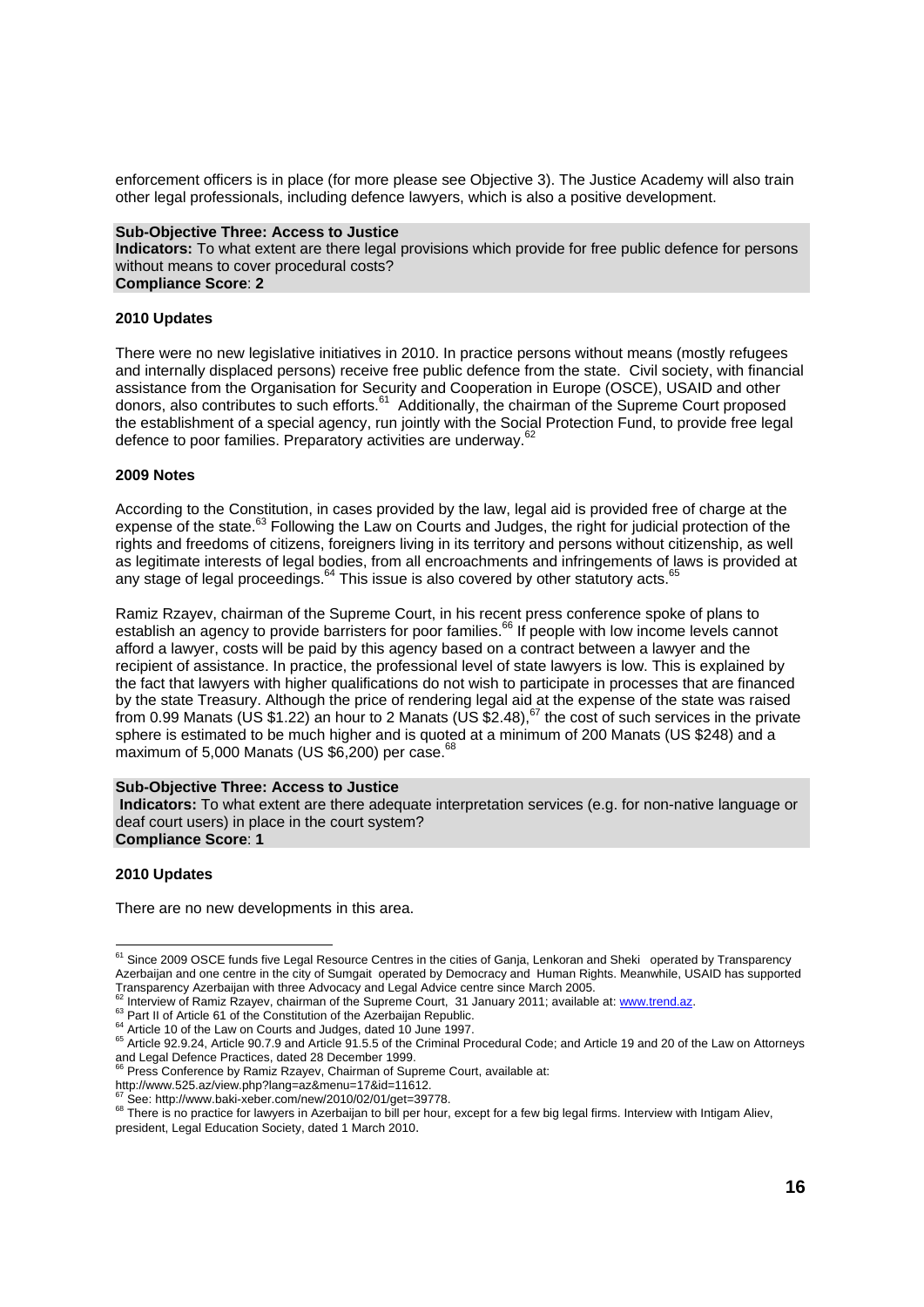enforcement officers is in place (for more please see Objective 3). The Justice Academy will also train other legal professionals, including defence lawyers, which is also a positive development.

#### **Sub-Objective Three: Access to Justice**

**Indicators:** To what extent are there legal provisions which provide for free public defence for persons without means to cover procedural costs? **Compliance Score**: **2** 

#### **2010 Updates**

There were no new legislative initiatives in 2010. In practice persons without means (mostly refugees and internally displaced persons) receive free public defence from the state. Civil society, with financial assistance from the Organisation for Security and Cooperation in Europe (OSCE), USAID and other donors, also contributes to such efforts.<sup>61</sup> Additionally, the chairman of the Supreme Court proposed the establishment of a special agency, run jointly with the Social Protection Fund, to provide free legal defence to poor families. Preparatory activities are underway.<sup>6</sup>

#### **2009 Notes**

According to the Constitution, in cases provided by the law, legal aid is provided free of charge at the expense of the state.<sup>63</sup> Following the Law on Courts and Judges, the right for judicial protection of the rights and freedoms of citizens, foreigners living in its territory and persons without citizenship, as well as legitimate interests of legal bodies, from all encroachments and infringements of laws is provided at any stage of legal proceedings. $64$  This issue is also covered by other statutory acts. $65$ 

Ramiz Rzayev, chairman of the Supreme Court, in his recent press conference spoke of plans to establish an agency to provide barristers for poor families.<sup>66</sup> If people with low income levels cannot afford a lawyer, costs will be paid by this agency based on a contract between a lawyer and the recipient of assistance. In practice, the professional level of state lawyers is low. This is explained by the fact that lawyers with higher qualifications do not wish to participate in processes that are financed by the state Treasury. Although the price of rendering legal aid at the expense of the state was raised from 0.99 Manats (US \$1.22) an hour to 2 Manats (US  $$2.48$ ),  $^{67}$  the cost of such services in the private sphere is estimated to be much higher and is quoted at a minimum of 200 Manats (US \$248) and a maximum of 5,000 Manats (US \$6,200) per case.<sup>68</sup>

#### **Sub-Objective Three: Access to Justice**

**Indicators:** To what extent are there adequate interpretation services (e.g. for non-native language or deaf court users) in place in the court system? **Compliance Score**: **1** 

#### **2010 Updates**

l

There are no new developments in this area.

http://www.525.az/view.php?lang=az&menu=17&id=11612.<br>
<sup>67</sup> See: http://www.baki-xeber.com/new/2010/02/01/qet=39778.

<sup>&</sup>lt;sup>61</sup> Since 2009 OSCE funds five Legal Resource Centres in the cities of Ganja, Lenkoran and Sheki operated by Transparency Azerbaijan and one centre in the city of Sumgait operated by Democracy and Human Rights. Meanwhile, USAID has supported Transparency Azerbaijan with three Advocacy and Legal Advice centre since March 2005.<br><sup>62</sup> Interview of Ramiz Rzayev, chairman of the Supreme Court, 31 January 2011; available at: www.trend.az.

<sup>&</sup>lt;sup>63</sup> Part II of Article 61 of the Constitution of the Azerbaijan Republic.<br><sup>64</sup> Article 10 of the Law on Courts and Judges, dated 10 June 1997.<br><sup>65</sup> Article 92.9.24, Article 90.7.9 and Article 91.5.5 of the Criminal Proced and Legal Defence Practices, dated 28 December 1999.<br><sup>66</sup> Press Conference Practices, dated 28 December 1999.

Press Conference by Ramiz Rzayev, Chairman of Supreme Court, available at:

<sup>68</sup> There is no practice for lawyers in Azerbaijan to bill per hour, except for a few big legal firms. Interview with Intigam Aliev, president, Legal Education Society, dated 1 March 2010.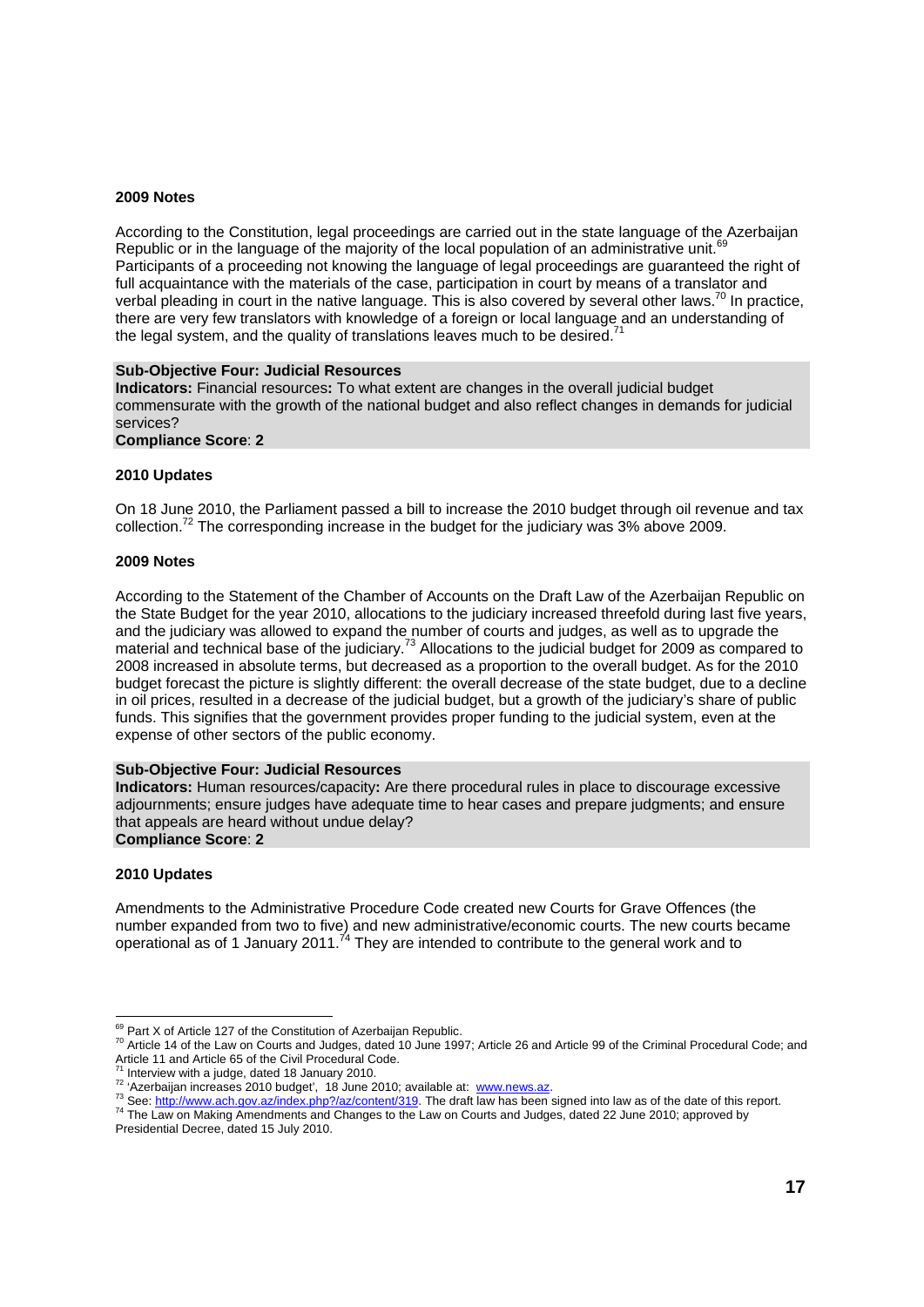#### **2009 Notes**

According to the Constitution, legal proceedings are carried out in the state language of the Azerbaijan Republic or in the language of the majority of the local population of an administrative unit.<sup>61</sup> Participants of a proceeding not knowing the language of legal proceedings are guaranteed the right of full acquaintance with the materials of the case, participation in court by means of a translator and verbal pleading in court in the native language. This is also covered by several other laws.<sup>70</sup> In practice, there are very few translators with knowledge of a foreign or local language and an understanding of the legal system, and the quality of translations leaves much to be desired.<sup>71</sup>

#### **Sub-Objective Four: Judicial Resources**

**Indicators:** Financial resources**:** To what extent are changes in the overall judicial budget commensurate with the growth of the national budget and also reflect changes in demands for judicial services?

**Compliance Score**: **2** 

#### **2010 Updates**

On 18 June 2010, the Parliament passed a bill to increase the 2010 budget through oil revenue and tax collection.<sup>72</sup> The corresponding increase in the budget for the judiciary was 3% above 2009.

#### **2009 Notes**

According to the Statement of the Chamber of Accounts on the Draft Law of the Azerbaijan Republic on the State Budget for the year 2010, allocations to the judiciary increased threefold during last five years, and the judiciary was allowed to expand the number of courts and judges, as well as to upgrade the material and technical base of the judiciary.73 Allocations to the judicial budget for 2009 as compared to 2008 increased in absolute terms, but decreased as a proportion to the overall budget. As for the 2010 budget forecast the picture is slightly different: the overall decrease of the state budget, due to a decline in oil prices, resulted in a decrease of the judicial budget, but a growth of the judiciary's share of public funds. This signifies that the government provides proper funding to the judicial system, even at the expense of other sectors of the public economy.

#### **Sub-Objective Four: Judicial Resources**

**Indicators:** Human resources/capacity**:** Are there procedural rules in place to discourage excessive adjournments; ensure judges have adequate time to hear cases and prepare judgments; and ensure that appeals are heard without undue delay? **Compliance Score**: **2** 

#### **2010 Updates**

Amendments to the Administrative Procedure Code created new Courts for Grave Offences (the number expanded from two to five) and new administrative/economic courts. The new courts became operational as of 1 January 2011.<sup>74</sup> They are intended to contribute to the general work and to

<sup>&</sup>lt;sup>69</sup> Part X of Article 127 of the Constitution of Azerbaijan Republic.

<sup>&</sup>lt;sup>70</sup> Article 14 of the Law on Courts and Judges, dated 10 June 1997; Article 26 and Article 99 of the Criminal Procedural Code; and Article 11 and Article 65 of the Civil Procedural Code.

<sup>&</sup>lt;sup>71</sup> Interview with a judge, dated 18 January 2010.<br><sup>72</sup> 'Azerbaijan increases 2010 budget', 18 June 2010; available at: www.news.az.<br><sup>73</sup> See: http://www.ach.gov.az/index.php?/az/content/319. The draft law has been signe

Presidential Decree, dated 15 July 2010.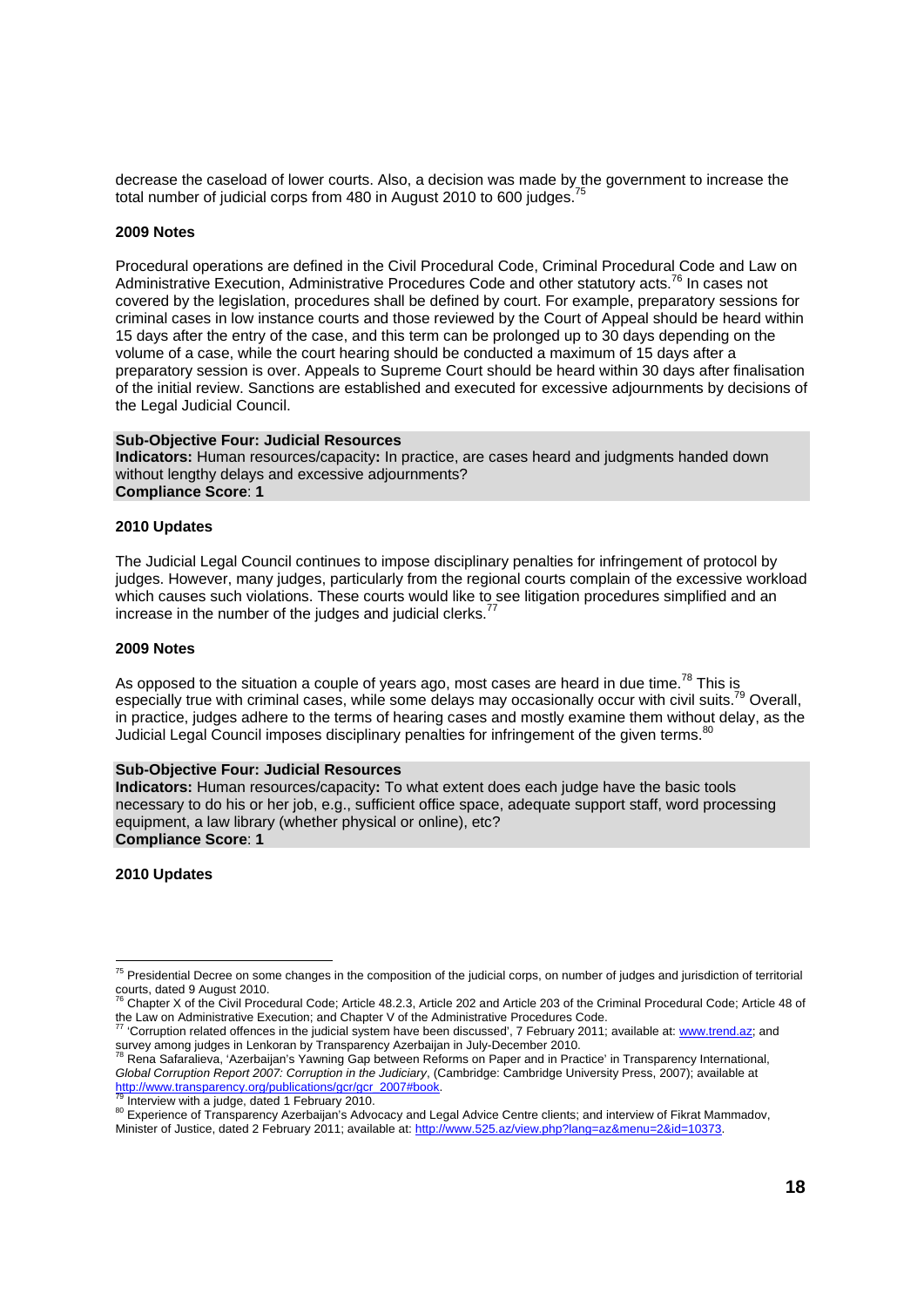decrease the caseload of lower courts. Also, a decision was made by the government to increase the total number of judicial corps from 480 in August 2010 to 600 judges.<sup>7</sup>

#### **2009 Notes**

Procedural operations are defined in the Civil Procedural Code, Criminal Procedural Code and Law on Administrative Execution, Administrative Procedures Code and other statutory acts.76 In cases not covered by the legislation, procedures shall be defined by court. For example, preparatory sessions for criminal cases in low instance courts and those reviewed by the Court of Appeal should be heard within 15 days after the entry of the case, and this term can be prolonged up to 30 days depending on the volume of a case, while the court hearing should be conducted a maximum of 15 days after a preparatory session is over. Appeals to Supreme Court should be heard within 30 days after finalisation of the initial review. Sanctions are established and executed for excessive adjournments by decisions of the Legal Judicial Council.

#### **Sub-Objective Four: Judicial Resources**

**Indicators:** Human resources/capacity**:** In practice, are cases heard and judgments handed down without lengthy delays and excessive adjournments? **Compliance Score**: **1** 

#### **2010 Updates**

The Judicial Legal Council continues to impose disciplinary penalties for infringement of protocol by judges. However, many judges, particularly from the regional courts complain of the excessive workload which causes such violations. These courts would like to see litigation procedures simplified and an increase in the number of the judges and judicial clerks.

#### **2009 Notes**

As opposed to the situation a couple of years ago, most cases are heard in due time.<sup>78</sup> This is especially true with criminal cases, while some delays may occasionally occur with civil suits.<sup>79</sup> Overall, in practice, judges adhere to the terms of hearing cases and mostly examine them without delay, as the Judicial Legal Council imposes disciplinary penalties for infringement of the given terms.<sup>80</sup>

#### **Sub-Objective Four: Judicial Resources**

**Indicators:** Human resources/capacity**:** To what extent does each judge have the basic tools necessary to do his or her job, e.g., sufficient office space, adequate support staff, word processing equipment, a law library (whether physical or online), etc? **Compliance Score**: **1** 

#### **2010 Updates**

l <sup>75</sup> Presidential Decree on some changes in the composition of the judicial corps, on number of judges and jurisdiction of territorial courts, dated 9 August 2010.

<sup>76</sup> Chapter X of the Civil Procedural Code; Article 48.2.3, Article 202 and Article 203 of the Criminal Procedural Code; Article 48 of the Law on Administrative Execution; and Chapter V of the Administrative Procedures Code.<br><sup>77</sup> 'Corruption related offences in the judicial system have been discussed', 7 February 2011:

<sup>&#</sup>x27;Corruption related offences in the judicial system have been discussed', 7 February 2011; available at: www.trend.az; and survey among judges in Lenkoran by Transparency Azerbaijan in July-December 2010.

<sup>78</sup> Rena Safaralieva, 'Azerbaijan's Yawning Gap between Reforms on Paper and in Practice' in Transparency International, *Global Corruption Report 2007: Corruption in the Judiciary*, (Cambridge: Cambridge University Press, 2007); available at http://www.transparency.org/publications/gcr/gcr\_2007#book.

<sup>&</sup>lt;sup>79</sup> Interview with a judge, dated 1 February 2010.<br><sup>80</sup> Experience of Transparency Azerbaijan's Advocacy and Legal Advice Centre clients; and interview of Fikrat Mammadov, Minister of Justice, dated 2 February 2011; available at: http://www.525.az/view.php?lang=az&menu=2&id=10373.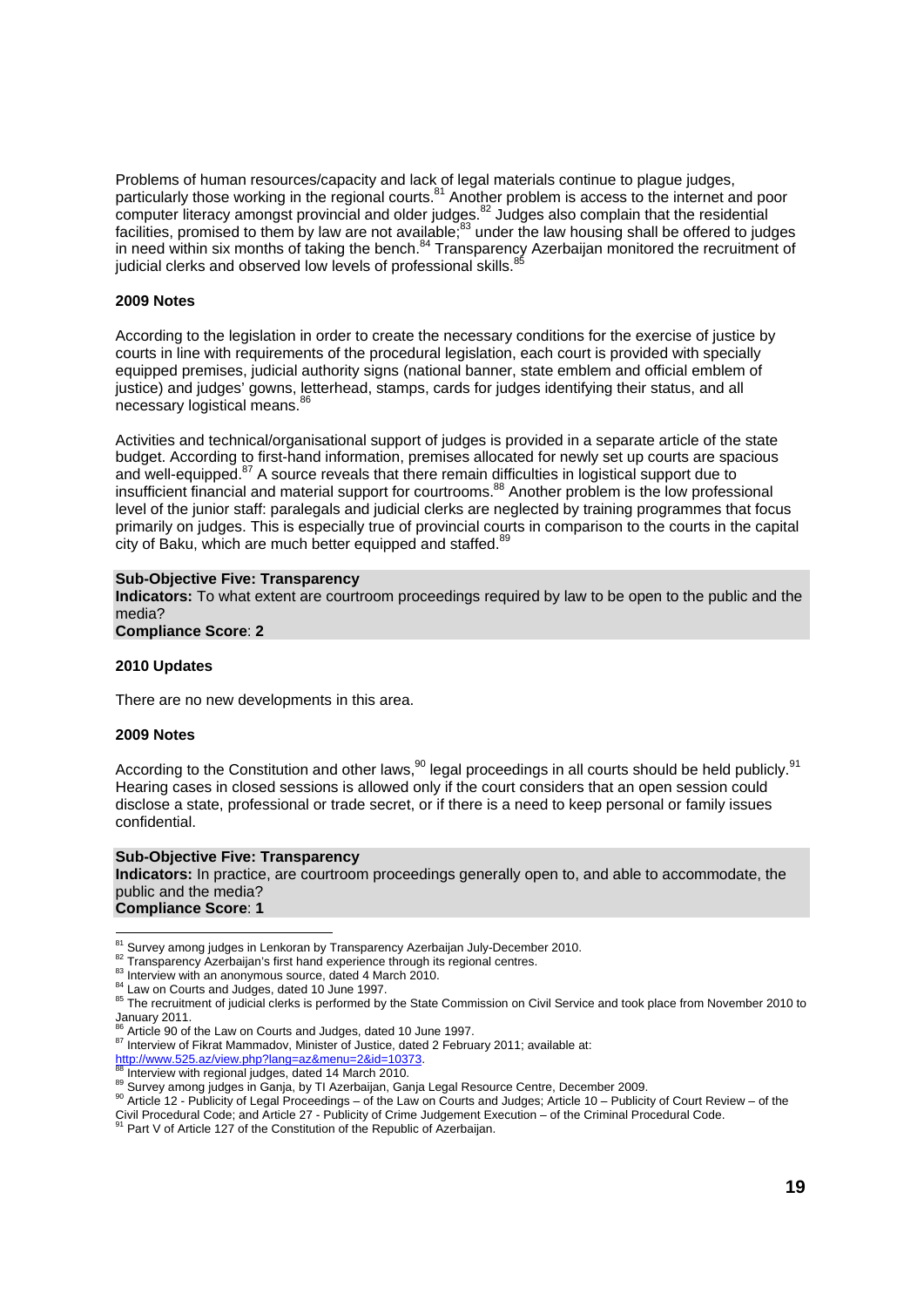Problems of human resources/capacity and lack of legal materials continue to plague judges, particularly those working in the regional courts.<sup>81</sup> Another problem is access to the internet and poor computer literacy amongst provincial and older judges.<sup>82</sup> Judges also complain that the residential facilities, promised to them by law are not available,<sup>83</sup> under the law housing shall be offered to judges in need within six months of taking the bench.84 Transparency Azerbaijan monitored the recruitment of judicial clerks and observed low levels of professional skills.<sup>8</sup>

#### **2009 Notes**

According to the legislation in order to create the necessary conditions for the exercise of justice by courts in line with requirements of the procedural legislation, each court is provided with specially equipped premises, judicial authority signs (national banner, state emblem and official emblem of justice) and judges' gowns, letterhead, stamps, cards for judges identifying their status, and all necessary logistical means.<sup>8</sup>

Activities and technical/organisational support of judges is provided in a separate article of the state budget. According to first-hand information, premises allocated for newly set up courts are spacious and well-equipped.<sup>87</sup> A source reveals that there remain difficulties in logistical support due to insufficient financial and material support for courtrooms.88 Another problem is the low professional level of the junior staff: paralegals and judicial clerks are neglected by training programmes that focus primarily on judges. This is especially true of provincial courts in comparison to the courts in the capital city of Baku, which are much better equipped and staffed.<sup>89</sup>

#### **Sub-Objective Five: Transparency**

**Indicators:** To what extent are courtroom proceedings required by law to be open to the public and the media?

**Compliance Score**: **2** 

#### **2010 Updates**

There are no new developments in this area.

#### **2009 Notes**

According to the Constitution and other laws,  $90$  legal proceedings in all courts should be held publicly.  $91$ Hearing cases in closed sessions is allowed only if the court considers that an open session could disclose a state, professional or trade secret, or if there is a need to keep personal or family issues confidential.

#### **Sub-Objective Five: Transparency**

**Indicators:** In practice, are courtroom proceedings generally open to, and able to accommodate, the public and the media? **Compliance Score**: **1** 

<sup>81</sup> Survey among judges in Lenkoran by Transparency Azerbaijan July-December 2010.

<sup>&</sup>lt;sup>82</sup> Transparency Azerbaijan's first hand experience through its regional centres.<br><sup>83</sup> Interview with an anonymous source, dated 4 March 2010.<br><sup>84</sup> Law on Courts and Judges, dated 10 June 1997.<br><sup>85</sup> The recruitment of jud January 2011.

 $86 \text{ Article } 90$  of the Law on Courts and Judges, dated 10 June 1997.<br> $87$  Interview of Fikrat Mammadov, Minister of Justice, dated 2 February 2011; available at:

http://www.525.az/view.php?lang=az&menu=2&id=10373.<br><sup>88</sup> Interview with regional judges, dated 14 March 2010.<br><sup>89</sup> Survey among judges in Ganja, by TI Azerbaijan, Ganja Legal Resource Centre, December 2009.<br><sup>90</sup> Article 12

Civil Procedural Code; and Article 27 - Publicity of Crime Judgement Execution – of the Criminal Procedural Code.<br><sup>91</sup> Part V of Article 127 of the Constitution of the Republic of Azerbaijan.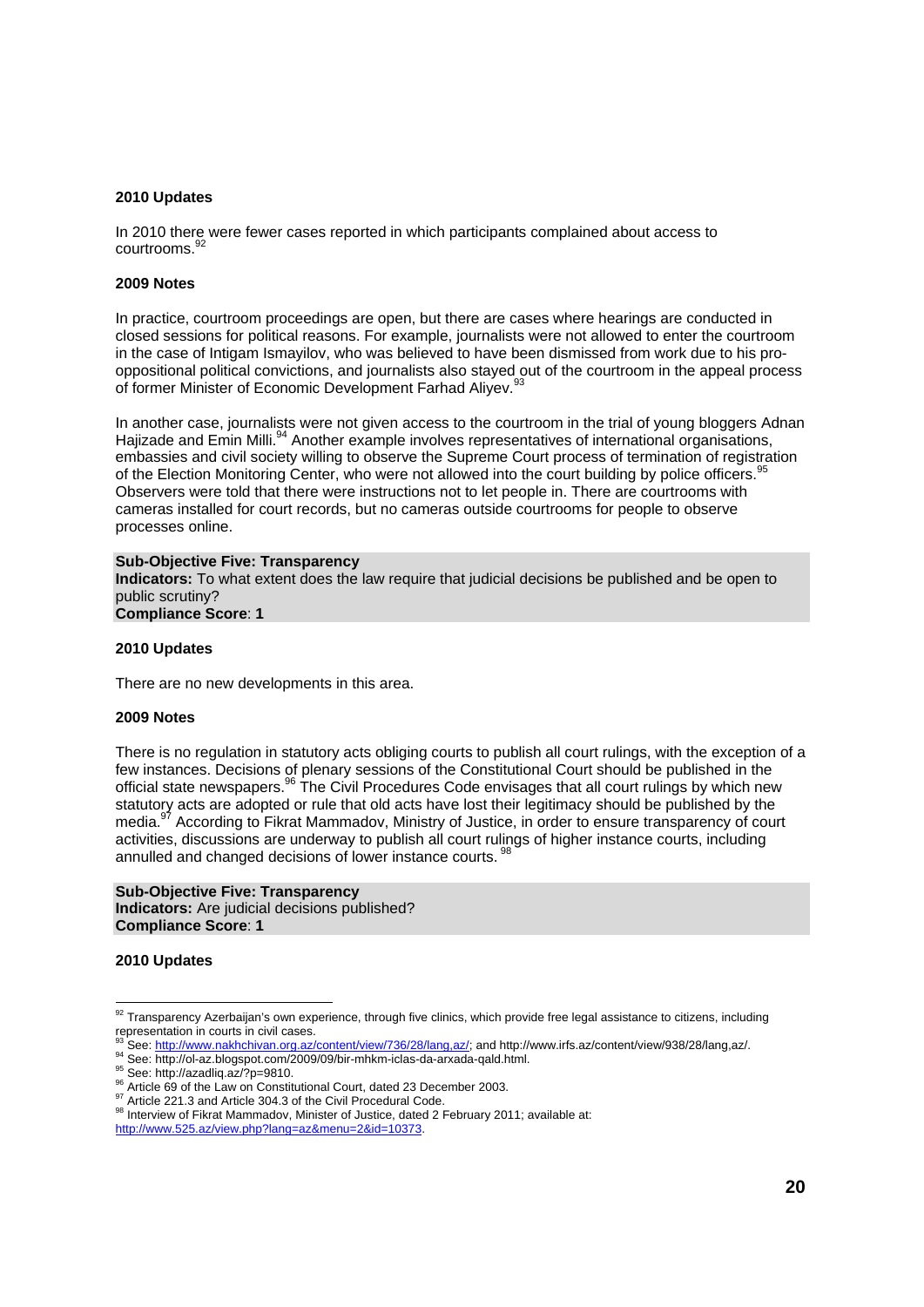#### **2010 Updates**

In 2010 there were fewer cases reported in which participants complained about access to courtrooms.<sup>92</sup>

#### **2009 Notes**

In practice, courtroom proceedings are open, but there are cases where hearings are conducted in closed sessions for political reasons. For example, journalists were not allowed to enter the courtroom in the case of Intigam Ismayilov, who was believed to have been dismissed from work due to his prooppositional political convictions, and journalists also stayed out of the courtroom in the appeal process of former Minister of Economic Development Farhad Aliyev.<sup>9</sup>

In another case, journalists were not given access to the courtroom in the trial of young bloggers Adnan Hajizade and Emin Milli.<sup>94</sup> Another example involves representatives of international organisations, embassies and civil society willing to observe the Supreme Court process of termination of registration of the Election Monitoring Center, who were not allowed into the court building by police officers.<sup>95</sup> Observers were told that there were instructions not to let people in. There are courtrooms with cameras installed for court records, but no cameras outside courtrooms for people to observe processes online.

#### **Sub-Objective Five: Transparency**

**Indicators:** To what extent does the law require that judicial decisions be published and be open to public scrutiny?

### **Compliance Score**: **1**

#### **2010 Updates**

There are no new developments in this area.

#### **2009 Notes**

There is no regulation in statutory acts obliging courts to publish all court rulings, with the exception of a few instances. Decisions of plenary sessions of the Constitutional Court should be published in the official state newspapers.<sup>96</sup> The Civil Procedures Code envisages that all court rulings by which new statutory acts are adopted or rule that old acts have lost their legitimacy should be published by the media.<sup>97</sup> According to Fikrat Mammadov, Ministry of Justice, in order to ensure transparency of court activities, discussions are underway to publish all court rulings of higher instance courts, including annulled and changed decisions of lower instance courts.<sup>9</sup>

#### **Sub-Objective Five: Transparency Indicators:** Are judicial decisions published? **Compliance Score**: **1**

#### **2010 Updates**

 $92$  Transparency Azerbaijan's own experience, through five clinics, which provide free legal assistance to citizens, including representation in courts in civil cases.

<sup>&</sup>lt;sup>93</sup> See: http://www.nakhchivan.org.az/content/view/736/28/lang.az/; and http://www.irfs.az/content/view/938/28/lang,az/.<br><sup>94</sup> See: http://ol-az.blogspot.com/2009/09/bir-mhkm-iclas-da-arxada-qald.html.<br><sup>95</sup> See: http://az

http://www.525.az/view.php?lang=az&menu=2&id=10373.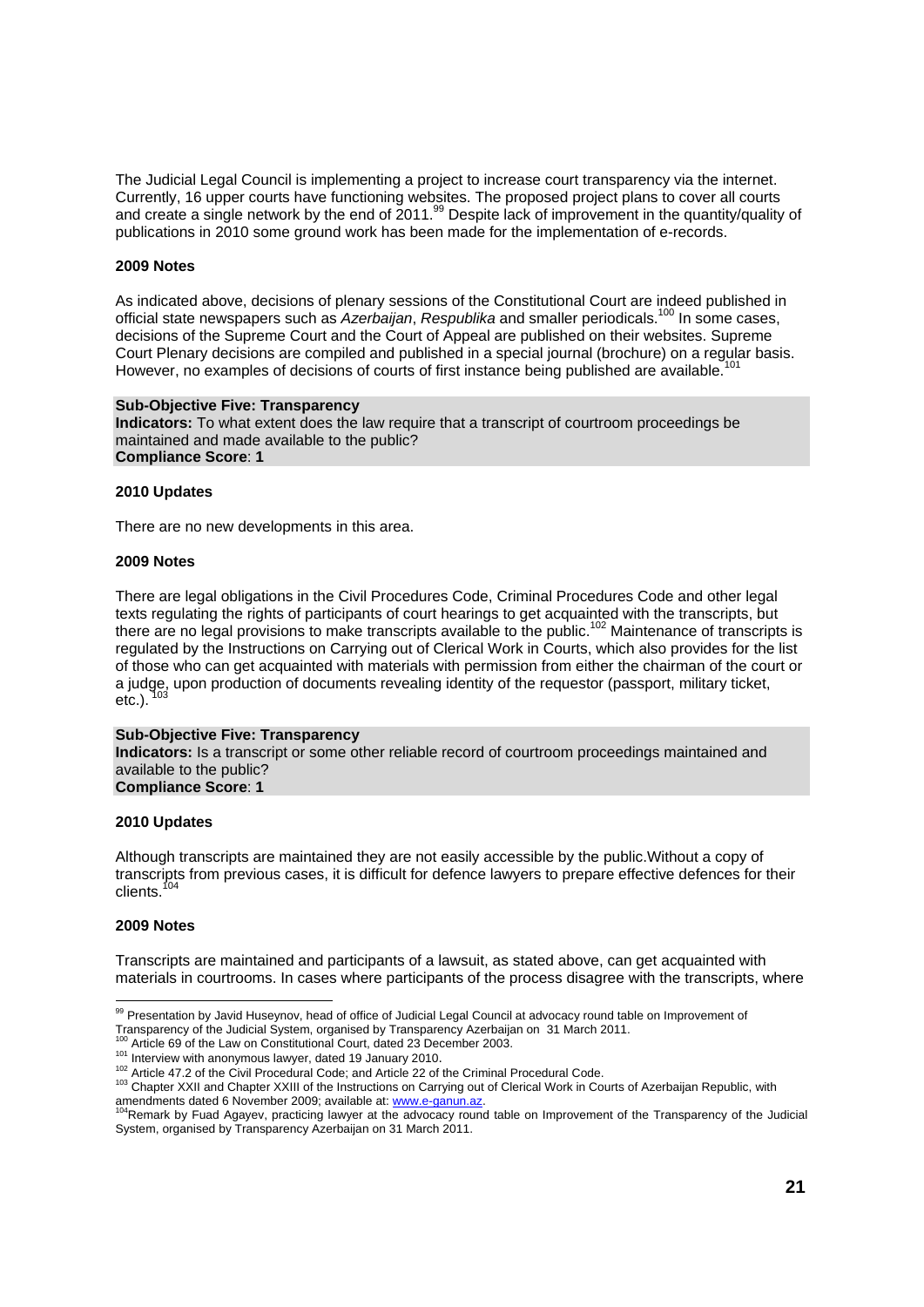The Judicial Legal Council is implementing a project to increase court transparency via the internet. Currently, 16 upper courts have functioning websites. The proposed project plans to cover all courts and create a single network by the end of 2011.<sup>99</sup> Despite lack of improvement in the quantity/quality of publications in 2010 some ground work has been made for the implementation of e-records.

#### **2009 Notes**

As indicated above, decisions of plenary sessions of the Constitutional Court are indeed published in official state newspapers such as *Azerbaijan*, *Respublika* and smaller periodicals.<sup>100</sup> In some cases. decisions of the Supreme Court and the Court of Appeal are published on their websites. Supreme Court Plenary decisions are compiled and published in a special journal (brochure) on a regular basis. However, no examples of decisions of courts of first instance being published are available.<sup>1</sup>

#### **Sub-Objective Five: Transparency**

**Indicators:** To what extent does the law require that a transcript of courtroom proceedings be maintained and made available to the public? **Compliance Score**: **1** 

#### **2010 Updates**

There are no new developments in this area.

#### **2009 Notes**

There are legal obligations in the Civil Procedures Code, Criminal Procedures Code and other legal texts regulating the rights of participants of court hearings to get acquainted with the transcripts, but there are no legal provisions to make transcripts available to the public.102 Maintenance of transcripts is regulated by the Instructions on Carrying out of Clerical Work in Courts, which also provides for the list of those who can get acquainted with materials with permission from either the chairman of the court or a judge, upon production of documents revealing identity of the requestor (passport, military ticket,  $etc.$ ).

#### **Sub-Objective Five: Transparency**

**Indicators:** Is a transcript or some other reliable record of courtroom proceedings maintained and available to the public? **Compliance Score**: **1** 

#### **2010 Updates**

Although transcripts are maintained they are not easily accessible by the public.Without a copy of transcripts from previous cases, it is difficult for defence lawyers to prepare effective defences for their clients.

### **2009 Notes**

Transcripts are maintained and participants of a lawsuit, as stated above, can get acquainted with materials in courtrooms. In cases where participants of the process disagree with the transcripts, where

<sup>99</sup> Presentation by Javid Huseynov, head of office of Judicial Legal Council at advocacy round table on Improvement of

Transparency of the Judicial System, organised by Transparency Azerbaijan on 31 March 2011.<br><sup>100</sup> Article 69 of the Law on Constitutional Court, dated 23 December 2003.

<sup>&</sup>lt;sup>102</sup> Interview with anonymous lawyer, dated 19 January 2010.<br><sup>102</sup> Article 47.2 of the Civil Procedural Code; and Article 22 of the Criminal Procedural Code.<br><sup>102</sup> Chapter XXII and Chapter XXIII of the Instructions on Car

amendments dated 6 November 2009; available at: www.e-ganun.az.<br><sup>104</sup>Remark by Fuad Agayev, practicing lawyer at the advocacy round table on Improvement of the Transparency of the Judicial System, organised by Transparency Azerbaijan on 31 March 2011.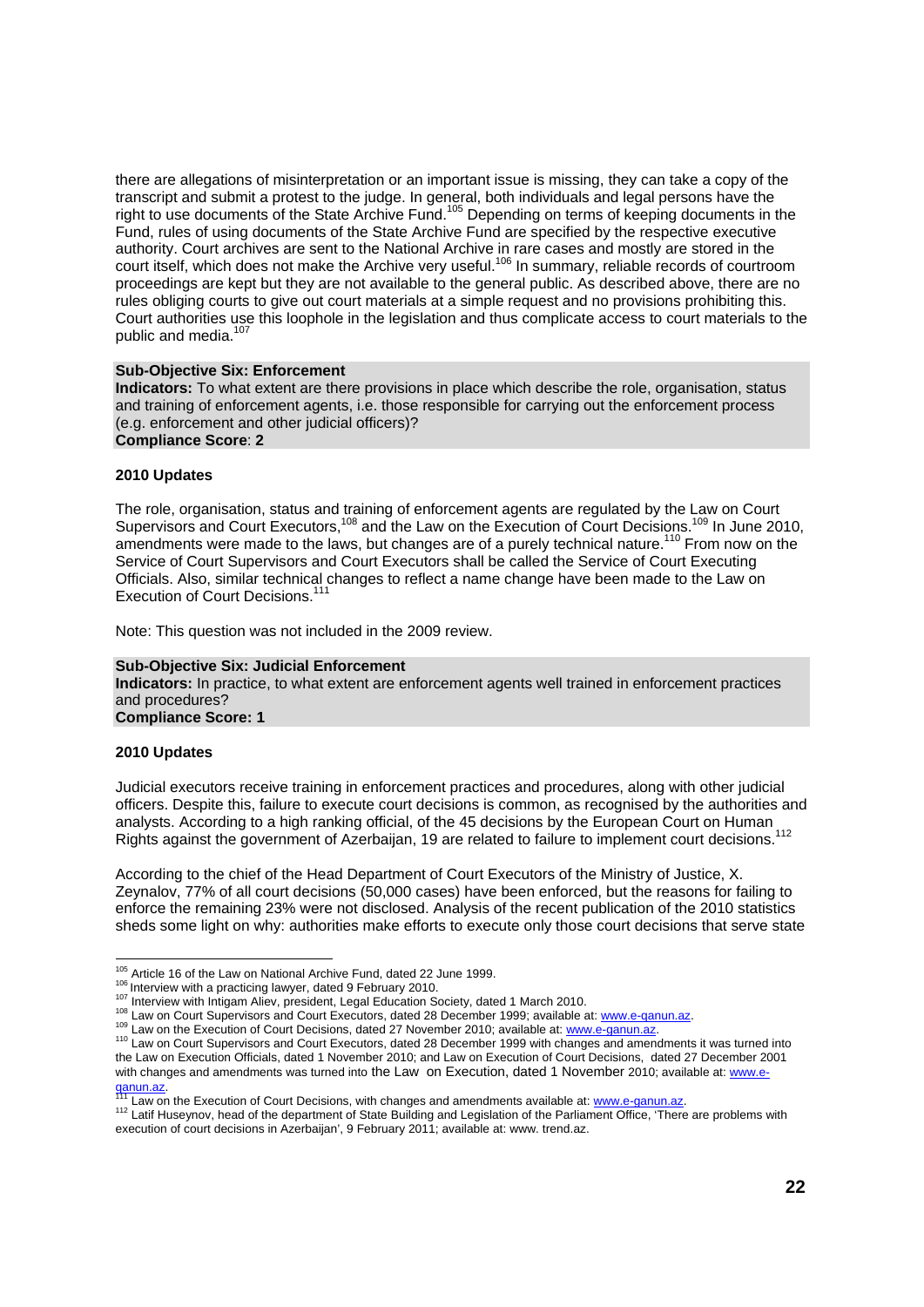there are allegations of misinterpretation or an important issue is missing, they can take a copy of the transcript and submit a protest to the judge. In general, both individuals and legal persons have the right to use documents of the State Archive Fund.<sup>105</sup> Depending on terms of keeping documents in the Fund, rules of using documents of the State Archive Fund are specified by the respective executive authority. Court archives are sent to the National Archive in rare cases and mostly are stored in the court itself, which does not make the Archive very useful.<sup>106</sup> In summary, reliable records of courtroom proceedings are kept but they are not available to the general public. As described above, there are no rules obliging courts to give out court materials at a simple request and no provisions prohibiting this. Court authorities use this loophole in the legislation and thus complicate access to court materials to the public and media.<sup>107</sup>

#### **Sub-Objective Six: Enforcement**

**Indicators:** To what extent are there provisions in place which describe the role, organisation, status and training of enforcement agents, i.e. those responsible for carrying out the enforcement process (e.g. enforcement and other judicial officers)? **Compliance Score**: **2** 

#### **2010 Updates**

The role, organisation, status and training of enforcement agents are regulated by the Law on Court Supervisors and Court Executors,<sup>108</sup> and the Law on the Execution of Court Decisions.<sup>109</sup> In June 2010, amendments were made to the laws, but changes are of a purely technical nature.<sup>110</sup> From now on the Service of Court Supervisors and Court Executors shall be called the Service of Court Executing Officials. Also, similar technical changes to reflect a name change have been made to the Law on Execution of Court Decisions.<sup>1</sup>

Note: This question was not included in the 2009 review.

#### **Sub-Objective Six: Judicial Enforcement**

**Indicators:** In practice, to what extent are enforcement agents well trained in enforcement practices and procedures?

**Compliance Score: 1** 

#### **2010 Updates**

Judicial executors receive training in enforcement practices and procedures, along with other judicial officers. Despite this, failure to execute court decisions is common, as recognised by the authorities and analysts. According to a high ranking official, of the 45 decisions by the European Court on Human Rights against the government of Azerbaijan, 19 are related to failure to implement court decisions.<sup>112</sup>

According to the chief of the Head Department of Court Executors of the Ministry of Justice, X. Zeynalov, 77% of all court decisions (50,000 cases) have been enforced, but the reasons for failing to enforce the remaining 23% were not disclosed. Analysis of the recent publication of the 2010 statistics sheds some light on why: authorities make efforts to execute only those court decisions that serve state

<sup>&</sup>lt;sup>105</sup> Article 16 of the Law on National Archive Fund, dated 22 June 1999.

<sup>&</sup>lt;sup>106</sup> Interview with a practicing lawyer, dated 9 February 2010.<br><sup>107</sup> Interview with Intigam Aliev, president, Legal Education Society, dated 1 March 2010.<br><sup>108</sup> Law on Court Supervisors and Court Executors, dated 28 Dece the Law on Execution Officials, dated 1 November 2010; and Law on Execution of Court Decisions, dated 27 December 2001 with changes and amendments was turned into the Law on Execution, dated 1 November 2010; available at: www.e-<br>ganun.az.

<sup>&</sup>lt;sup>111</sup> Law on the Execution of Court Decisions, with changes and amendments available at: www.e-ganun.az.<br><sup>112</sup> Latif Huseynov, head of the department of State Building and Legislation of the Parliament Office, 'There are p execution of court decisions in Azerbaijan', 9 February 2011; available at: www. trend.az.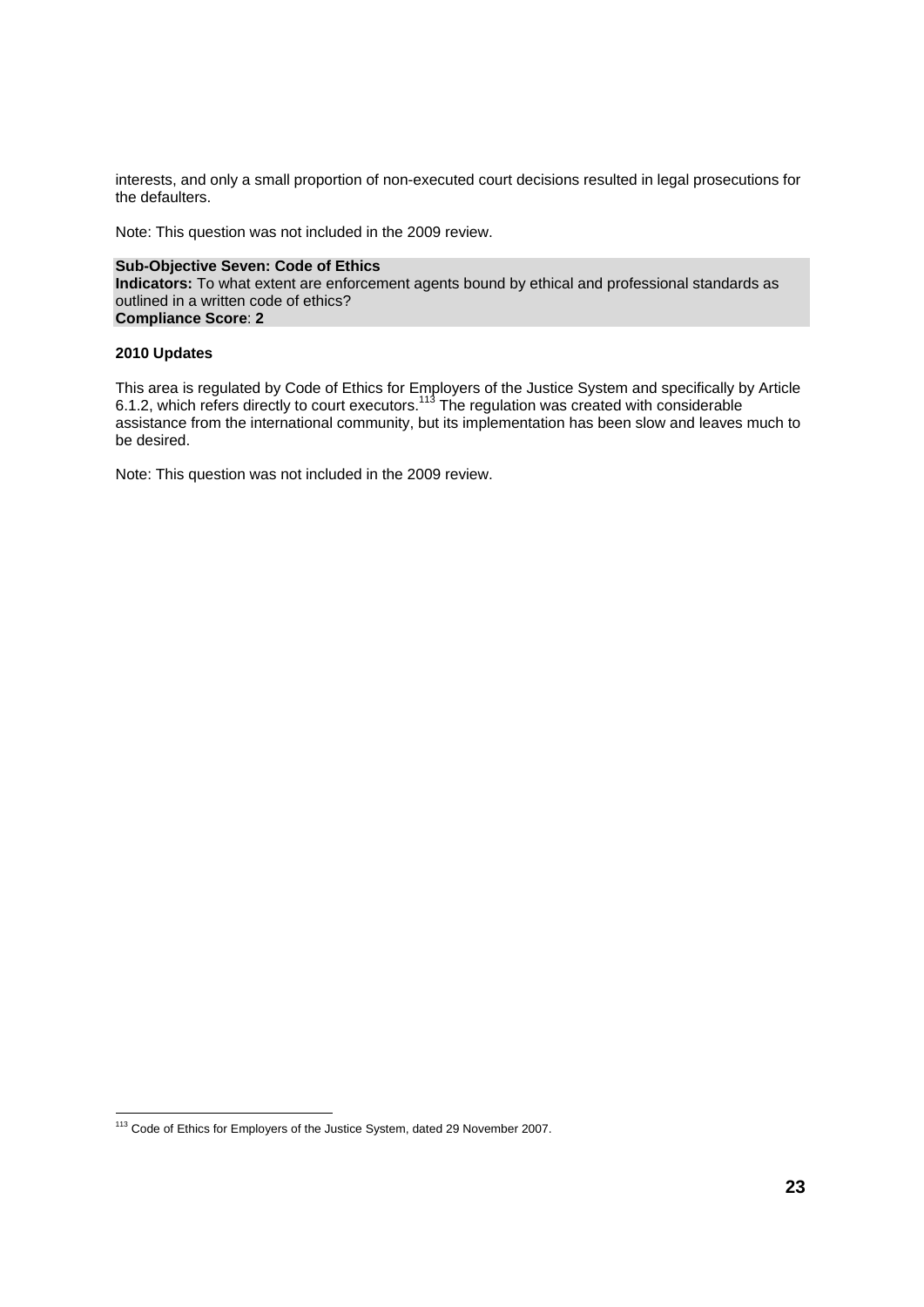interests, and only a small proportion of non-executed court decisions resulted in legal prosecutions for the defaulters.

Note: This question was not included in the 2009 review.

**Sub-Objective Seven: Code of Ethics Indicators:** To what extent are enforcement agents bound by ethical and professional standards as outlined in a written code of ethics? **Compliance Score**: **2** 

### **2010 Updates**

This area is regulated by Code of Ethics for Employers of the Justice System and specifically by Article 6.1.2, which refers directly to court executors.<sup>113</sup> The regulation was created with considerable assistance from the international community, but its implementation has been slow and leaves much to be desired.

Note: This question was not included in the 2009 review.

 <sup>113</sup> Code of Ethics for Employers of the Justice System, dated 29 November 2007.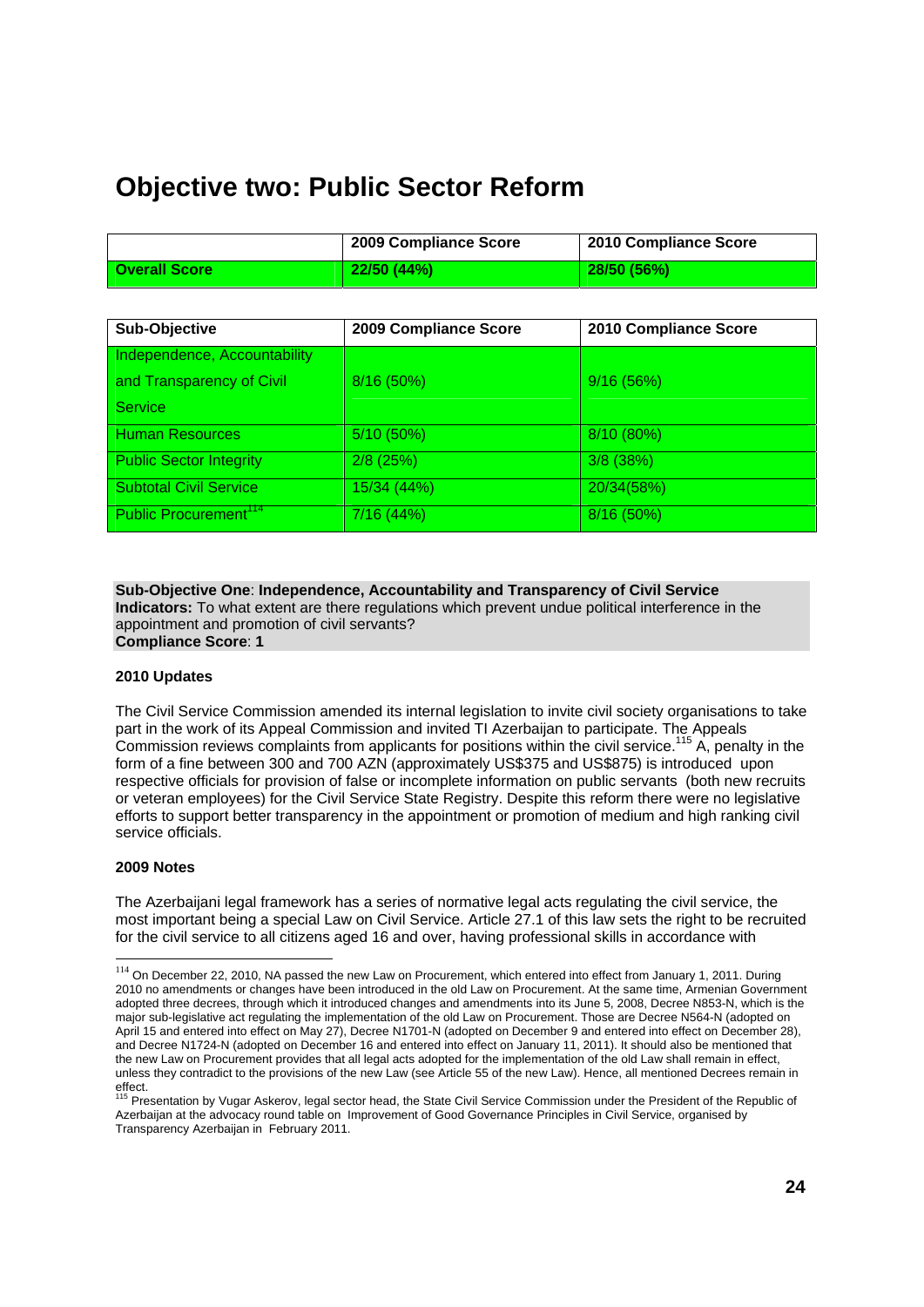# **Objective two: Public Sector Reform**

|                      | 2009 Compliance Score | 2010 Compliance Score |
|----------------------|-----------------------|-----------------------|
| <b>Overall Score</b> | 22/50(44%)            | 28/50(56%)            |

| Sub-Objective                     | 2009 Compliance Score | 2010 Compliance Score |
|-----------------------------------|-----------------------|-----------------------|
| Independence, Accountability      |                       |                       |
| and Transparency of Civil         | 8/16 (50%)            | 9/16(56%)             |
| Service                           |                       |                       |
| <b>Human Resources</b>            | 5/10 (50%)            | 8/10(80%)             |
| <b>Public Sector Integrity</b>    | $2/8$ (25%)           | 3/8 (38%)             |
| <b>Subtotal Civil Service</b>     | 15/34 (44%)           | 20/34(58%)            |
| Public Procurement <sup>114</sup> | 7/16 (44%)            | $8/16(50\%)$          |

**Sub-Objective One**: **Independence, Accountability and Transparency of Civil Service Indicators:** To what extent are there regulations which prevent undue political interference in the appointment and promotion of civil servants? **Compliance Score**: **1** 

#### **2010 Updates**

The Civil Service Commission amended its internal legislation to invite civil society organisations to take part in the work of its Appeal Commission and invited TI Azerbaijan to participate. The Appeals Commission reviews complaints from applicants for positions within the civil service.115 A, penalty in the form of a fine between 300 and 700 AZN (approximately US\$375 and US\$875) is introduced upon respective officials for provision of false or incomplete information on public servants (both new recruits or veteran employees) for the Civil Service State Registry. Despite this reform there were no legislative efforts to support better transparency in the appointment or promotion of medium and high ranking civil service officials.

#### **2009 Notes**

l

The Azerbaijani legal framework has a series of normative legal acts regulating the civil service, the most important being a special Law on Civil Service. Article 27.1 of this law sets the right to be recruited for the civil service to all citizens aged 16 and over, having professional skills in accordance with

<sup>&</sup>lt;sup>114</sup> On December 22, 2010, NA passed the new Law on Procurement, which entered into effect from January 1, 2011. During 2010 no amendments or changes have been introduced in the old Law on Procurement. At the same time, Armenian Government adopted three decrees, through which it introduced changes and amendments into its June 5, 2008, Decree N853-N, which is the major sub-legislative act regulating the implementation of the old Law on Procurement. Those are Decree N564-N (adopted on April 15 and entered into effect on May 27), Decree N1701-N (adopted on December 9 and entered into effect on December 28), and Decree N1724-N (adopted on December 16 and entered into effect on January 11, 2011). It should also be mentioned that the new Law on Procurement provides that all legal acts adopted for the implementation of the old Law shall remain in effect, unless they contradict to the provisions of the new Law (see Article 55 of the new Law). Hence, all mentioned Decrees remain in

effect.<br><sup>115</sup> Presentation by Vugar Askerov, legal sector head, the State Civil Service Commission under the President of the Republic of Azerbaijan at the advocacy round table on Improvement of Good Governance Principles in Civil Service, organised by Transparency Azerbaijan in February 2011.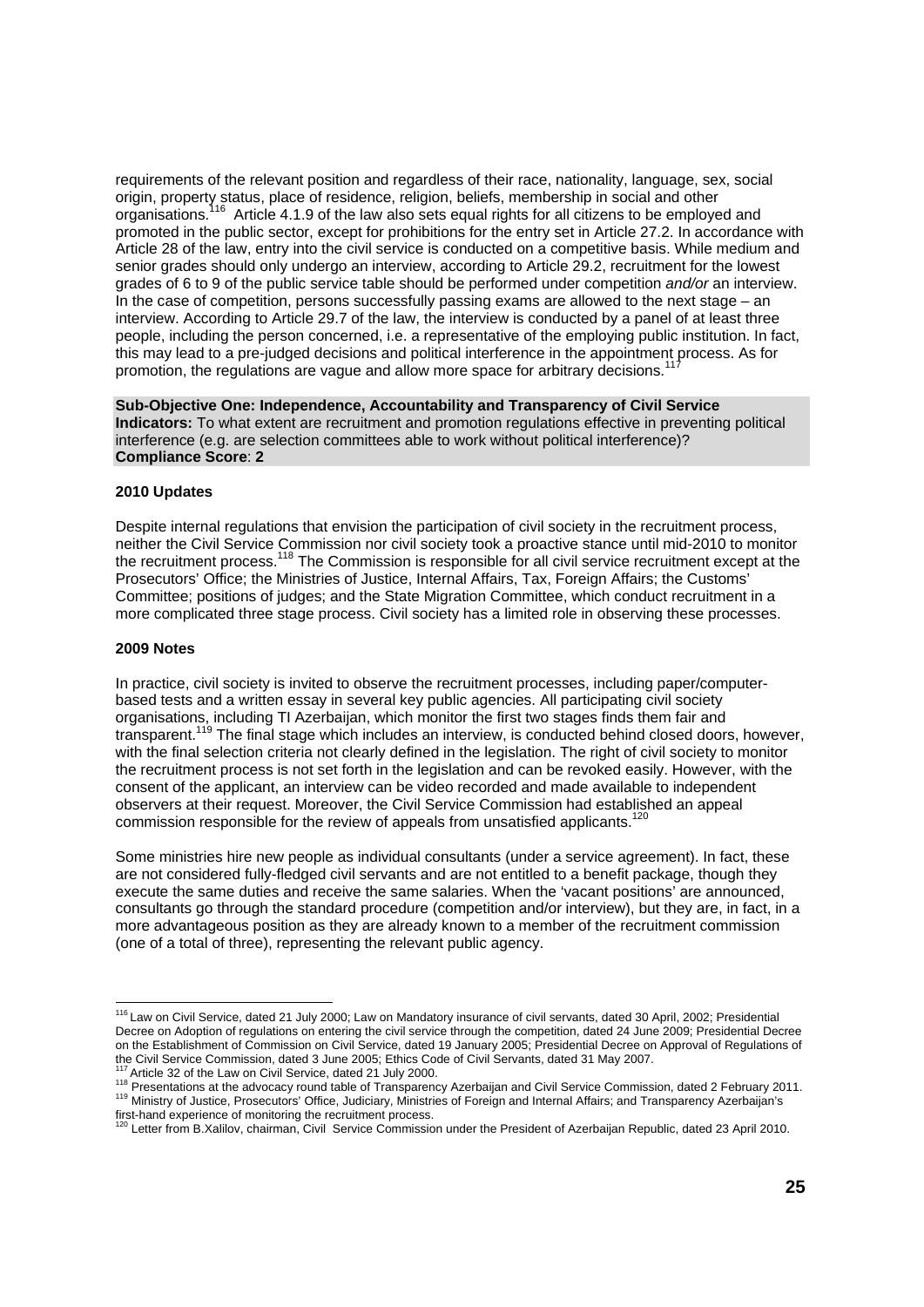requirements of the relevant position and regardless of their race, nationality, language, sex, social origin, property status, place of residence, religion, beliefs, membership in social and other organisations.<sup>116</sup> Article 4.1.9 of the law also sets equal rights for all citizens to be employed and promoted in the public sector, except for prohibitions for the entry set in Article 27.2. In accordance with Article 28 of the law, entry into the civil service is conducted on a competitive basis. While medium and senior grades should only undergo an interview, according to Article 29.2, recruitment for the lowest grades of 6 to 9 of the public service table should be performed under competition *and/or* an interview. In the case of competition, persons successfully passing exams are allowed to the next stage – an interview. According to Article 29.7 of the law, the interview is conducted by a panel of at least three people, including the person concerned, i.e. a representative of the employing public institution. In fact, this may lead to a pre-judged decisions and political interference in the appointment process. As for promotion, the regulations are vague and allow more space for arbitrary decisions.

**Sub-Objective One: Independence, Accountability and Transparency of Civil Service Indicators:** To what extent are recruitment and promotion regulations effective in preventing political interference (e.g. are selection committees able to work without political interference)? **Compliance Score**: **2** 

#### **2010 Updates**

Despite internal regulations that envision the participation of civil society in the recruitment process, neither the Civil Service Commission nor civil society took a proactive stance until mid-2010 to monitor the recruitment process.<sup>118</sup> The Commission is responsible for all civil service recruitment except at the Prosecutors' Office; the Ministries of Justice, Internal Affairs, Tax, Foreign Affairs; the Customs' Committee; positions of judges; and the State Migration Committee, which conduct recruitment in a more complicated three stage process. Civil society has a limited role in observing these processes.

#### **2009 Notes**

In practice, civil society is invited to observe the recruitment processes, including paper/computerbased tests and a written essay in several key public agencies. All participating civil society organisations, including TI Azerbaijan, which monitor the first two stages finds them fair and transparent.119 The final stage which includes an interview, is conducted behind closed doors, however, with the final selection criteria not clearly defined in the legislation. The right of civil society to monitor the recruitment process is not set forth in the legislation and can be revoked easily. However, with the consent of the applicant, an interview can be video recorded and made available to independent observers at their request. Moreover, the Civil Service Commission had established an appeal commission responsible for the review of appeals from unsatisfied applicants.<sup>12</sup>

Some ministries hire new people as individual consultants (under a service agreement). In fact, these are not considered fully-fledged civil servants and are not entitled to a benefit package, though they execute the same duties and receive the same salaries. When the 'vacant positions' are announced, consultants go through the standard procedure (competition and/or interview), but they are, in fact, in a more advantageous position as they are already known to a member of the recruitment commission (one of a total of three), representing the relevant public agency.

<sup>&</sup>lt;sup>116</sup> Law on Civil Service, dated 21 July 2000; Law on Mandatory insurance of civil servants, dated 30 April, 2002; Presidential Decree on Adoption of regulations on entering the civil service through the competition, dated 24 June 2009; Presidential Decree on the Establishment of Commission on Civil Service, dated 19 January 2005; Presidential Decree on Approval of Regulations of the Civil Service Commission, dated 3 June 2005; Ethics Code of Civil Servants, dated 31 May 2007.

<sup>&</sup>lt;sup>117</sup> Article 32 of the Law on Civil Service, dated 21 July 2000.<br><sup>118</sup> Presentations at the advocacy round table of Transparency Azerbaijan and Civil Service Commission, dated 2 February 2011.<br><sup>119</sup> Ministry of Justice, P first-hand experience of monitoring the recruitment process.

 $^0$  Letter from B.Xalilov, chairman, Civil Service Commission under the President of Azerbaijan Republic, dated 23 April 2010.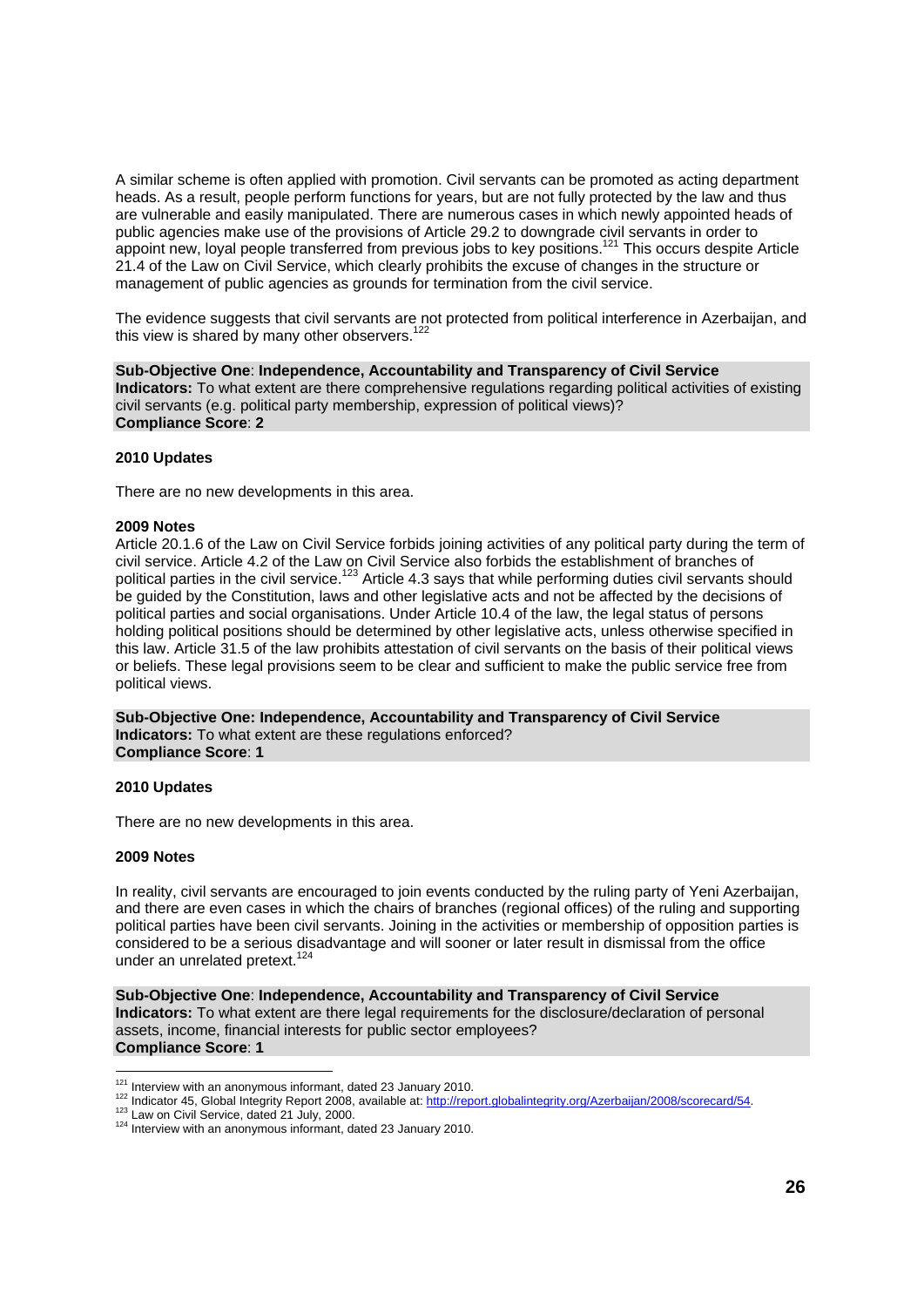A similar scheme is often applied with promotion. Civil servants can be promoted as acting department heads. As a result, people perform functions for years, but are not fully protected by the law and thus are vulnerable and easily manipulated. There are numerous cases in which newly appointed heads of public agencies make use of the provisions of Article 29.2 to downgrade civil servants in order to appoint new, loyal people transferred from previous jobs to key positions.<sup>121</sup> This occurs despite Article 21.4 of the Law on Civil Service, which clearly prohibits the excuse of changes in the structure or management of public agencies as grounds for termination from the civil service.

The evidence suggests that civil servants are not protected from political interference in Azerbaijan, and this view is shared by many other observers.<sup>122</sup>

**Sub-Objective One**: **Independence, Accountability and Transparency of Civil Service Indicators:** To what extent are there comprehensive regulations regarding political activities of existing civil servants (e.g. political party membership, expression of political views)? **Compliance Score**: **2** 

#### **2010 Updates**

There are no new developments in this area.

#### **2009 Notes**

Article 20.1.6 of the Law on Civil Service forbids joining activities of any political party during the term of civil service. Article 4.2 of the Law on Civil Service also forbids the establishment of branches of political parties in the civil service.<sup>123</sup> Article 4.3 says that while performing duties civil servants should be guided by the Constitution, laws and other legislative acts and not be affected by the decisions of political parties and social organisations. Under Article 10.4 of the law, the legal status of persons holding political positions should be determined by other legislative acts, unless otherwise specified in this law. Article 31.5 of the law prohibits attestation of civil servants on the basis of their political views or beliefs. These legal provisions seem to be clear and sufficient to make the public service free from political views.

**Sub-Objective One: Independence, Accountability and Transparency of Civil Service Indicators:** To what extent are these regulations enforced? **Compliance Score**: **1** 

#### **2010 Updates**

There are no new developments in this area.

#### **2009 Notes**

In reality, civil servants are encouraged to join events conducted by the ruling party of Yeni Azerbaijan, and there are even cases in which the chairs of branches (regional offices) of the ruling and supporting political parties have been civil servants. Joining in the activities or membership of opposition parties is considered to be a serious disadvantage and will sooner or later result in dismissal from the office under an unrelated pretext.<sup>124</sup>

**Sub-Objective One**: **Independence, Accountability and Transparency of Civil Service Indicators:** To what extent are there legal requirements for the disclosure/declaration of personal assets, income, financial interests for public sector employees? **Compliance Score**: **1** 

 $121$  Interview with an anonymous informant, dated 23 January 2010.

<sup>&</sup>lt;sup>122</sup> Indicator 45, Global Integrity Report 2008, available at: http://report.globalintegrity.org/Azerbaijan/2008/scorecard/54.<br><sup>123</sup> Law on Civil Service, dated 21 July, 2000.<br><sup>124</sup> Interview with an anonymous informant,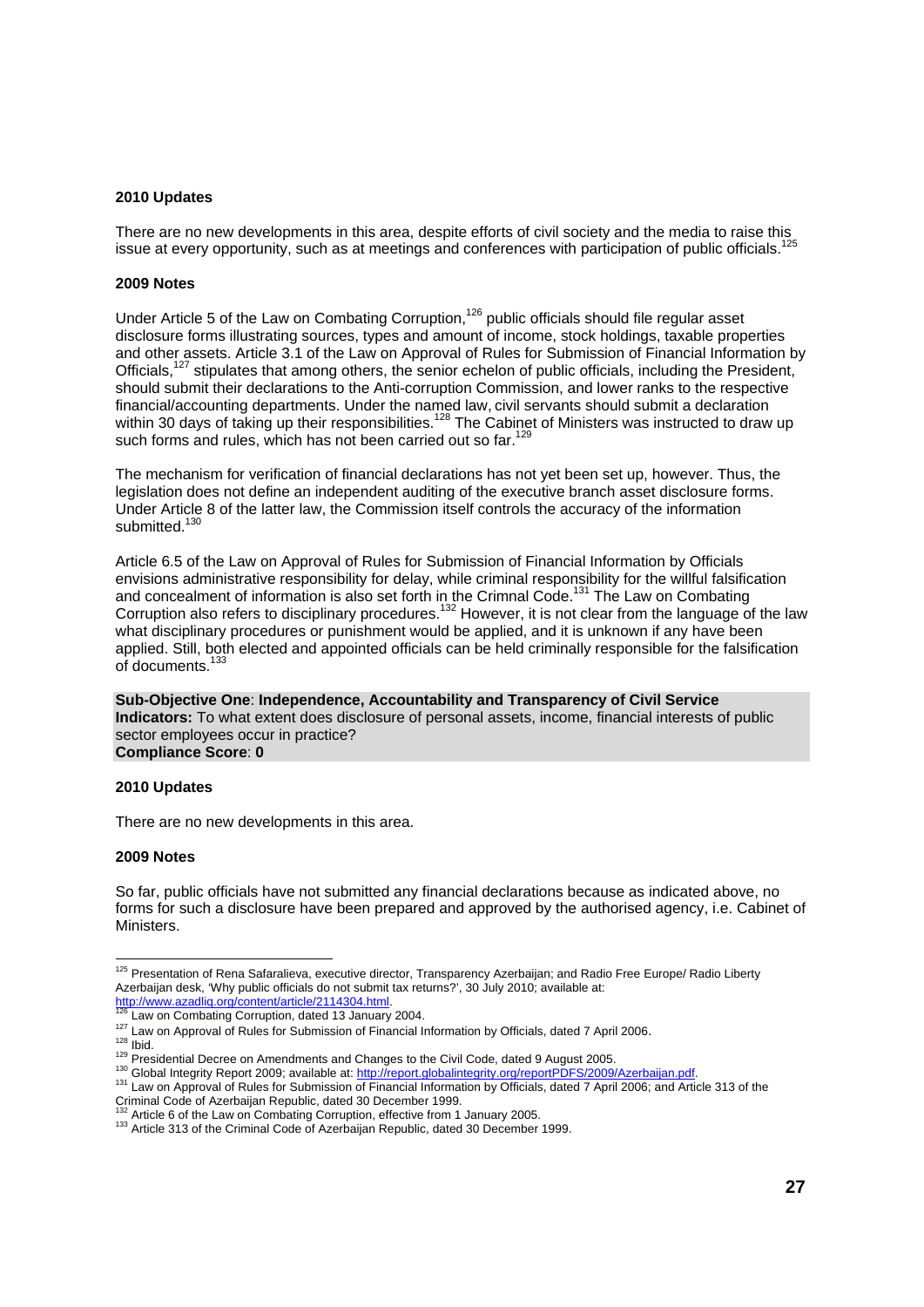#### **2010 Updates**

There are no new developments in this area, despite efforts of civil society and the media to raise this issue at every opportunity, such as at meetings and conferences with participation of public officials.125

#### **2009 Notes**

Under Article 5 of the Law on Combating Corruption,<sup>126</sup> public officials should file regular asset disclosure forms illustrating sources, types and amount of income, stock holdings, taxable properties and other assets. Article 3.1 of the Law on Approval of Rules for Submission of Financial Information by Officials,<sup>127</sup> stipulates that among others, the senior echelon of public officials, including the President, should submit their declarations to the Anti-corruption Commission, and lower ranks to the respective financial/accounting departments. Under the named law, civil servants should submit a declaration within 30 days of taking up their responsibilities.<sup>128</sup> The Cabinet of Ministers was instructed to draw up within 30 days of taking up their responsibilities.<sup>128</sup> The Cabinet of Ministers was instructed to draw up such forms and rules, which has not been carried out so far.<sup>12</sup>

The mechanism for verification of financial declarations has not yet been set up, however. Thus, the legislation does not define an independent auditing of the executive branch asset disclosure forms. Under Article 8 of the latter law, the Commission itself controls the accuracy of the information submitted.<sup>130</sup>

Article 6.5 of the Law on Approval of Rules for Submission of Financial Information by Officials envisions administrative responsibility for delay, while criminal responsibility for the willful falsification and concealment of information is also set forth in the Crimnal Code.<sup>131</sup> The Law on Combating Corruption also refers to disciplinary procedures.132 However, it is not clear from the language of the law what disciplinary procedures or punishment would be applied, and it is unknown if any have been applied. Still, both elected and appointed officials can be held criminally responsible for the falsification of documents.<sup>13</sup>

**Sub-Objective One**: **Independence, Accountability and Transparency of Civil Service Indicators:** To what extent does disclosure of personal assets, income, financial interests of public sector employees occur in practice?

**Compliance Score**: **0** 

#### **2010 Updates**

There are no new developments in this area.

#### **2009 Notes**

So far, public officials have not submitted any financial declarations because as indicated above, no forms for such a disclosure have been prepared and approved by the authorised agency, i.e. Cabinet of Ministers.

l

<sup>&</sup>lt;sup>125</sup> Presentation of Rena Safaralieva, executive director, Transparency Azerbaijan; and Radio Free Europe/ Radio Liberty Azerbaijan desk, 'Why public officials do not submit tax returns?', 30 July 2010; available at:<br>http://www.azadliq.org/content/article/2114304.html.<br><sup>126</sup> Law on Combating Corruption, dated 13 January 2004.

<sup>&</sup>lt;sup>127</sup> Law on Approval of Rules for Submission of Financial Information by Officials, dated 7 April 2006.<br><sup>128</sup> Ibid.<br><sup>129</sup> Presidential Decree on Amendments and Changes to the Civil Code, dated 9 August 2005.<br><sup>130</sup> Global Criminal Code of Azerbaijan Republic, dated 30 December 1999.<br><sup>132</sup> Article 6 of the Law on Combating Corruption, effective from 1 January 2005.

<sup>133</sup> Article 6 of the Law on Combatting Correption, effective from 10 January 2005. 133 Article 313 of the Criminal Code of Azerbaijan Republic, dated 30 December 1999.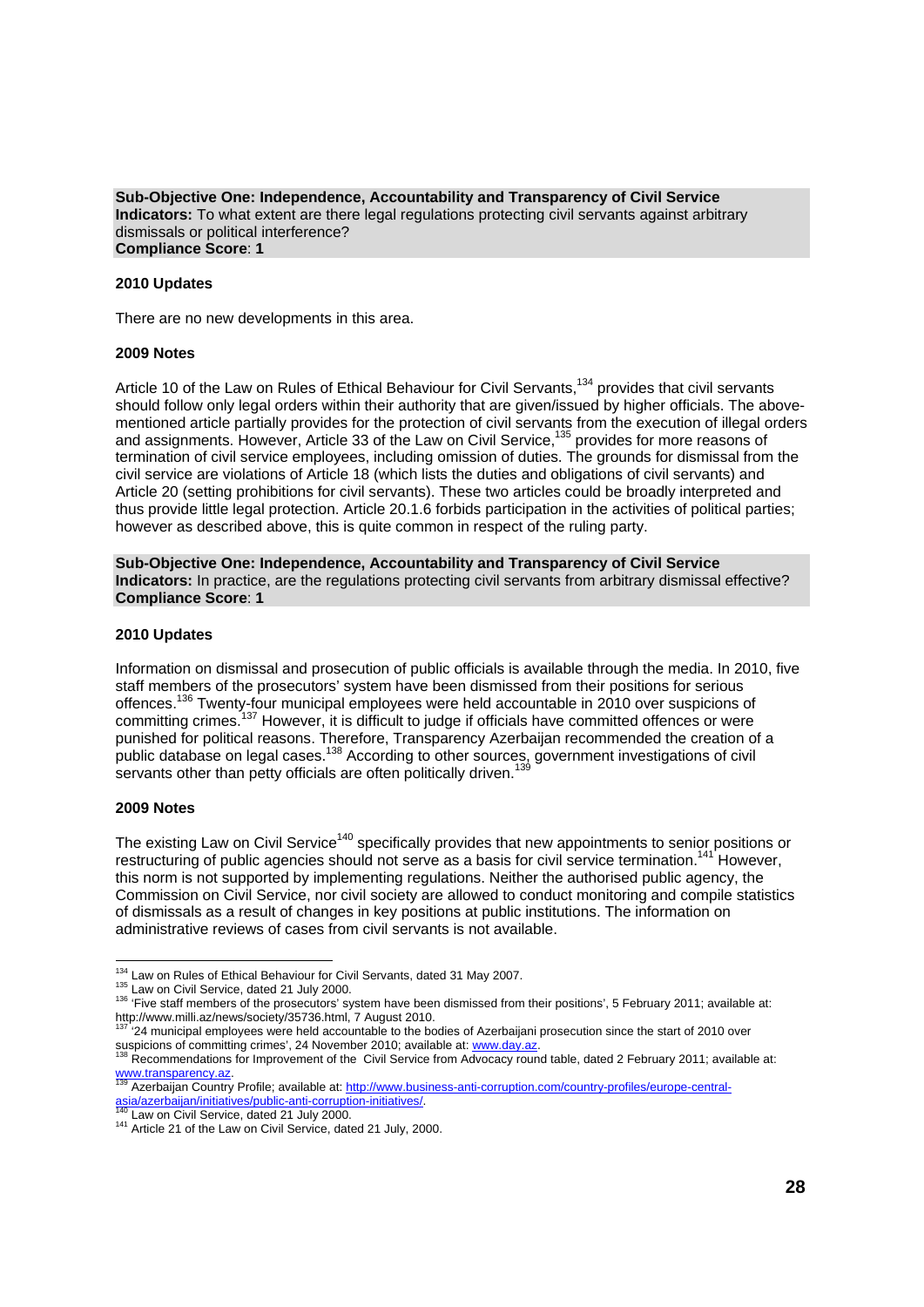#### **Sub-Objective One: Independence, Accountability and Transparency of Civil Service Indicators:** To what extent are there legal regulations protecting civil servants against arbitrary dismissals or political interference? **Compliance Score**: **1**

#### **2010 Updates**

There are no new developments in this area.

#### **2009 Notes**

Article 10 of the Law on Rules of Ethical Behaviour for Civil Servants,<sup>134</sup> provides that civil servants should follow only legal orders within their authority that are given/issued by higher officials. The abovementioned article partially provides for the protection of civil servants from the execution of illegal orders and assignments. However, Article 33 of the Law on Civil Service,<sup>135</sup> provides for more reasons of termination of civil service employees, including omission of duties. The grounds for dismissal from the civil service are violations of Article 18 (which lists the duties and obligations of civil servants) and Article 20 (setting prohibitions for civil servants). These two articles could be broadly interpreted and thus provide little legal protection. Article 20.1.6 forbids participation in the activities of political parties; however as described above, this is quite common in respect of the ruling party.

**Sub-Objective One: Independence, Accountability and Transparency of Civil Service Indicators:** In practice, are the regulations protecting civil servants from arbitrary dismissal effective? **Compliance Score**: **1** 

#### **2010 Updates**

Information on dismissal and prosecution of public officials is available through the media. In 2010, five staff members of the prosecutors' system have been dismissed from their positions for serious offences.136 Twenty-four municipal employees were held accountable in 2010 over suspicions of committing crimes.<sup>137</sup> However, it is difficult to judge if officials have committed offences or were punished for political reasons. Therefore, Transparency Azerbaijan recommended the creation of a public database on legal cases.<sup>138</sup> According to other sources, government investigations of civil servants other than petty officials are often politically driven.<sup>139</sup>

#### **2009 Notes**

The existing Law on Civil Service<sup>140</sup> specifically provides that new appointments to senior positions or restructuring of public agencies should not serve as a basis for civil service termination.<sup>141</sup> However, this norm is not supported by implementing regulations. Neither the authorised public agency, the Commission on Civil Service, nor civil society are allowed to conduct monitoring and compile statistics of dismissals as a result of changes in key positions at public institutions. The information on administrative reviews of cases from civil servants is not available.

<sup>134</sup> Law on Rules of Ethical Behaviour for Civil Servants, dated 31 May 2007.

<sup>135</sup> Law on Civil Service, dated 21 July 2000.<br><sup>135</sup> Law on Civil Service, dated 21 July 2000.<br><sup>136</sup> 'Five staff members of the prosecutors' system have been dismissed from their positions', 5 February 2011; available at: http://www.milli.az/news/society/35736.html, 7 August 2010.

<sup>137 &#</sup>x27;24 municipal employees were held accountable to the bodies of Azerbaijani prosecution since the start of 2010 over suspicions of committing crimes', 24 November 2010; available at: www.day.az. 138 Recommendations for Improvement of the Civil Service from Advocacy round table, dated 2 February 2011; available at:

www.transparency.az.<br><sup>139</sup> Azerbaijan Country Profile; available at: http://www.business-anti-corruption.com/country-profiles/europe-central-<br>asia/azerbaijan/initiatives/public-anti-corruption-initiatives/. asia/azerbaijan/initiatives/public-anti-corruption-initiatives/.<br><sup>140</sup> Law on Civil Service, dated 21 July 2000.<br><sup>141</sup> Article 21 of the Law on Civil Service, dated 21 July, 2000.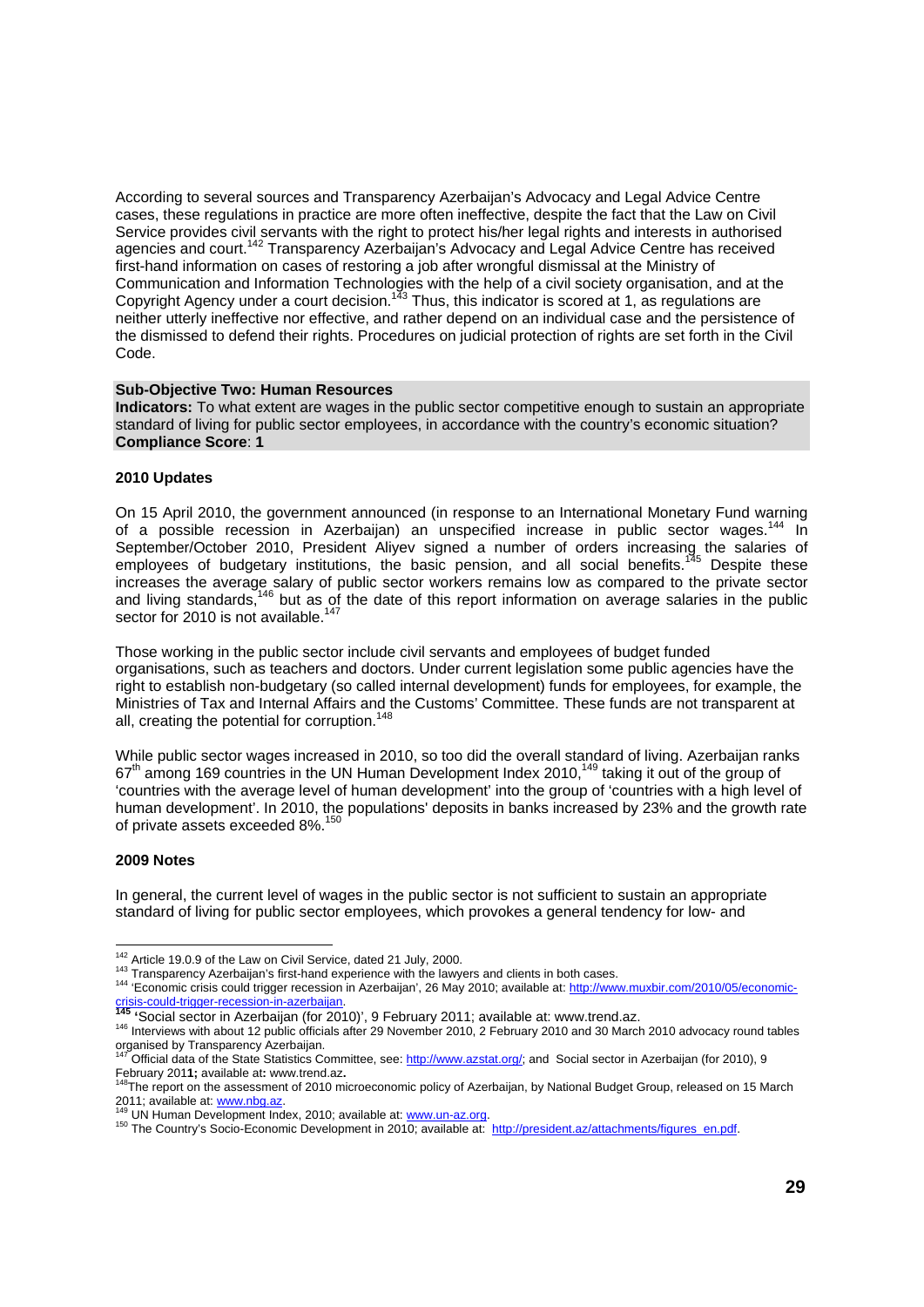According to several sources and Transparency Azerbaijan's Advocacy and Legal Advice Centre cases, these regulations in practice are more often ineffective, despite the fact that the Law on Civil Service provides civil servants with the right to protect his/her legal rights and interests in authorised agencies and court.<sup>142</sup> Transparency Azerbaijan's Advocacy and Legal Advice Centre has received first-hand information on cases of restoring a job after wrongful dismissal at the Ministry of Communication and Information Technologies with the help of a civil society organisation, and at the Copyright Agency under a court decision.143 Thus, this indicator is scored at 1, as regulations are neither utterly ineffective nor effective, and rather depend on an individual case and the persistence of the dismissed to defend their rights. Procedures on judicial protection of rights are set forth in the Civil Code.

#### **Sub-Objective Two: Human Resources**

**Indicators:** To what extent are wages in the public sector competitive enough to sustain an appropriate standard of living for public sector employees, in accordance with the country's economic situation? **Compliance Score**: **1** 

#### **2010 Updates**

On 15 April 2010, the government announced (in response to an International Monetary Fund warning of a possible recession in Azerbaijan) an unspecified increase in public sector wages.<sup>144</sup> In September/October 2010, President Aliyev signed a number of orders increasing the salaries of employees of budgetary institutions, the basic pension, and all social benefits.<sup>145</sup> Despite these increases the average salary of public sector workers remains low as compared to the private sector and living standards,<sup>146</sup> but as of the date of this report information on average salaries in the public sector for 2010 is not available.<sup>147</sup>

Those working in the public sector include civil servants and employees of budget funded organisations, such as teachers and doctors. Under current legislation some public agencies have the right to establish non-budgetary (so called internal development) funds for employees, for example, the Ministries of Tax and Internal Affairs and the Customs' Committee. These funds are not transparent at all, creating the potential for corruption.<sup>148</sup>

While public sector wages increased in 2010, so too did the overall standard of living. Azerbaijan ranks 67<sup>th</sup> among 169 countries in the UN Human Development Index 2010,<sup>149</sup> taking it out of the group of 'countries with the average level of human development' into the group of 'countries with a high level of human development'. In 2010, the populations' deposits in banks increased by 23% and the growth rate of private assets exceeded 8%.<sup>150</sup>

#### **2009 Notes**

In general, the current level of wages in the public sector is not sufficient to sustain an appropriate standard of living for public sector employees, which provokes a general tendency for low- and

<sup>&</sup>lt;sup>142</sup> Article 19.0.9 of the Law on Civil Service, dated 21 July, 2000.

<sup>&</sup>lt;sup>143</sup> Transparency Azerbaijan's first-hand experience with the lawyers and clients in both cases.<br><sup>144</sup> 'Economic crisis could trigger recession in Azerbaijan', 26 May 2010; available at: http://www.muxbir.com/2010/05/econ

<sup>&</sup>lt;u>crisis-could-trigger-recession-in-azerpaijan</u>.<br><sup>145</sup> 'Social sector in Azerbaijan (for 2010)', 9 February 2011; available at: www.trend.az.<br><sup>146</sup> Interviews with about 12 public officials after 29 November 2010, 2 Februar organised by Transparency Azerbaijan.

Official data of the State Statistics Committee, see: http://www.azstat.org/; and Social sector in Azerbaijan (for 2010), 9 February 201**1**; available at: www.trend.az.<br><sup>148</sup>The report on the assessment of 2010 microeconomic policy of Azerbaijan, by National Budget Group, released on 15 March

<sup>2011;</sup> available at: www.nbg.az.<br><sup>149</sup> UN Human Development Index, 2010; available at: www.un-az.org.<br><sup>150</sup> The Country's Socio-Economic Development in 2010; available at: http://president.az/attachments/figures\_en.pdf.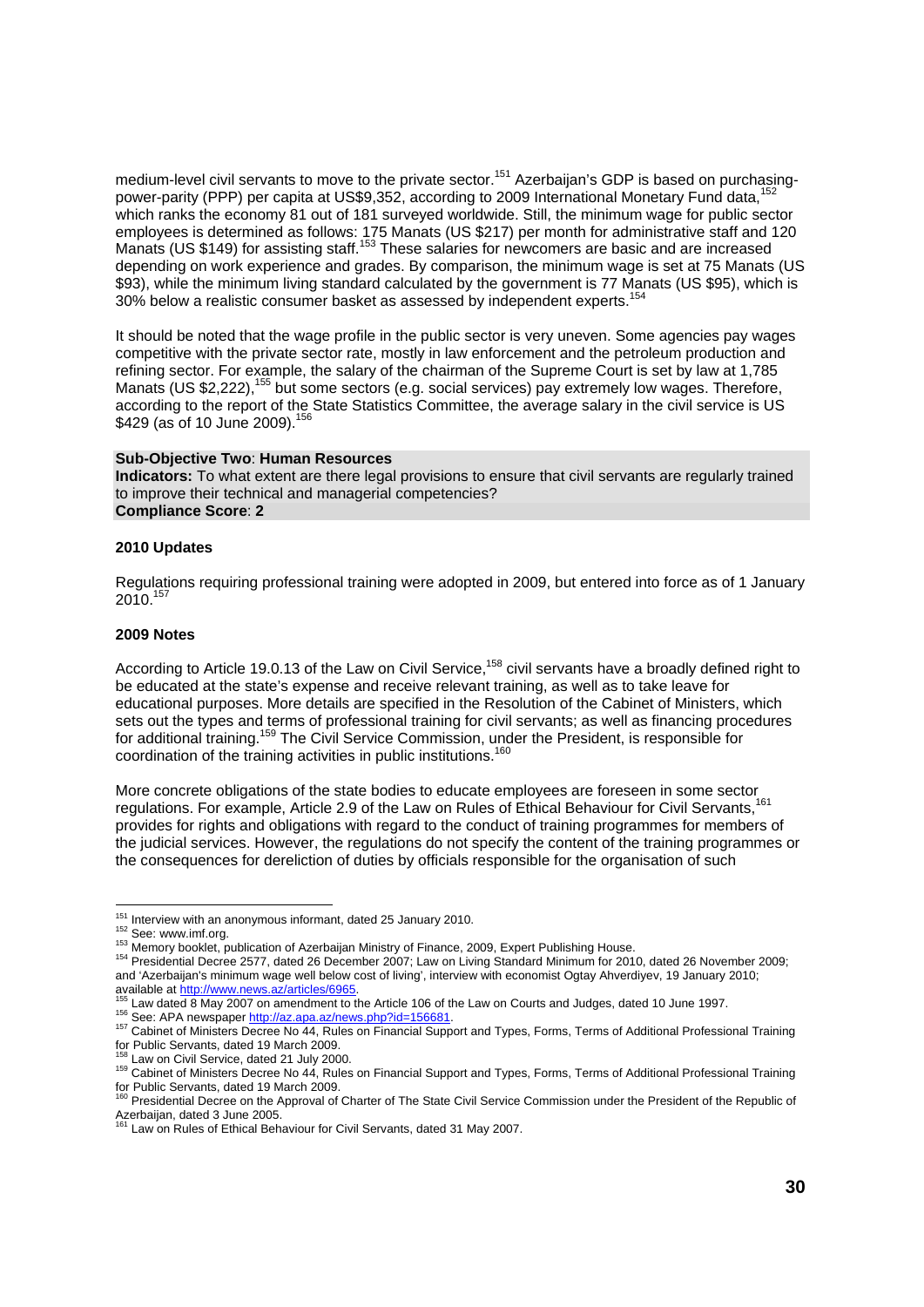medium-level civil servants to move to the private sector.<sup>151</sup> Azerbaijan's GDP is based on purchasingpower-parity (PPP) per capita at US\$9,352, according to 2009 International Monetary Fund data,<sup>1</sup> which ranks the economy 81 out of 181 surveyed worldwide. Still, the minimum wage for public sector employees is determined as follows: 175 Manats (US \$217) per month for administrative staff and 120 Manats (US \$149) for assisting staff.153 These salaries for newcomers are basic and are increased depending on work experience and grades. By comparison, the minimum wage is set at 75 Manats (US \$93), while the minimum living standard calculated by the government is 77 Manats (US \$95), which is 30% below a realistic consumer basket as assessed by independent experts.<sup>154</sup>

It should be noted that the wage profile in the public sector is very uneven. Some agencies pay wages competitive with the private sector rate, mostly in law enforcement and the petroleum production and refining sector. For example, the salary of the chairman of the Supreme Court is set by law at 1,785 Manats (US \$2,222),155 but some sectors (e.g. social services) pay extremely low wages. Therefore, according to the report of the State Statistics Committee, the average salary in the civil service is US \$429 (as of 10 June 2009).<sup>15</sup>

#### **Sub-Objective Two**: **Human Resources**

**Indicators:** To what extent are there legal provisions to ensure that civil servants are regularly trained to improve their technical and managerial competencies? **Compliance Score**: **2** 

#### **2010 Updates**

Regulations requiring professional training were adopted in 2009, but entered into force as of 1 January 2010.157

#### **2009 Notes**

According to Article 19.0.13 of the Law on Civil Service,<sup>158</sup> civil servants have a broadly defined right to be educated at the state's expense and receive relevant training, as well as to take leave for educational purposes. More details are specified in the Resolution of the Cabinet of Ministers, which sets out the types and terms of professional training for civil servants; as well as financing procedures for additional training.159 The Civil Service Commission, under the President, is responsible for coordination of the training activities in public institutions.160

More concrete obligations of the state bodies to educate employees are foreseen in some sector regulations. For example, Article 2.9 of the Law on Rules of Ethical Behaviour for Civil Servants,<sup>161</sup> provides for rights and obligations with regard to the conduct of training programmes for members of the judicial services. However, the regulations do not specify the content of the training programmes or the consequences for dereliction of duties by officials responsible for the organisation of such

152 See: www.imf.org.<br><sup>152</sup> See: www.imf.org.<br><sup>153</sup> Memory booklet, publication of Azerbaijan Ministry of Finance, 2009, Expert Publishing House.<br><sup>154</sup> Presidential Decree 2577, dated 26 December 2007; Law on Living Standa and 'Azerbaijan's minimum wage well below cost of living', interview with economist Ogtay Ahverdiyev, 19 January 2010; available at http://www.news.az/articles/6965.

 $151$  Interview with an anonymous informant, dated 25 January 2010.

<sup>&</sup>lt;sup>155</sup> Law dated 8 May 2007 on amendment to the Article 106 of the Law on Courts and Judges, dated 10 June 1997.<br><sup>156</sup> See: APA newspaper http://az.apa.az/news.php?id=156681.<br><sup>157</sup> Cabinet of Ministers Decree No 44, Rules o for Public Servants, dated 19 March 2009.<br><sup>158</sup> Law on Civil Service, dated 21 July 2000.

<sup>159</sup> Cabinet of Ministers Decree No 44, Rules on Financial Support and Types, Forms, Terms of Additional Professional Training

for Public Servants, dated 19 March 2009.<br><sup>160</sup> Presidential Decree on the Approval of Charter of The State Civil Service Commission under the President of the Republic of

Azerbaijan, dated 3 June 2005.<br><sup>161</sup> Law on Rules of Ethical Behaviour for Civil Servants, dated 31 May 2007.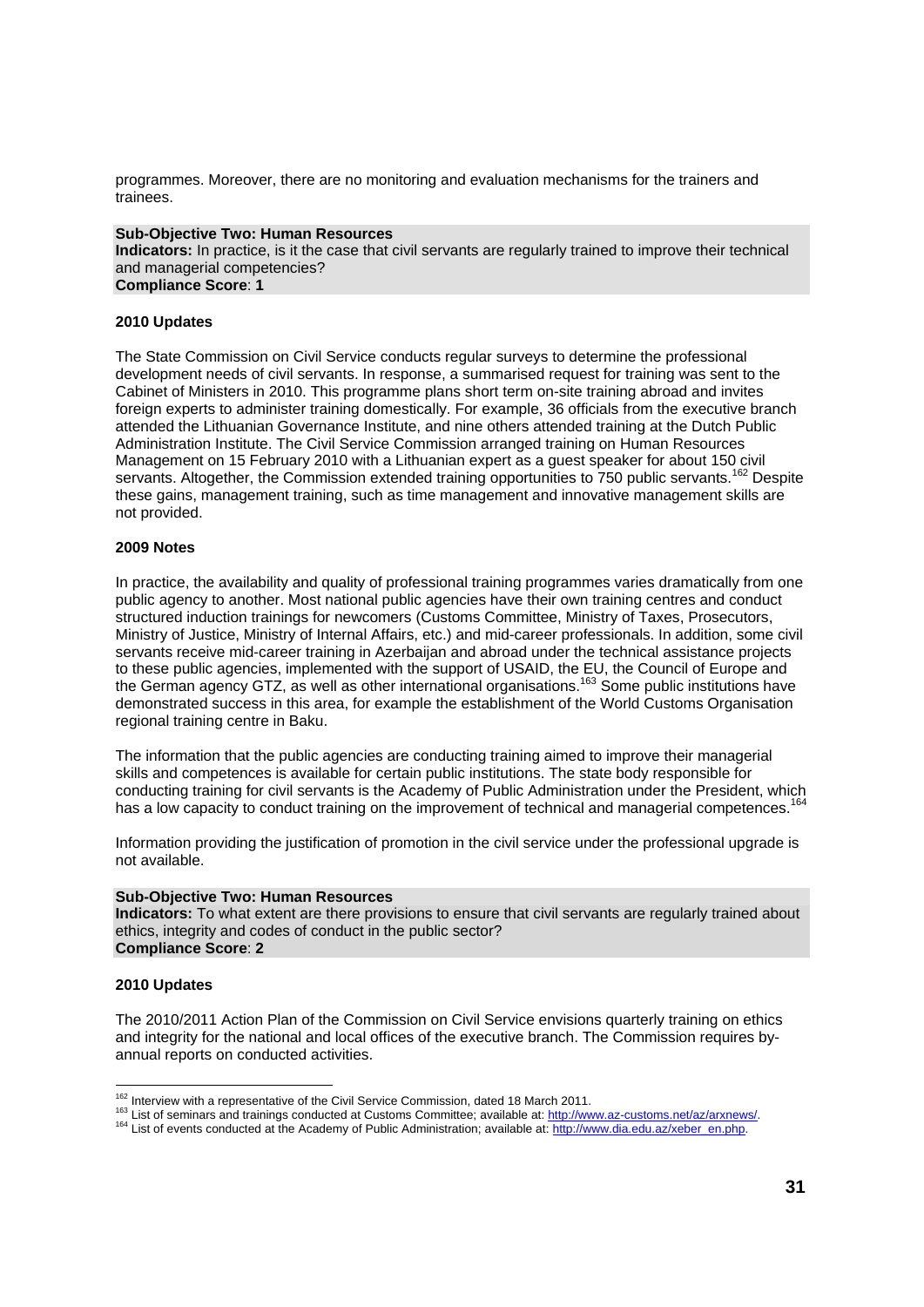programmes. Moreover, there are no monitoring and evaluation mechanisms for the trainers and trainees.

#### **Sub-Objective Two: Human Resources**

**Indicators:** In practice, is it the case that civil servants are regularly trained to improve their technical and managerial competencies? **Compliance Score**: **1** 

#### **2010 Updates**

The State Commission on Civil Service conducts regular surveys to determine the professional development needs of civil servants. In response, a summarised request for training was sent to the Cabinet of Ministers in 2010. This programme plans short term on-site training abroad and invites foreign experts to administer training domestically. For example, 36 officials from the executive branch attended the Lithuanian Governance Institute, and nine others attended training at the Dutch Public Administration Institute. The Civil Service Commission arranged training on Human Resources Management on 15 February 2010 with a Lithuanian expert as a guest speaker for about 150 civil servants. Altogether, the Commission extended training opportunities to 750 public servants.<sup>162</sup> Despite these gains, management training, such as time management and innovative management skills are not provided.

#### **2009 Notes**

In practice, the availability and quality of professional training programmes varies dramatically from one public agency to another. Most national public agencies have their own training centres and conduct structured induction trainings for newcomers (Customs Committee, Ministry of Taxes, Prosecutors, Ministry of Justice, Ministry of Internal Affairs, etc.) and mid-career professionals. In addition, some civil servants receive mid-career training in Azerbaijan and abroad under the technical assistance projects to these public agencies, implemented with the support of USAID, the EU, the Council of Europe and the German agency GTZ, as well as other international organisations.163 Some public institutions have demonstrated success in this area, for example the establishment of the World Customs Organisation regional training centre in Baku.

The information that the public agencies are conducting training aimed to improve their managerial skills and competences is available for certain public institutions. The state body responsible for conducting training for civil servants is the Academy of Public Administration under the President, which has a low capacity to conduct training on the improvement of technical and managerial competences.<sup>164</sup>

Information providing the justification of promotion in the civil service under the professional upgrade is not available.

#### **Sub-Objective Two: Human Resources**

**Indicators:** To what extent are there provisions to ensure that civil servants are regularly trained about ethics, integrity and codes of conduct in the public sector? **Compliance Score**: **2** 

#### **2010 Updates**

The 2010/2011 Action Plan of the Commission on Civil Service envisions quarterly training on ethics and integrity for the national and local offices of the executive branch. The Commission requires byannual reports on conducted activities.

<sup>&</sup>lt;sup>162</sup> Interview with a representative of the Civil Service Commission, dated 18 March 2011.

List of seminars and trainings conducted at Customs Committee; available at: http://www.az-customs.net/az/arxnews/<br><sup>164</sup> List of events conducted at the Academy of Public Administration; available at: http://www.dia.edu.az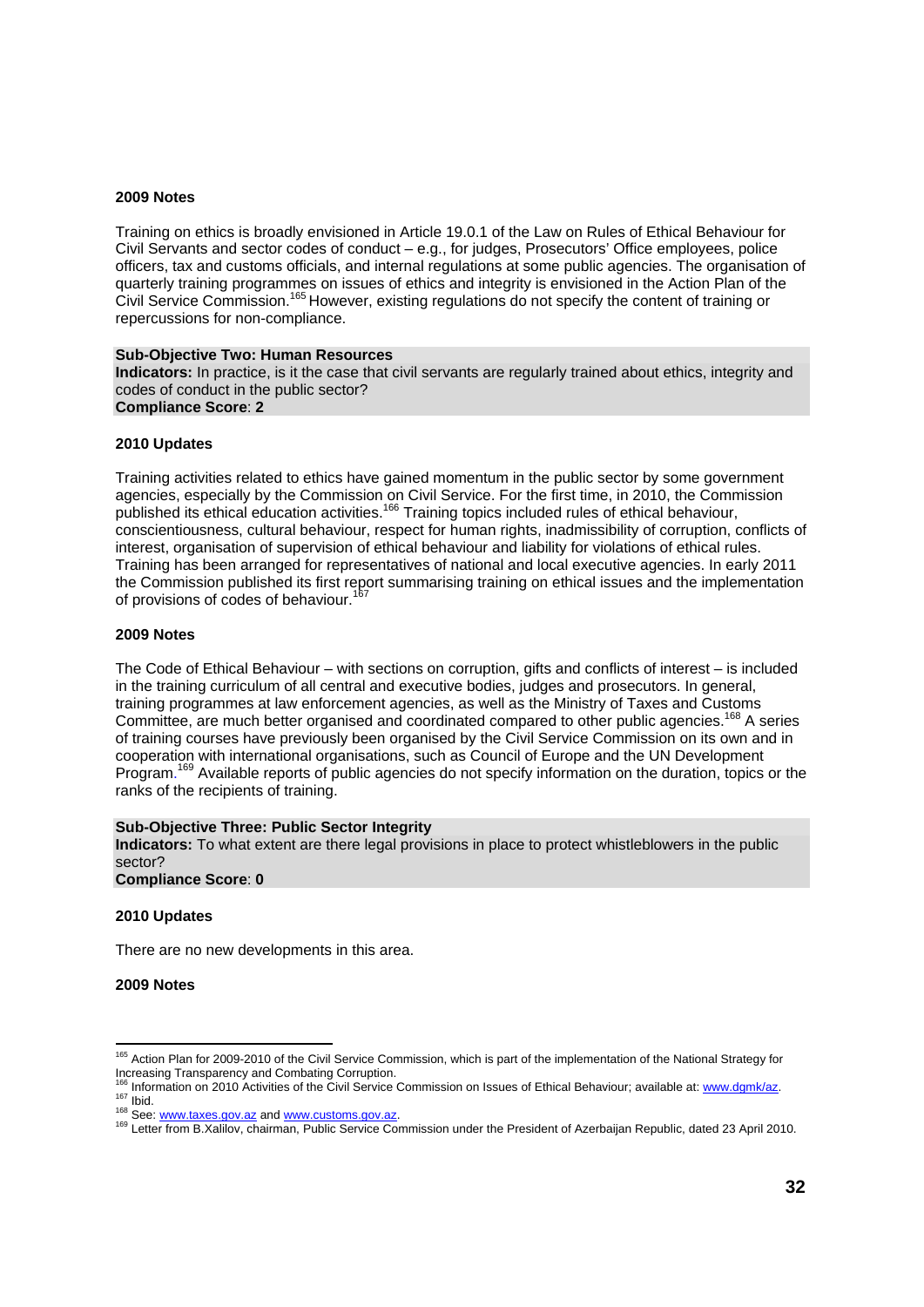#### **2009 Notes**

Training on ethics is broadly envisioned in Article 19.0.1 of the Law on Rules of Ethical Behaviour for Civil Servants and sector codes of conduct – e.g., for judges, Prosecutors' Office employees, police officers, tax and customs officials, and internal regulations at some public agencies. The organisation of quarterly training programmes on issues of ethics and integrity is envisioned in the Action Plan of the Civil Service Commission.165 However, existing regulations do not specify the content of training or repercussions for non-compliance.

#### **Sub-Objective Two: Human Resources**

**Indicators:** In practice, is it the case that civil servants are regularly trained about ethics, integrity and codes of conduct in the public sector? **Compliance Score**: **2** 

#### **2010 Updates**

Training activities related to ethics have gained momentum in the public sector by some government agencies, especially by the Commission on Civil Service. For the first time, in 2010, the Commission published its ethical education activities.<sup>166</sup> Training topics included rules of ethical behaviour, conscientiousness, cultural behaviour, respect for human rights, inadmissibility of corruption, conflicts of interest, organisation of supervision of ethical behaviour and liability for violations of ethical rules. Training has been arranged for representatives of national and local executive agencies. In early 2011 the Commission published its first report summarising training on ethical issues and the implementation of provisions of codes of behaviour.<sup>167</sup>

#### **2009 Notes**

The Code of Ethical Behaviour – with sections on corruption, gifts and conflicts of interest – is included in the training curriculum of all central and executive bodies, judges and prosecutors. In general, training programmes at law enforcement agencies, as well as the Ministry of Taxes and Customs Committee, are much better organised and coordinated compared to other public agencies.<sup>168</sup> A series of training courses have previously been organised by the Civil Service Commission on its own and in cooperation with international organisations, such as Council of Europe and the UN Development Program.<sup>169</sup> Available reports of public agencies do not specify information on the duration, topics or the ranks of the recipients of training.

#### **Sub-Objective Three: Public Sector Integrity**

**Indicators:** To what extent are there legal provisions in place to protect whistleblowers in the public sector?

**Compliance Score**: **0** 

#### **2010 Updates**

There are no new developments in this area.

**2009 Notes**

l

<sup>&</sup>lt;sup>165</sup> Action Plan for 2009-2010 of the Civil Service Commission, which is part of the implementation of the National Strategy for Increasing Transparency and Combating Corruption.<br><sup>166</sup> Information on 2010 Activities of the Civil Service Commission on Issues of Ethical Behaviour; available at: www.dgmk/az.

<sup>167</sup> Information on 2010 Activities of the Orthogo Schmitters and Commission and President of Azerbaijan Republic, dated 23 April 2010.<br><sup>168</sup> See: www.taxes.gov.az and www.customs.gov.az.<br><sup>169</sup> Letter from B.Xalilov, chairm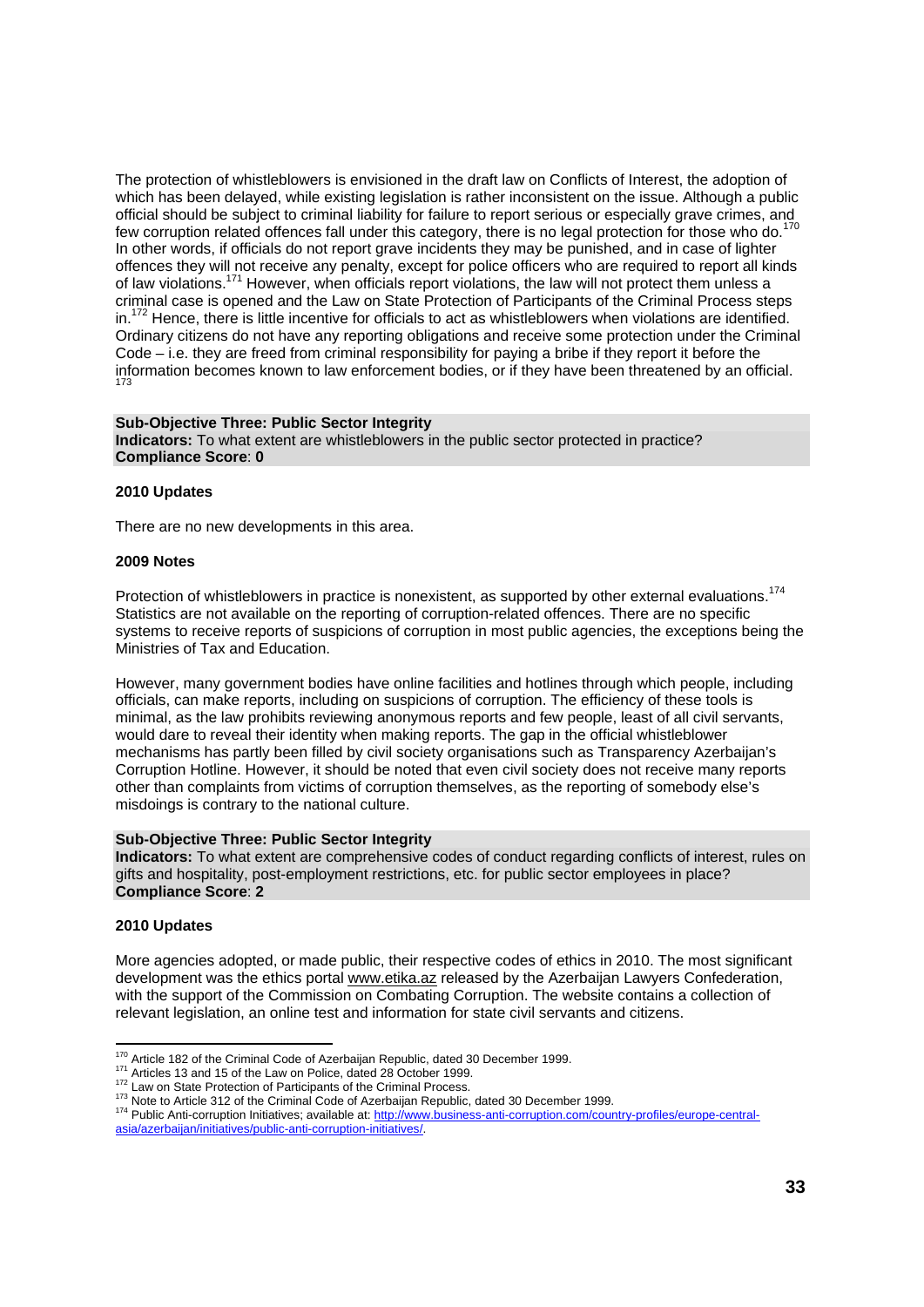The protection of whistleblowers is envisioned in the draft law on Conflicts of Interest, the adoption of which has been delayed, while existing legislation is rather inconsistent on the issue. Although a public official should be subject to criminal liability for failure to report serious or especially grave crimes, and few corruption related offences fall under this category, there is no legal protection for those who do.<sup>170</sup> In other words, if officials do not report grave incidents they may be punished, and in case of lighter offences they will not receive any penalty, except for police officers who are required to report all kinds of law violations.171 However, when officials report violations, the law will not protect them unless a criminal case is opened and the Law on State Protection of Participants of the Criminal Process steps in.<sup>172</sup> Hence, there is little incentive for officials to act as whistleblowers when violations are identified. Ordinary citizens do not have any reporting obligations and receive some protection under the Criminal Code – i.e. they are freed from criminal responsibility for paying a bribe if they report it before the information becomes known to law enforcement bodies, or if they have been threatened by an official. 173

#### **Sub-Objective Three: Public Sector Integrity**

**Indicators:** To what extent are whistleblowers in the public sector protected in practice? **Compliance Score**: **0** 

#### **2010 Updates**

There are no new developments in this area.

#### **2009 Notes**

Protection of whistleblowers in practice is nonexistent, as supported by other external evaluations.<sup>174</sup> Statistics are not available on the reporting of corruption-related offences. There are no specific systems to receive reports of suspicions of corruption in most public agencies, the exceptions being the Ministries of Tax and Education.

However, many government bodies have online facilities and hotlines through which people, including officials, can make reports, including on suspicions of corruption. The efficiency of these tools is minimal, as the law prohibits reviewing anonymous reports and few people, least of all civil servants, would dare to reveal their identity when making reports. The gap in the official whistleblower mechanisms has partly been filled by civil society organisations such as Transparency Azerbaijan's Corruption Hotline. However, it should be noted that even civil society does not receive many reports other than complaints from victims of corruption themselves, as the reporting of somebody else's misdoings is contrary to the national culture.

#### **Sub-Objective Three: Public Sector Integrity**

**Indicators:** To what extent are comprehensive codes of conduct regarding conflicts of interest, rules on gifts and hospitality, post-employment restrictions, etc. for public sector employees in place? **Compliance Score**: **2** 

#### **2010 Updates**

More agencies adopted, or made public, their respective codes of ethics in 2010. The most significant development was the ethics portal www.etika.az released by the Azerbaijan Lawyers Confederation, with the support of the Commission on Combating Corruption. The website contains a collection of relevant legislation, an online test and information for state civil servants and citizens.

<sup>170</sup> Article 182 of the Criminal Code of Azerbaijan Republic, dated 30 December 1999.

Articles 13 and 15 of the Law on Police, dated 28 October 1999.<br><sup>172</sup> Law on State Protection of Participants of the Criminal Process.<br><sup>173</sup> Note to Article 312 of the Criminal Code of Azerbaijan Republic, dated 30 Decembe asia/azerbaijan/initiatives/public-anti-corruption-initiatives/.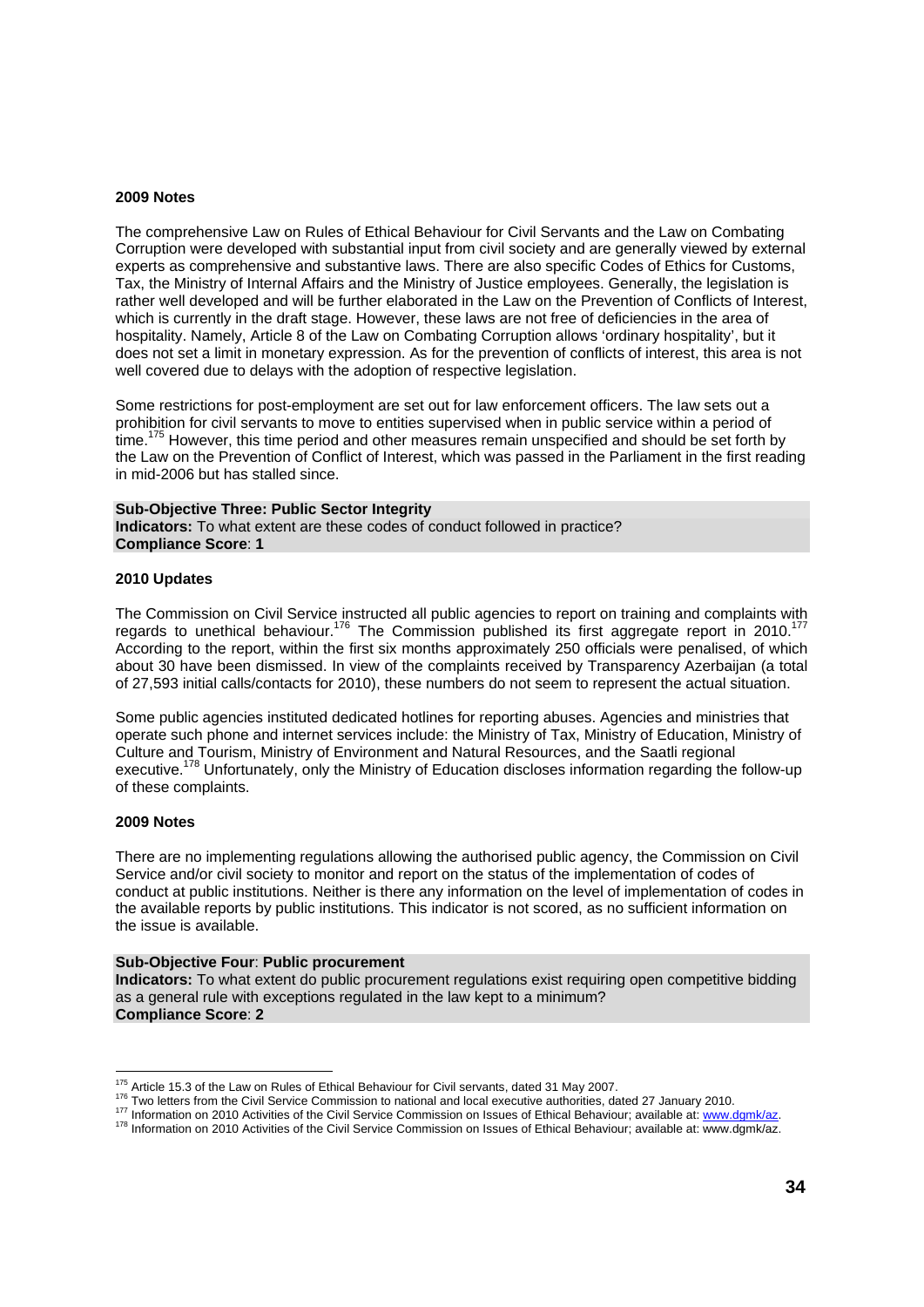#### **2009 Notes**

The comprehensive Law on Rules of Ethical Behaviour for Civil Servants and the Law on Combating Corruption were developed with substantial input from civil society and are generally viewed by external experts as comprehensive and substantive laws. There are also specific Codes of Ethics for Customs, Tax, the Ministry of Internal Affairs and the Ministry of Justice employees. Generally, the legislation is rather well developed and will be further elaborated in the Law on the Prevention of Conflicts of Interest, which is currently in the draft stage. However, these laws are not free of deficiencies in the area of hospitality. Namely, Article 8 of the Law on Combating Corruption allows 'ordinary hospitality', but it does not set a limit in monetary expression. As for the prevention of conflicts of interest, this area is not well covered due to delays with the adoption of respective legislation.

Some restrictions for post-employment are set out for law enforcement officers. The law sets out a prohibition for civil servants to move to entities supervised when in public service within a period of time.<sup>175</sup> However, this time period and other measures remain unspecified and should be set forth by the Law on the Prevention of Conflict of Interest, which was passed in the Parliament in the first reading in mid-2006 but has stalled since.

#### **Sub-Objective Three: Public Sector Integrity**

**Indicators:** To what extent are these codes of conduct followed in practice? **Compliance Score**: **1** 

#### **2010 Updates**

The Commission on Civil Service instructed all public agencies to report on training and complaints with regards to unethical behaviour.<sup>176</sup> The Commission published its first aggregate report in 2010.<sup>1</sup> According to the report, within the first six months approximately 250 officials were penalised, of which about 30 have been dismissed. In view of the complaints received by Transparency Azerbaijan (a total of 27,593 initial calls/contacts for 2010), these numbers do not seem to represent the actual situation.

Some public agencies instituted dedicated hotlines for reporting abuses. Agencies and ministries that operate such phone and internet services include: the Ministry of Tax, Ministry of Education, Ministry of Culture and Tourism, Ministry of Environment and Natural Resources, and the Saatli regional executive.<sup>178</sup> Unfortunately, only the Ministry of Education discloses information regarding the follow-up of these complaints.

#### **2009 Notes**

There are no implementing regulations allowing the authorised public agency, the Commission on Civil Service and/or civil society to monitor and report on the status of the implementation of codes of conduct at public institutions. Neither is there any information on the level of implementation of codes in the available reports by public institutions. This indicator is not scored, as no sufficient information on the issue is available.

#### **Sub-Objective Four**: **Public procurement**

**Indicators:** To what extent do public procurement regulations exist requiring open competitive bidding as a general rule with exceptions regulated in the law kept to a minimum? **Compliance Score**: **2** 

<sup>&</sup>lt;sup>175</sup> Article 15.3 of the Law on Rules of Ethical Behaviour for Civil servants, dated 31 May 2007.

<sup>&</sup>lt;sup>176</sup> Two letters from the Civil Service Commission to national and local executive authorities, dated 27 January 2010.<br><sup>177</sup> Information on 2010 Activities of the Civil Service Commission on Issues of Ethical Behaviour; a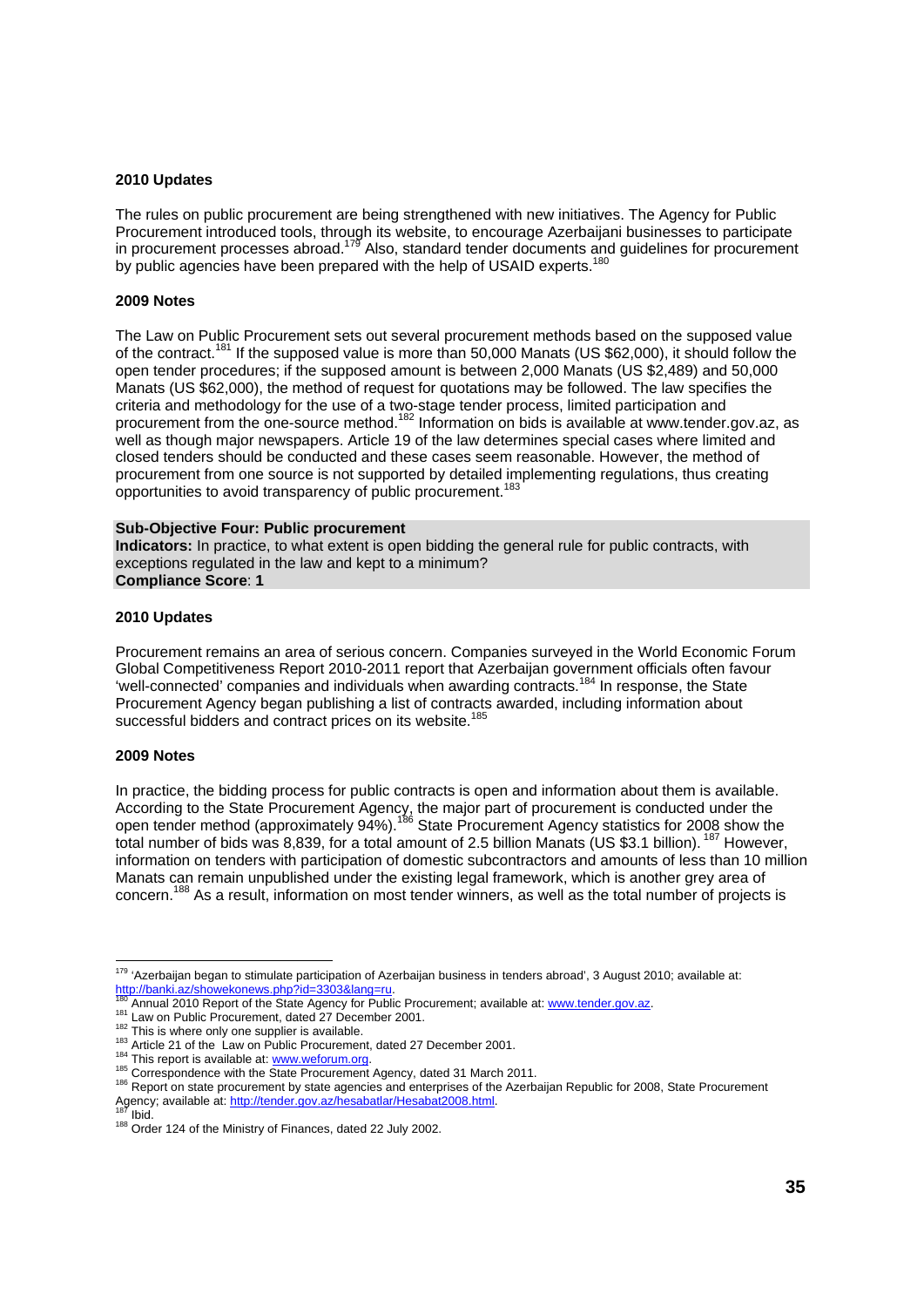#### **2010 Updates**

The rules on public procurement are being strengthened with new initiatives. The Agency for Public Procurement introduced tools, through its website, to encourage Azerbaijani businesses to participate in procurement processes abroad.179 Also, standard tender documents and guidelines for procurement by public agencies have been prepared with the help of USAID experts.<sup>180</sup>

#### **2009 Notes**

The Law on Public Procurement sets out several procurement methods based on the supposed value of the contract.<sup>181</sup> If the supposed value is more than 50,000 Manats (US \$62,000), it should follow the open tender procedures; if the supposed amount is between 2,000 Manats (US \$2,489) and 50,000 Manats (US \$62,000), the method of request for quotations may be followed. The law specifies the criteria and methodology for the use of a two-stage tender process, limited participation and procurement from the one-source method.182 Information on bids is available at www.tender.gov.az, as well as though major newspapers. Article 19 of the law determines special cases where limited and closed tenders should be conducted and these cases seem reasonable. However, the method of procurement from one source is not supported by detailed implementing regulations, thus creating opportunities to avoid transparency of public procurement.<sup>183</sup>

#### **Sub-Objective Four: Public procurement**

**Indicators:** In practice, to what extent is open bidding the general rule for public contracts, with exceptions regulated in the law and kept to a minimum? **Compliance Score**: **1** 

#### **2010 Updates**

Procurement remains an area of serious concern. Companies surveyed in the World Economic Forum Global Competitiveness Report 2010-2011 report that Azerbaijan government officials often favour 'well-connected' companies and individuals when awarding contracts.184 In response, the State Procurement Agency began publishing a list of contracts awarded, including information about successful bidders and contract prices on its website.<sup>185</sup>

#### **2009 Notes**

In practice, the bidding process for public contracts is open and information about them is available. According to the State Procurement Agency, the major part of procurement is conducted under the open tender method (approximately 94%).<sup>186</sup> State Procurement Agency statistics for 2008 show the total number of bids was 8,839, for a total amount of 2.5 billion Manats (US \$3.1 billion). 187 However, information on tenders with participation of domestic subcontractors and amounts of less than 10 million Manats can remain unpublished under the existing legal framework, which is another grey area of concern.<sup>188</sup> As a result, information on most tender winners, as well as the total number of projects is

l

<sup>&</sup>lt;sup>179</sup> 'Azerbaijan began to stimulate participation of Azerbaijan business in tenders abroad', 3 August 2010; available at:

http://banki.az/showekonews.php?id=3303&lang=ru.<br><sup>180</sup> Annual 2010 Report of the State Agency for Public Procurement; available at: www.tender.gov.az.<br><sup>181</sup> Law on Public Procurement, dated 27 December 2001.<br><sup>182</sup> This is Agency; available at: http://tender.gov.az/hesabatlar/Hesabat2008.html.<br><sup>187</sup> Ibid. 188 Order 124 of the Ministry of Finances, dated 22 July 2002.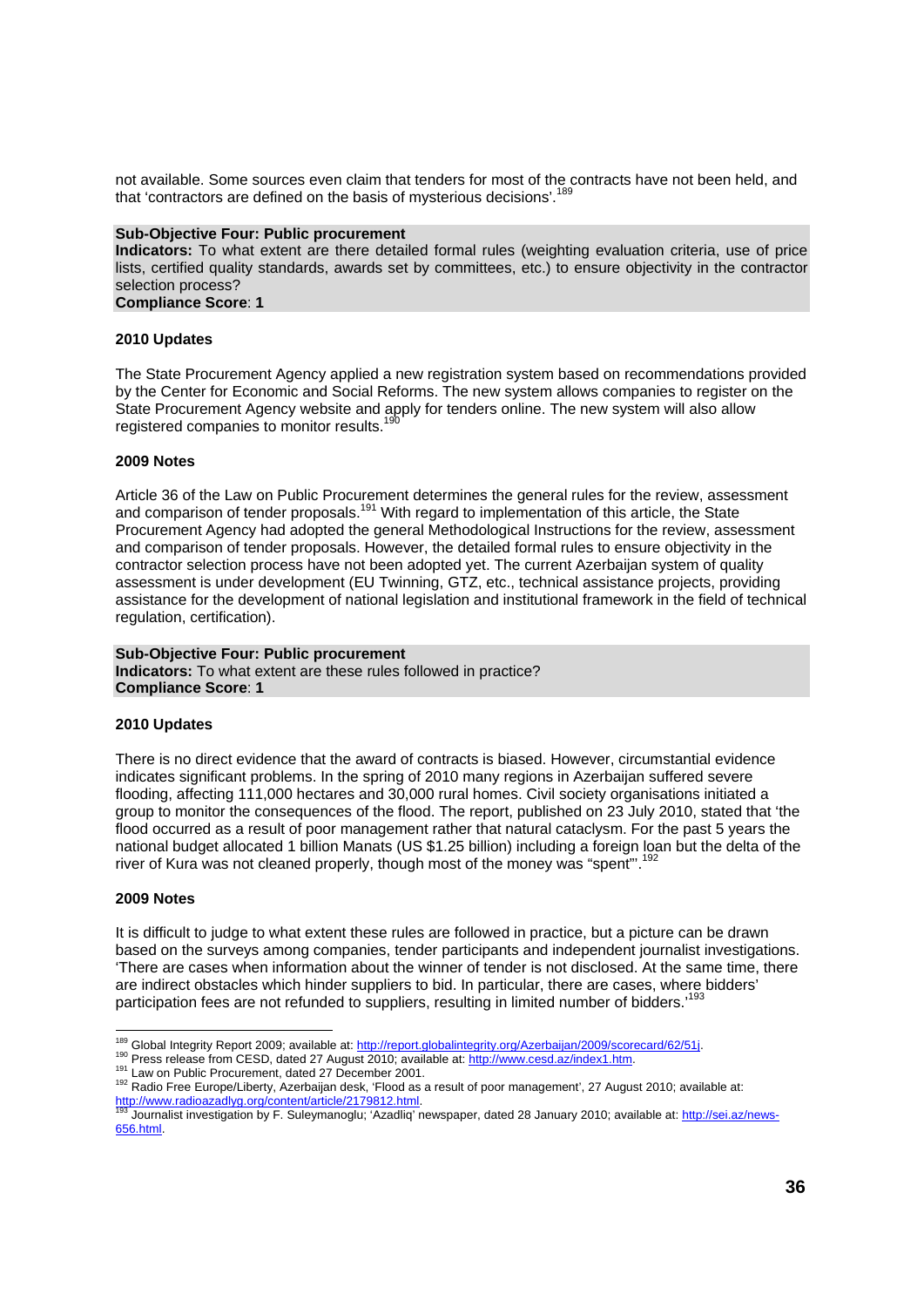not available. Some sources even claim that tenders for most of the contracts have not been held, and that 'contractors are defined on the basis of mysterious decisions'.<sup>189</sup>

#### **Sub-Objective Four: Public procurement**

**Indicators:** To what extent are there detailed formal rules (weighting evaluation criteria, use of price lists, certified quality standards, awards set by committees, etc.) to ensure objectivity in the contractor selection process?

**Compliance Score**: **1** 

#### **2010 Updates**

The State Procurement Agency applied a new registration system based on recommendations provided by the Center for Economic and Social Reforms. The new system allows companies to register on the State Procurement Agency website and apply for tenders online. The new system will also allow registered companies to monitor results.

#### **2009 Notes**

Article 36 of the Law on Public Procurement determines the general rules for the review, assessment and comparison of tender proposals.<sup>191</sup> With regard to implementation of this article, the State Procurement Agency had adopted the general Methodological Instructions for the review, assessment and comparison of tender proposals. However, the detailed formal rules to ensure objectivity in the contractor selection process have not been adopted yet. The current Azerbaijan system of quality assessment is under development (EU Twinning, GTZ, etc., technical assistance projects, providing assistance for the development of national legislation and institutional framework in the field of technical regulation, certification).

#### **Sub-Objective Four: Public procurement**

**Indicators:** To what extent are these rules followed in practice? **Compliance Score**: **1** 

#### **2010 Updates**

There is no direct evidence that the award of contracts is biased. However, circumstantial evidence indicates significant problems. In the spring of 2010 many regions in Azerbaijan suffered severe flooding, affecting 111,000 hectares and 30,000 rural homes. Civil society organisations initiated a group to monitor the consequences of the flood. The report, published on 23 July 2010, stated that 'the flood occurred as a result of poor management rather that natural cataclysm. For the past 5 years the national budget allocated 1 billion Manats (US \$1.25 billion) including a foreign loan but the delta of the river of Kura was not cleaned properly, though most of the money was "spent".

#### **2009 Notes**

It is difficult to judge to what extent these rules are followed in practice, but a picture can be drawn based on the surveys among companies, tender participants and independent journalist investigations. 'There are cases when information about the winner of tender is not disclosed. At the same time, there are indirect obstacles which hinder suppliers to bid. In particular, there are cases, where bidders' participation fees are not refunded to suppliers, resulting in limited number of bidders.'

<sup>&</sup>lt;sup>189</sup> Global Integrity Report 2009; available at: http://report.globalintegrity.org/Azerbaijan/2009/scorecard/62/51j.

<sup>192</sup> Press release from CESD, dated 27 August 2010; available at: http://www.cesd.az/index1.htm.<br><sup>191</sup> Law on Public Procurement, dated 27 December 2001.<br><sup>192</sup> Radio Free Europe/Liberty, Azerbaijan desk, 'Flood as a result http://www.radioazadlyg.org/content/article/2179812.html.<br><sup>193</sup> Journalist investigation by F. Suleymanoglu; 'Azadliq' newspaper, dated 28 January 2010; available at: http://sei.az/news-

<sup>656.</sup>html.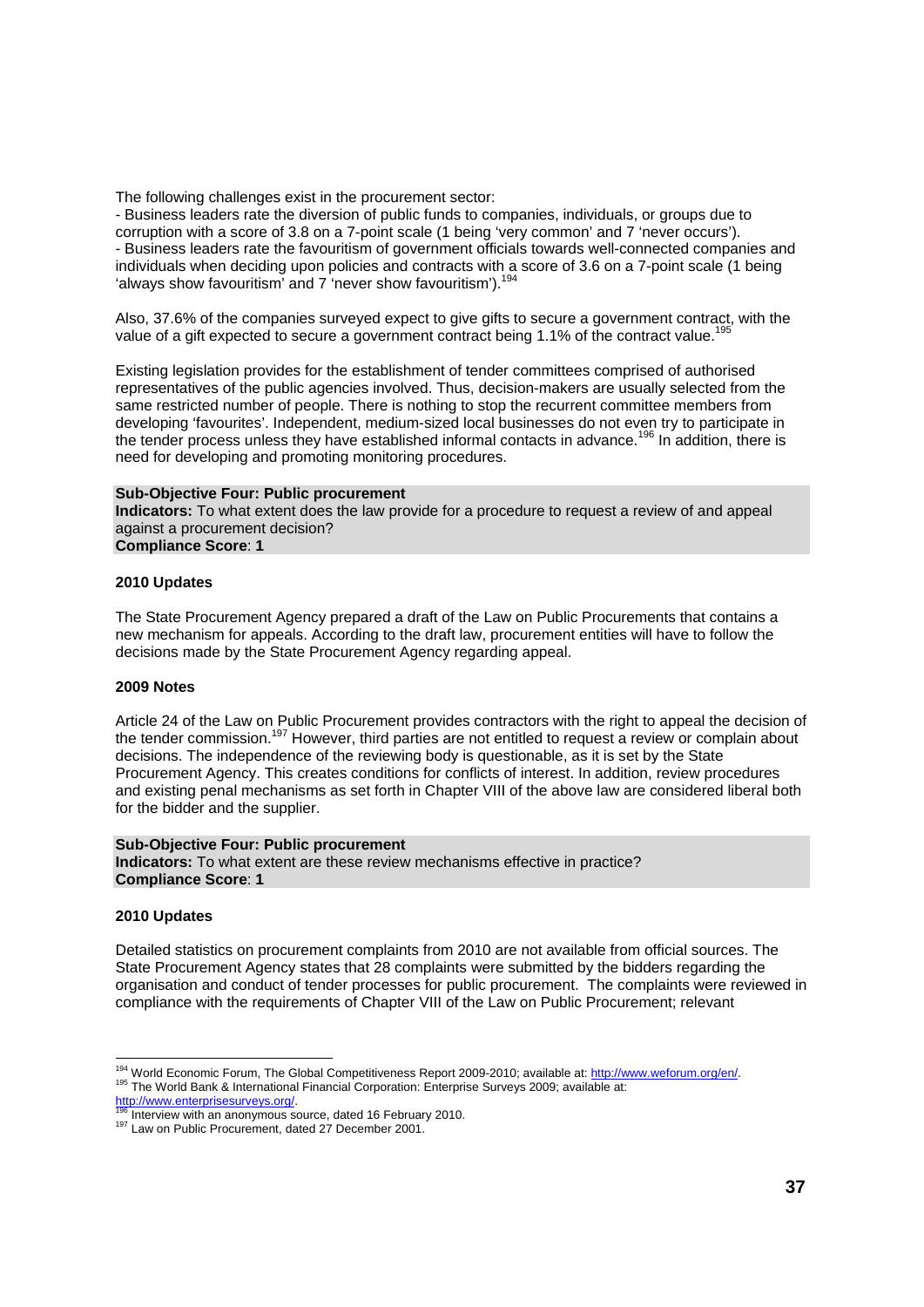The following challenges exist in the procurement sector:

- Business leaders rate the diversion of public funds to companies, individuals, or groups due to corruption with a score of 3.8 on a 7-point scale (1 being 'very common' and 7 'never occurs'). - Business leaders rate the favouritism of government officials towards well-connected companies and individuals when deciding upon policies and contracts with a score of 3.6 on a 7-point scale (1 being 'always show favouritism' and 7 'never show favouritism').<sup>194</sup>

Also, 37.6% of the companies surveyed expect to give gifts to secure a government contract, with the value of a gift expected to secure a government contract being 1.1% of the contract value.<sup>195</sup>

Existing legislation provides for the establishment of tender committees comprised of authorised representatives of the public agencies involved. Thus, decision-makers are usually selected from the same restricted number of people. There is nothing to stop the recurrent committee members from developing 'favourites'. Independent, medium-sized local businesses do not even try to participate in the tender process unless they have established informal contacts in advance.196 In addition, there is need for developing and promoting monitoring procedures.

#### **Sub-Objective Four: Public procurement**

**Indicators:** To what extent does the law provide for a procedure to request a review of and appeal against a procurement decision? **Compliance Score**: **1** 

#### **2010 Updates**

The State Procurement Agency prepared a draft of the Law on Public Procurements that contains a new mechanism for appeals. According to the draft law, procurement entities will have to follow the decisions made by the State Procurement Agency regarding appeal.

#### **2009 Notes**

Article 24 of the Law on Public Procurement provides contractors with the right to appeal the decision of the tender commission.<sup>197</sup> However, third parties are not entitled to request a review or complain about decisions. The independence of the reviewing body is questionable, as it is set by the State Procurement Agency. This creates conditions for conflicts of interest. In addition, review procedures and existing penal mechanisms as set forth in Chapter VIII of the above law are considered liberal both for the bidder and the supplier.

#### **Sub-Objective Four: Public procurement Indicators:** To what extent are these review mechanisms effective in practice? **Compliance Score**: **1**

#### **2010 Updates**

l

Detailed statistics on procurement complaints from 2010 are not available from official sources. The State Procurement Agency states that 28 complaints were submitted by the bidders regarding the organisation and conduct of tender processes for public procurement. The complaints were reviewed in compliance with the requirements of Chapter VIII of the Law on Public Procurement; relevant

<sup>&</sup>lt;sup>194</sup> World Economic Forum, The Global Competitiveness Report 2009-2010; available at: <u>http://www.weforum.org/en/</u>.<br><sup>195</sup> The World Bank & International Financial Corporation: Enterprise Surveys 2009; available at: http://www.enterprisesurveys.org/.<br>http://www.enterprisesurveys.org/.<br><sup>196</sup> Interview with an anonymous source, dated 16 February 2010.<br><sup>197</sup> Law on Public Procurement, dated 27 December 2001.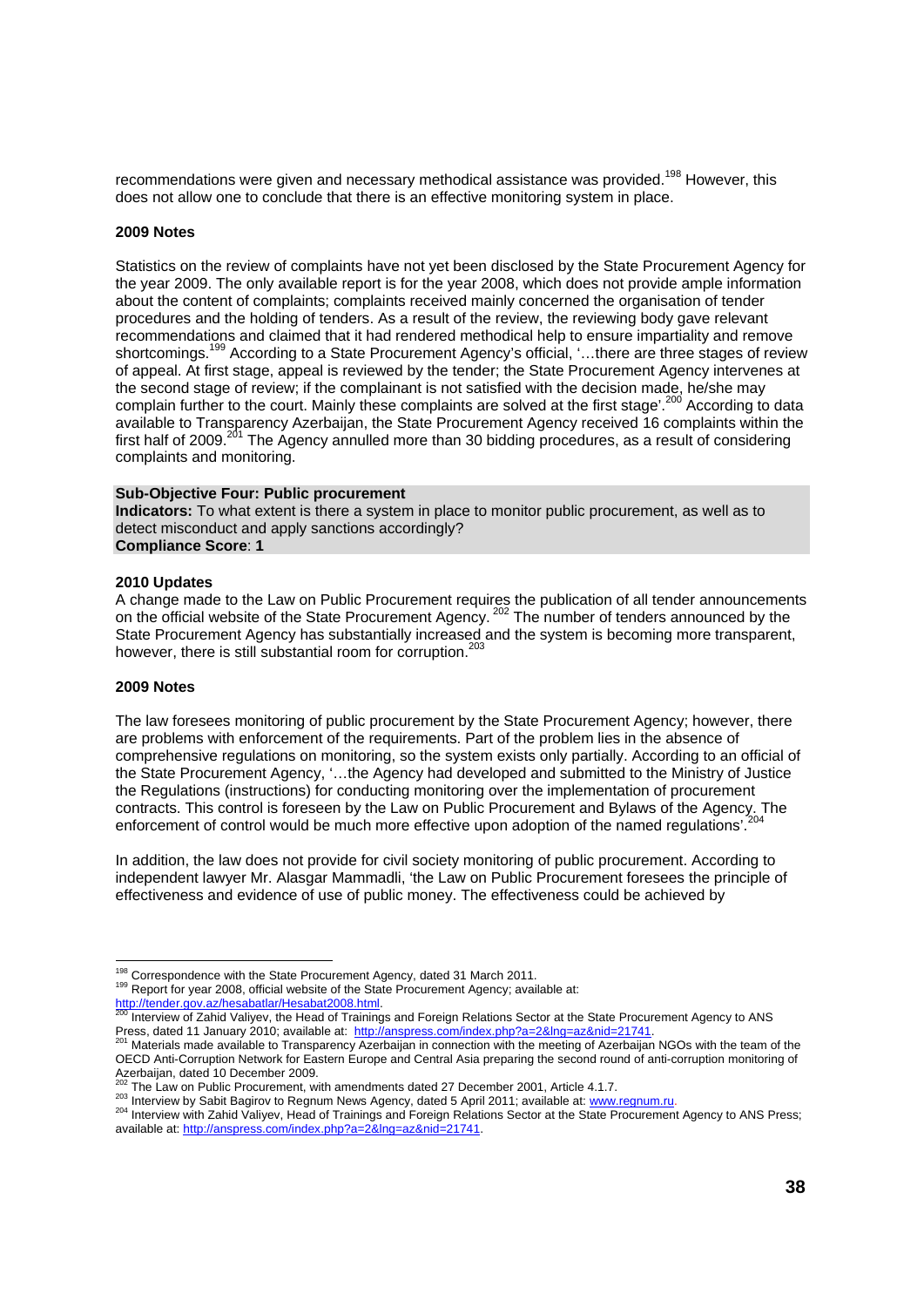recommendations were given and necessary methodical assistance was provided.<sup>198</sup> However, this does not allow one to conclude that there is an effective monitoring system in place.

#### **2009 Notes**

Statistics on the review of complaints have not yet been disclosed by the State Procurement Agency for the year 2009. The only available report is for the year 2008, which does not provide ample information about the content of complaints; complaints received mainly concerned the organisation of tender procedures and the holding of tenders. As a result of the review, the reviewing body gave relevant recommendations and claimed that it had rendered methodical help to ensure impartiality and remove shortcomings.<sup>199</sup> According to a State Procurement Agency's official, '... there are three stages of review of appeal. At first stage, appeal is reviewed by the tender; the State Procurement Agency intervenes at the second stage of review; if the complainant is not satisfied with the decision made, he/she may complain further to the court. Mainly these complaints are solved at the first stage'.200 According to data available to Transparency Azerbaijan, the State Procurement Agency received 16 complaints within the first half of 2009.<sup>201</sup> The Agency annulled more than 30 bidding procedures, as a result of considering complaints and monitoring.

#### **Sub-Objective Four: Public procurement**

**Indicators:** To what extent is there a system in place to monitor public procurement, as well as to detect misconduct and apply sanctions accordingly? **Compliance Score**: **1** 

#### **2010 Updates**

A change made to the Law on Public Procurement requires the publication of all tender announcements on the official website of the State Procurement Agency. <sup>202</sup> The number of tenders announced by the State Procurement Agency has substantially increased and the system is becoming more transparent, however, there is still substantial room for corruption.<sup>203</sup>

#### **2009 Notes**

The law foresees monitoring of public procurement by the State Procurement Agency; however, there are problems with enforcement of the requirements. Part of the problem lies in the absence of comprehensive regulations on monitoring, so the system exists only partially. According to an official of the State Procurement Agency, '…the Agency had developed and submitted to the Ministry of Justice the Regulations (instructions) for conducting monitoring over the implementation of procurement contracts. This control is foreseen by the Law on Public Procurement and Bylaws of the Agency. The enforcement of control would be much more effective upon adoption of the named regulations'.

In addition, the law does not provide for civil society monitoring of public procurement. According to independent lawyer Mr. Alasgar Mammadli, 'the Law on Public Procurement foresees the principle of effectiveness and evidence of use of public money. The effectiveness could be achieved by

<sup>&</sup>lt;sup>198</sup> Correspondence with the State Procurement Agency, dated 31 March 2011.

<sup>199</sup> Report for year 2008, official website of the State Procurement Agency; available at:

http://tender.gov.az/hesabatlar/Hesabat2008.html.<br><sup>200</sup> Interview of Zahid Valiyev, the Head of Trainings and Foreign Relations Sector at the State Procurement Agency to ANS Press, dated 11 January 2010; available at: http://anspress.com/index.php?a=2&lng=az&nid=21741.<br><sup>201</sup> Materials made available to Transparency Azerbaijan in connection with the meeting of Azerbaijan NGOs with the team of t

OECD Anti-Corruption Network for Eastern Europe and Central Asia preparing the second round of anti-corruption monitoring of Azerbaijan, dated 10 December 2009.

<sup>&</sup>lt;sup>202</sup> The Law on Public Procurement, with amendments dated 27 December 2001, Article 4.1.7.<br><sup>203</sup> Interview by Sabit Bagirov to Regnum News Agency, dated 5 April 2011; available at: www.regnum.ru.<br><sup>204</sup> Interview with Zahi available at: http://anspress.com/index.php?a=2&lng=az&nid=21741.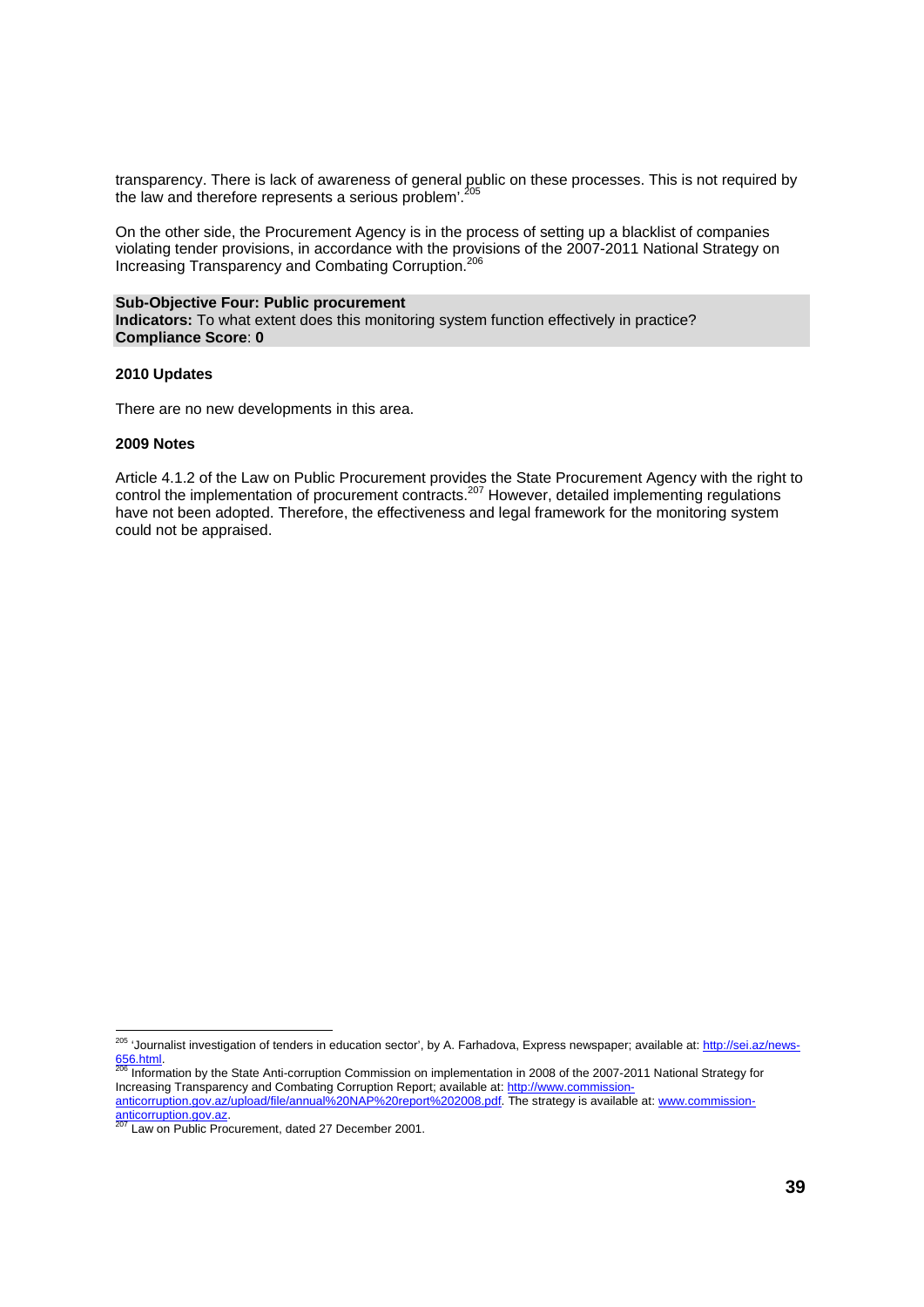transparency. There is lack of awareness of general public on these processes. This is not required by the law and therefore represents a serious problem'. $^{20}$ 

On the other side, the Procurement Agency is in the process of setting up a blacklist of companies violating tender provisions, in accordance with the provisions of the 2007-2011 National Strategy on Increasing Transparency and Combating Corruption.206

#### **Sub-Objective Four: Public procurement**

**Indicators:** To what extent does this monitoring system function effectively in practice? **Compliance Score**: **0** 

#### **2010 Updates**

There are no new developments in this area.

#### **2009 Notes**

Article 4.1.2 of the Law on Public Procurement provides the State Procurement Agency with the right to control the implementation of procurement contracts.<sup>207</sup> However, detailed implementing regulations have not been adopted. Therefore, the effectiveness and legal framework for the monitoring system could not be appraised.

<sup>&</sup>lt;sup>205</sup> 'Journalist investigation of tenders in education sector', by A. Farhadova, Express newspaper; available at: <u>http://sei.az/news-</u> 656.html. 206 Information by the State Anti-corruption Commission on implementation in 2008 of the 2007-2011 National Strategy for

Increasing Transparency and Combating Corruption Report; available at: http://www.commissionanticorruption.gov.az/upload/file/annual%20NAP%20report%202008.pdf. The strategy is available at: www.commission-

anticorruption.gov.az.<br>
<sup>207</sup> Law on Public Procurement, dated 27 December 2001.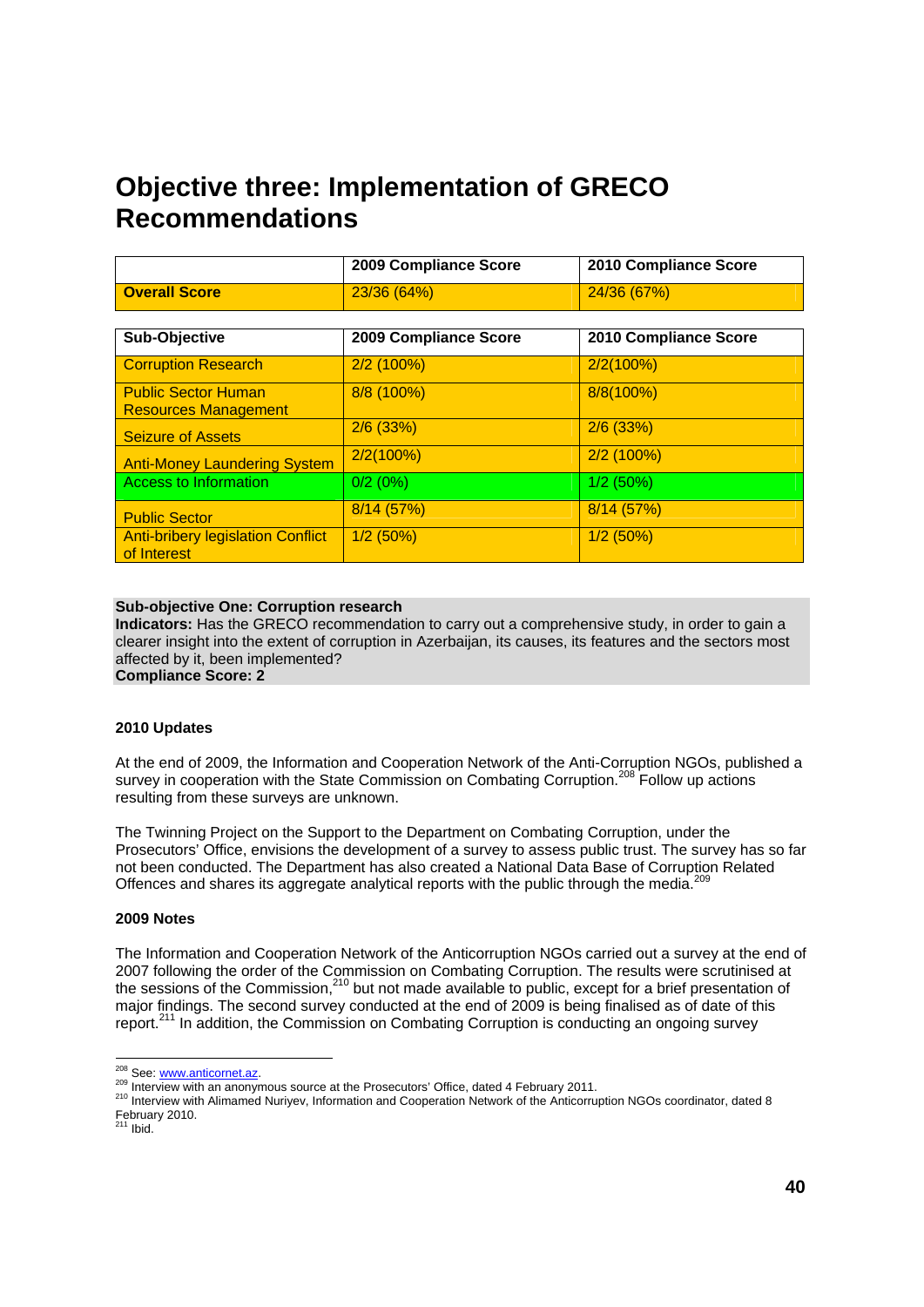# **Objective three: Implementation of GRECO Recommendations**

|                                                           | 2009 Compliance Score | 2010 Compliance Score |
|-----------------------------------------------------------|-----------------------|-----------------------|
| <b>Overall Score</b>                                      | 23/36 (64%)           | 24/36 (67%)           |
|                                                           |                       |                       |
| Sub-Objective                                             | 2009 Compliance Score | 2010 Compliance Score |
| <b>Corruption Research</b>                                | $2/2$ (100%)          | 2/2(100%)             |
| <b>Public Sector Human</b><br><b>Resources Management</b> | 8/8 (100%)            | 8/8(100%)             |
| <b>Seizure of Assets</b>                                  | $2/6$ (33%)           | $2/6$ (33%)           |
| <b>Anti-Money Laundering System</b>                       | 2/2(100%)             | $2/2$ (100%)          |
| Access to Information                                     | 0/2(0%)               | $1/2$ (50%)           |
| <b>Public Sector</b>                                      | 8/14 (57%)            | 8/14(57%)             |
| <b>Anti-bribery legislation Conflict</b><br>of Interest   | $1/2$ (50%)           | $1/2$ (50%)           |

#### **Sub-objective One: Corruption research**

**Indicators:** Has the GRECO recommendation to carry out a comprehensive study, in order to gain a clearer insight into the extent of corruption in Azerbaijan, its causes, its features and the sectors most affected by it, been implemented? **Compliance Score: 2** 

### **2010 Updates**

At the end of 2009, the Information and Cooperation Network of the Anti-Corruption NGOs, published a survey in cooperation with the State Commission on Combating Corruption.<sup>208</sup> Follow up actions resulting from these surveys are unknown.

The Twinning Project on the Support to the Department on Combating Corruption, under the Prosecutors' Office, envisions the development of a survey to assess public trust. The survey has so far not been conducted. The Department has also created a National Data Base of Corruption Related Offences and shares its aggregate analytical reports with the public through the media.<sup>209</sup>

#### **2009 Notes**

The Information and Cooperation Network of the Anticorruption NGOs carried out a survey at the end of 2007 following the order of the Commission on Combating Corruption. The results were scrutinised at the sessions of the Commission,<sup>210</sup> but not made available to public, except for a brief presentation of major findings. The second survey conducted at the end of 2009 is being finalised as of date of this report.<sup>211</sup> In addition, the Commission on Combating Corruption is conducting an ongoing survey

<sup>&</sup>lt;sup>208</sup> See: www.anticornet.az

<sup>209</sup> Interview with an anonymous source at the Prosecutors' Office, dated 4 February 2011.<br>210 Interview with Alimamed Nuriyev, Information and Cooperation Network of the Anticorruption NGOs coordinator, dated 8 February 2010.<br><sup>211</sup> Ibid.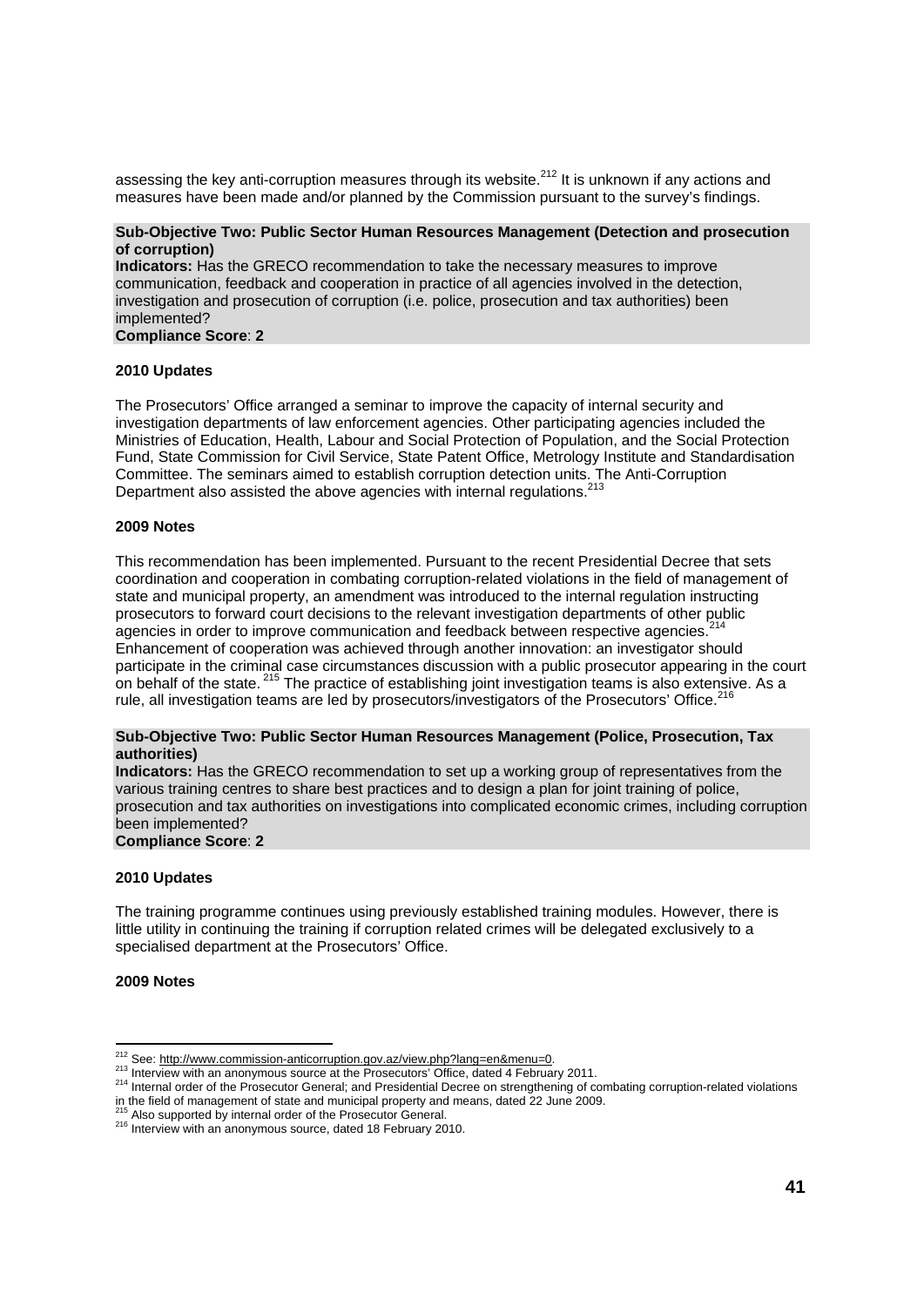assessing the key anti-corruption measures through its website.<sup>212</sup> It is unknown if any actions and measures have been made and/or planned by the Commission pursuant to the survey's findings.

#### **Sub-Objective Two: Public Sector Human Resources Management (Detection and prosecution of corruption)**

**Indicators:** Has the GRECO recommendation to take the necessary measures to improve communication, feedback and cooperation in practice of all agencies involved in the detection, investigation and prosecution of corruption (i.e. police, prosecution and tax authorities) been implemented?

#### **Compliance Score**: **2**

#### **2010 Updates**

The Prosecutors' Office arranged a seminar to improve the capacity of internal security and investigation departments of law enforcement agencies. Other participating agencies included the Ministries of Education, Health, Labour and Social Protection of Population, and the Social Protection Fund, State Commission for Civil Service, State Patent Office, Metrology Institute and Standardisation Committee. The seminars aimed to establish corruption detection units. The Anti-Corruption Department also assisted the above agencies with internal regulations.<sup>213</sup>

#### **2009 Notes**

This recommendation has been implemented. Pursuant to the recent Presidential Decree that sets coordination and cooperation in combating corruption-related violations in the field of management of state and municipal property, an amendment was introduced to the internal regulation instructing prosecutors to forward court decisions to the relevant investigation departments of other public agencies in order to improve communication and feedback between respective agencies. Enhancement of cooperation was achieved through another innovation: an investigator should participate in the criminal case circumstances discussion with a public prosecutor appearing in the court on behalf of the state. <sup>215</sup> The practice of establishing joint investigation teams is also extensive. As a rule, all investigation teams are led by prosecutors/investigators of the Prosecutors' Office.<sup>216</sup>

#### **Sub-Objective Two: Public Sector Human Resources Management (Police, Prosecution, Tax authorities)**

**Indicators:** Has the GRECO recommendation to set up a working group of representatives from the various training centres to share best practices and to design a plan for joint training of police, prosecution and tax authorities on investigations into complicated economic crimes, including corruption been implemented? **Compliance Score**: **2** 

### **2010 Updates**

The training programme continues using previously established training modules. However, there is little utility in continuing the training if corruption related crimes will be delegated exclusively to a specialised department at the Prosecutors' Office.

**2009 Notes**

<sup>&</sup>lt;sup>212</sup> See: http://www.commission-anticorruption.gov.az/view.php?lang=en&menu=0.

<sup>213</sup> Interview with an anonymous source at the Prosecutors' Office, dated 4 February 2011.<br>
<sup>213</sup> Interview with an anonymous source at the Prosecutors' Office, dated 4 February 2011. in the field of management of state and municipal property and means, dated 22 June 2009.<br><sup>215</sup> Also supported by internal order of the Prosecutor General.

<sup>215</sup> Also supported by internal order of the Prosecutor General. 216 Interview with an anonymous source, dated 18 February 2010.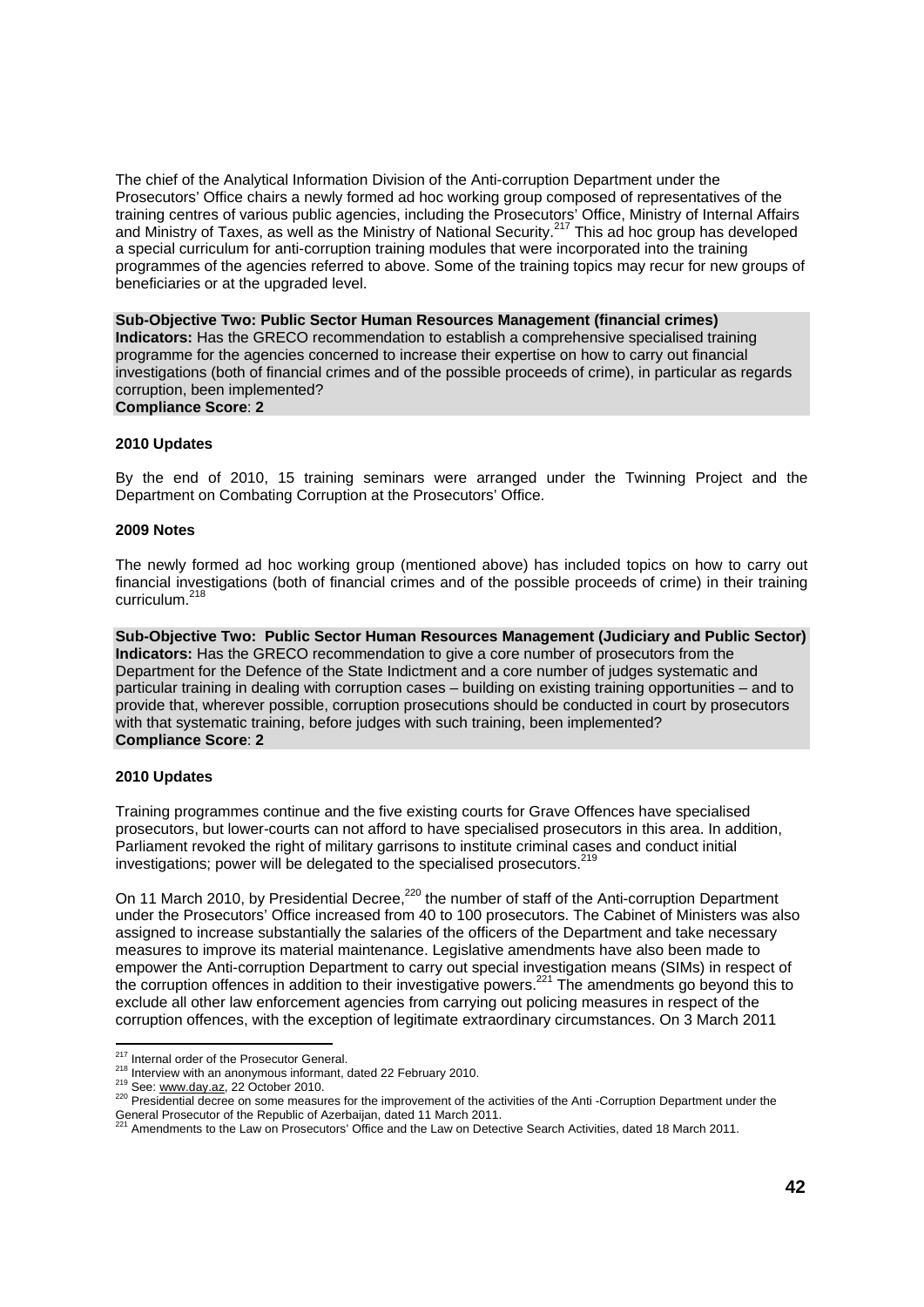The chief of the Analytical Information Division of the Anti-corruption Department under the Prosecutors' Office chairs a newly formed ad hoc working group composed of representatives of the training centres of various public agencies, including the Prosecutors' Office, Ministry of Internal Affairs and Ministry of Taxes, as well as the Ministry of National Security.<sup>217</sup> This ad hoc group has developed a special curriculum for anti-corruption training modules that were incorporated into the training programmes of the agencies referred to above. Some of the training topics may recur for new groups of beneficiaries or at the upgraded level.

**Sub-Objective Two: Public Sector Human Resources Management (financial crimes) Indicators:** Has the GRECO recommendation to establish a comprehensive specialised training programme for the agencies concerned to increase their expertise on how to carry out financial investigations (both of financial crimes and of the possible proceeds of crime), in particular as regards corruption, been implemented? **Compliance Score**: **2** 

#### **2010 Updates**

By the end of 2010, 15 training seminars were arranged under the Twinning Project and the Department on Combating Corruption at the Prosecutors' Office.

#### **2009 Notes**

The newly formed ad hoc working group (mentioned above) has included topics on how to carry out financial investigations (both of financial crimes and of the possible proceeds of crime) in their training curriculum.218

**Sub-Objective Two: Public Sector Human Resources Management (Judiciary and Public Sector) Indicators:** Has the GRECO recommendation to give a core number of prosecutors from the Department for the Defence of the State Indictment and a core number of judges systematic and particular training in dealing with corruption cases – building on existing training opportunities – and to provide that, wherever possible, corruption prosecutions should be conducted in court by prosecutors with that systematic training, before judges with such training, been implemented? **Compliance Score**: **2** 

#### **2010 Updates**

Training programmes continue and the five existing courts for Grave Offences have specialised prosecutors, but lower-courts can not afford to have specialised prosecutors in this area. In addition, Parliament revoked the right of military garrisons to institute criminal cases and conduct initial investigations; power will be delegated to the specialised prosecutors.<sup>2</sup>

On 11 March 2010, by Presidential Decree,<sup>220</sup> the number of staff of the Anti-corruption Department under the Prosecutors' Office increased from 40 to 100 prosecutors. The Cabinet of Ministers was also assigned to increase substantially the salaries of the officers of the Department and take necessary measures to improve its material maintenance. Legislative amendments have also been made to empower the Anti-corruption Department to carry out special investigation means (SIMs) in respect of the corruption offences in addition to their investigative powers.<sup>221</sup> The amendments go beyond this to exclude all other law enforcement agencies from carrying out policing measures in respect of the corruption offences, with the exception of legitimate extraordinary circumstances. On 3 March 2011

<sup>&</sup>lt;sup>217</sup> Internal order of the Prosecutor General.

<sup>218</sup> Interview with an anonymous informant, dated 22 February 2010.<br>
<sup>218</sup> See: www.day.az, 22 October 2010.<br>
<sup>219</sup> See: www.day.az, 22 October 2010. General Prosecutor of the Republic of Azerbaijan, dated 11 March 2011.<br><sup>221</sup> American Prosecutor of the Republic of Azerbaijan, dated 11 March 2011.

<sup>&</sup>lt;sup>1</sup> Amendments to the Law on Prosecutors' Office and the Law on Detective Search Activities, dated 18 March 2011.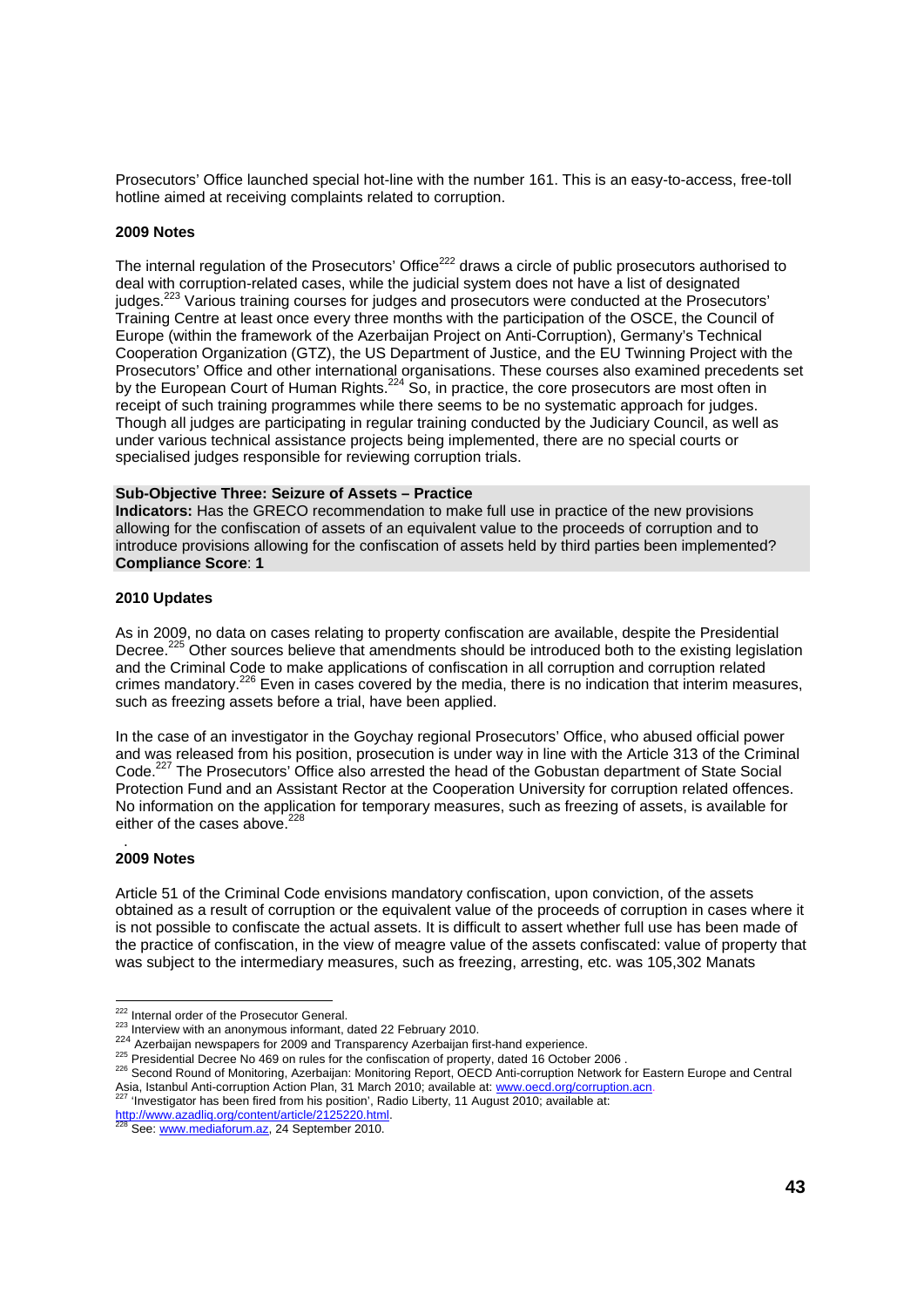Prosecutors' Office launched special hot-line with the number 161. This is an easy-to-access, free-toll hotline aimed at receiving complaints related to corruption.

#### **2009 Notes**

The internal regulation of the Prosecutors' Office<sup>222</sup> draws a circle of public prosecutors authorised to deal with corruption-related cases, while the judicial system does not have a list of designated judges.<sup>223</sup> Various training courses for judges and prosecutors were conducted at the Prosecutors' Training Centre at least once every three months with the participation of the OSCE, the Council of Europe (within the framework of the Azerbaijan Project on Anti-Corruption), Germany's Technical Cooperation Organization (GTZ), the US Department of Justice, and the EU Twinning Project with the Prosecutors' Office and other international organisations. These courses also examined precedents set by the European Court of Human Rights.<sup>224</sup> So, in practice, the core prosecutors are most often in receipt of such training programmes while there seems to be no systematic approach for judges. Though all judges are participating in regular training conducted by the Judiciary Council, as well as under various technical assistance projects being implemented, there are no special courts or specialised judges responsible for reviewing corruption trials.

#### **Sub-Objective Three: Seizure of Assets – Practice**

**Indicators:** Has the GRECO recommendation to make full use in practice of the new provisions allowing for the confiscation of assets of an equivalent value to the proceeds of corruption and to introduce provisions allowing for the confiscation of assets held by third parties been implemented? **Compliance Score**: **1** 

#### **2010 Updates**

As in 2009, no data on cases relating to property confiscation are available, despite the Presidential Decree.<sup>225</sup> Other sources believe that amendments should be introduced both to the existing legislation and the Criminal Code to make applications of confiscation in all corruption and corruption related crimes mandatory.<sup>226</sup> Even in cases covered by the media, there is no indication that interim measures, such as freezing assets before a trial, have been applied.

In the case of an investigator in the Goychay regional Prosecutors' Office, who abused official power and was released from his position, prosecution is under way in line with the Article 313 of the Criminal Code.<sup>227</sup> The Prosecutors' Office also arrested the head of the Gobustan department of State Social Protection Fund and an Assistant Rector at the Cooperation University for corruption related offences. No information on the application for temporary measures, such as freezing of assets, is available for either of the cases above. $228$ 

#### . **2009 Notes**

Article 51 of the Criminal Code envisions mandatory confiscation, upon conviction, of the assets obtained as a result of corruption or the equivalent value of the proceeds of corruption in cases where it is not possible to confiscate the actual assets. It is difficult to assert whether full use has been made of the practice of confiscation, in the view of meagre value of the assets confiscated: value of property that was subject to the intermediary measures, such as freezing, arresting, etc. was 105,302 Manats

<sup>&</sup>lt;sup>222</sup> Internal order of the Prosecutor General.

<sup>228</sup> Interview with an anonymous informant, dated 22 February 2010.<br>
224 Azerbaijan newspapers for 2009 and Transparency Azerbaijan first-hand experience.<br>
<sup>225</sup> Presidential Decree No 469 on rules for the confiscation of p Asia, Istanbul Anti-corruption Action Plan, 31 March 2010; available at: www.oecd.org/corruption.acn.<br><sup>227</sup> 'Investigator has been fired from his position', Radio Liberty, 11 August 2010; available at:

http://www.azadliq.org/content/article/2125220.html<br><sup>228</sup> See: www.mediaforum.az, 24 September 2010.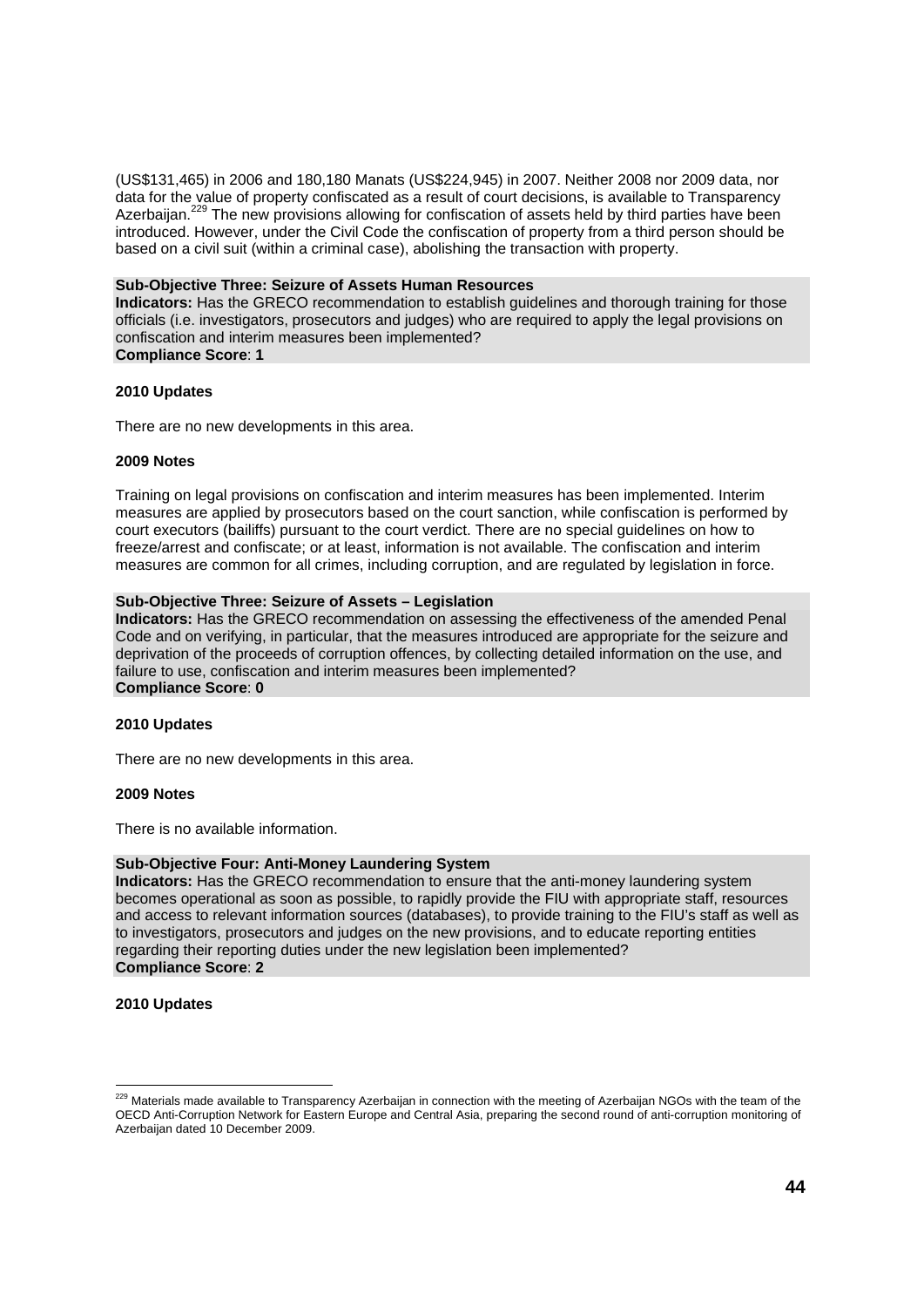(US\$131,465) in 2006 and 180,180 Manats (US\$224,945) in 2007. Neither 2008 nor 2009 data, nor data for the value of property confiscated as a result of court decisions, is available to Transparency Azerbaiian.<sup>229</sup> The new provisions allowing for confiscation of assets held by third parties have been introduced. However, under the Civil Code the confiscation of property from a third person should be based on a civil suit (within a criminal case), abolishing the transaction with property.

#### **Sub-Objective Three: Seizure of Assets Human Resources**

**Indicators:** Has the GRECO recommendation to establish guidelines and thorough training for those officials (i.e. investigators, prosecutors and judges) who are required to apply the legal provisions on confiscation and interim measures been implemented? **Compliance Score**: **1** 

#### **2010 Updates**

There are no new developments in this area.

#### **2009 Notes**

Training on legal provisions on confiscation and interim measures has been implemented. Interim measures are applied by prosecutors based on the court sanction, while confiscation is performed by court executors (bailiffs) pursuant to the court verdict. There are no special guidelines on how to freeze/arrest and confiscate; or at least, information is not available. The confiscation and interim measures are common for all crimes, including corruption, and are regulated by legislation in force.

#### **Sub-Objective Three: Seizure of Assets – Legislation**

**Indicators:** Has the GRECO recommendation on assessing the effectiveness of the amended Penal Code and on verifying, in particular, that the measures introduced are appropriate for the seizure and deprivation of the proceeds of corruption offences, by collecting detailed information on the use, and failure to use, confiscation and interim measures been implemented? **Compliance Score**: **0** 

#### **2010 Updates**

There are no new developments in this area.

#### **2009 Notes**

There is no available information.

#### **Sub-Objective Four: Anti-Money Laundering System**

**Indicators:** Has the GRECO recommendation to ensure that the anti-money laundering system becomes operational as soon as possible, to rapidly provide the FIU with appropriate staff, resources and access to relevant information sources (databases), to provide training to the FIU's staff as well as to investigators, prosecutors and judges on the new provisions, and to educate reporting entities regarding their reporting duties under the new legislation been implemented? **Compliance Score**: **2**

#### **2010 Updates**

<sup>&</sup>lt;sup>229</sup> Materials made available to Transparency Azerbaijan in connection with the meeting of Azerbaijan NGOs with the team of the OECD Anti-Corruption Network for Eastern Europe and Central Asia, preparing the second round of anti-corruption monitoring of Azerbaijan dated 10 December 2009.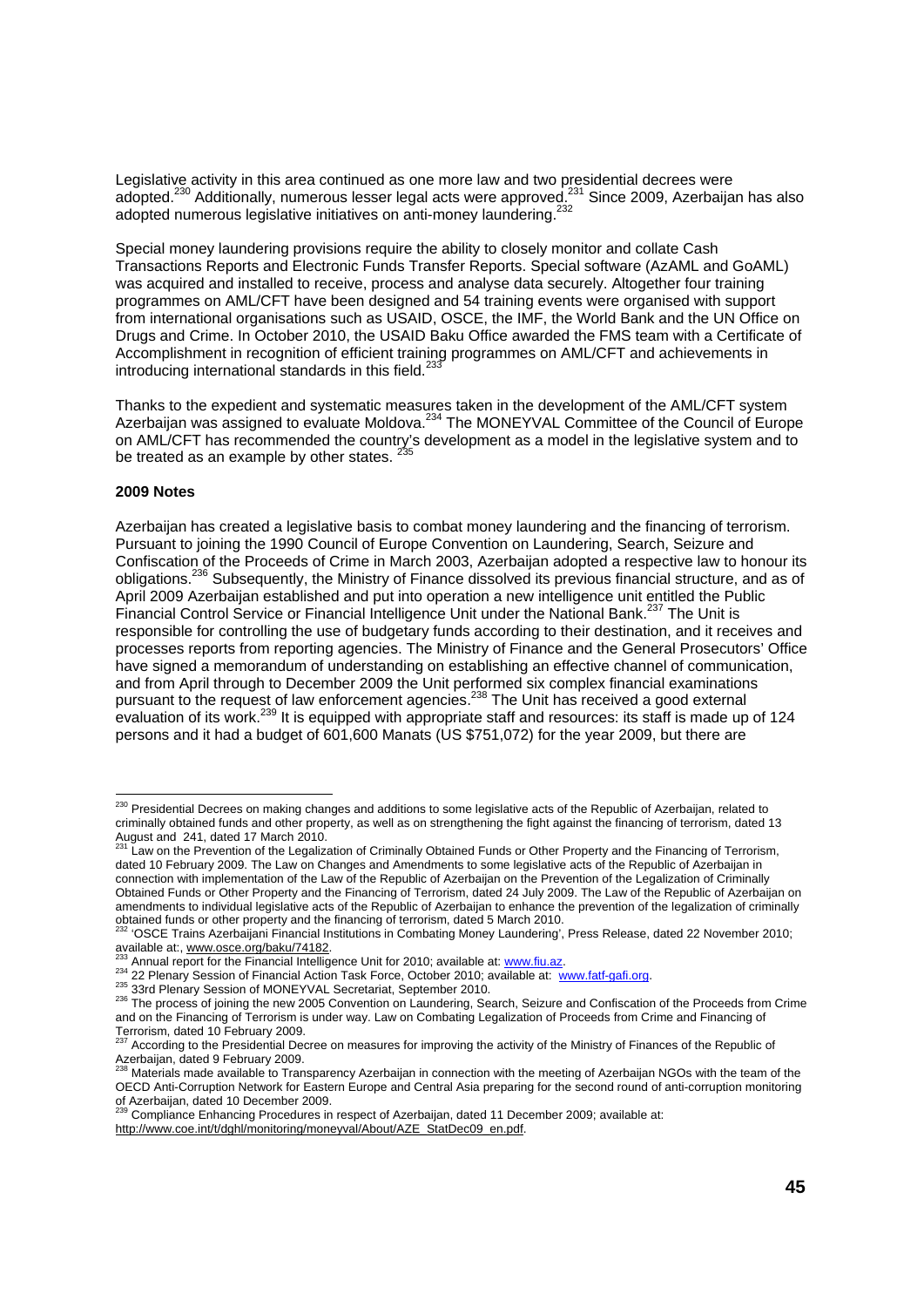Legislative activity in this area continued as one more law and two presidential decrees were adopted.<sup>230</sup> Additionally, numerous lesser legal acts were approved.<sup>231</sup> Since 2009, Azerbaijan has also adopted numerous legislative initiatives on anti-money laundering.<sup>232</sup>

Special money laundering provisions require the ability to closely monitor and collate Cash Transactions Reports and Electronic Funds Transfer Reports. Special software (AzAML and GoAML) was acquired and installed to receive, process and analyse data securely. Altogether four training programmes on AML/CFT have been designed and 54 training events were organised with support from international organisations such as USAID, OSCE, the IMF, the World Bank and the UN Office on Drugs and Crime. In October 2010, the USAID Baku Office awarded the FMS team with a Certificate of Accomplishment in recognition of efficient training programmes on AML/CFT and achievements in introducing international standards in this field. $^{23}$ 

Thanks to the expedient and systematic measures taken in the development of the AML/CFT system Azerbaijan was assigned to evaluate Moldova.<sup>234</sup> The MONEYVAL Committee of the Council of Europe on AML/CFT has recommended the country's development as a model in the legislative system and to be treated as an example by other states.  $\frac{3}{5}$ 

#### **2009 Notes**

Azerbaijan has created a legislative basis to combat money laundering and the financing of terrorism. Pursuant to joining the 1990 Council of Europe Convention on Laundering, Search, Seizure and Confiscation of the Proceeds of Crime in March 2003, Azerbaijan adopted a respective law to honour its obligations.<sup>236</sup> Subsequently, the Ministry of Finance dissolved its previous financial structure, and as of April 2009 Azerbaijan established and put into operation a new intelligence unit entitled the Public Financial Control Service or Financial Intelligence Unit under the National Bank.<sup>237</sup> The Unit is responsible for controlling the use of budgetary funds according to their destination, and it receives and processes reports from reporting agencies. The Ministry of Finance and the General Prosecutors' Office have signed a memorandum of understanding on establishing an effective channel of communication, and from April through to December 2009 the Unit performed six complex financial examinations pursuant to the request of law enforcement agencies.238 The Unit has received a good external evaluation of its work.<sup>239</sup> It is equipped with appropriate staff and resources: its staff is made up of 124 persons and it had a budget of 601,600 Manats (US \$751,072) for the year 2009, but there are

<sup>&</sup>lt;sup>230</sup> Presidential Decrees on making changes and additions to some legislative acts of the Republic of Azerbaijan, related to criminally obtained funds and other property, as well as on strengthening the fight against the financing of terrorism, dated 13 August and 241, dated 17 March 2010.

Law on the Prevention of the Legalization of Criminally Obtained Funds or Other Property and the Financing of Terrorism, dated 10 February 2009. The Law on Changes and Amendments to some legislative acts of the Republic of Azerbaijan in connection with implementation of the Law of the Republic of Azerbaijan on the Prevention of the Legalization of Criminally Obtained Funds or Other Property and the Financing of Terrorism, dated 24 July 2009. The Law of the Republic of Azerbaijan on amendments to individual legislative acts of the Republic of Azerbaijan to enhance the prevention of the legalization of criminally obtained funds or other property and the financing of terrorism, dated 5 March 2010.

<sup>&#</sup>x27;OSCE Trains Azerbaijani Financial Institutions in Combating Money Laundering', Press Release, dated 22 November 2010;

available at:, www.osce.org/baku/74182.<br><sup>233</sup> Annual report for the Financial Intelligence Unit for 2010; available at: www.fiu.az.<br><sup>234</sup> 22 Plenary Session of Financial Action Task Force, October 2010; available at: www.f and on the Financing of Terrorism is under way. Law on Combating Legalization of Proceeds from Crime and Financing of Terrorism, dated 10 February 2009.

<sup>&</sup>lt;sup>7</sup> According to the Presidential Decree on measures for improving the activity of the Ministry of Finances of the Republic of Azerbaijan, dated 9 February 2009.

<sup>238</sup> Materials made available to Transparency Azerbaijan in connection with the meeting of Azerbaijan NGOs with the team of the OECD Anti-Corruption Network for Eastern Europe and Central Asia preparing for the second round of anti-corruption monitoring of Azerbaijan, dated 10 December 2009.<br><sup>239</sup> Compliance Enhancing Procedures in respect of Azerbaijan, dated 11 December 2009; available at:

http://www.coe.int/t/dghl/monitoring/moneyval/About/AZE\_StatDec09\_en.pdf.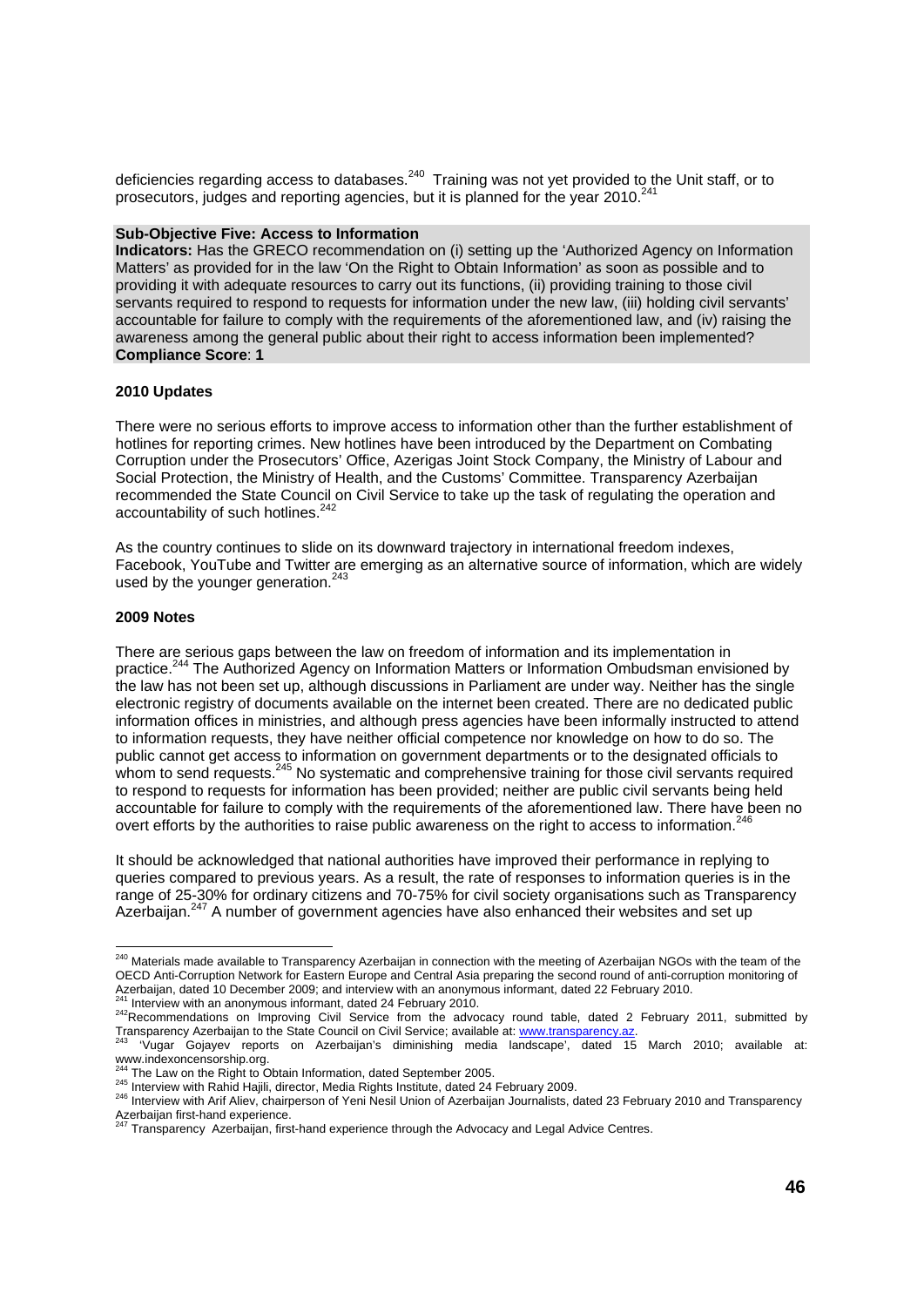deficiencies regarding access to databases.<sup>240</sup> Training was not yet provided to the Unit staff, or to prosecutors, judges and reporting agencies, but it is planned for the year 2010.<sup>241</sup>

#### **Sub-Objective Five: Access to Information**

**Indicators:** Has the GRECO recommendation on (i) setting up the 'Authorized Agency on Information Matters' as provided for in the law 'On the Right to Obtain Information' as soon as possible and to providing it with adequate resources to carry out its functions, (ii) providing training to those civil servants required to respond to requests for information under the new law, (iii) holding civil servants' accountable for failure to comply with the requirements of the aforementioned law, and (iv) raising the awareness among the general public about their right to access information been implemented? **Compliance Score**: **1** 

#### **2010 Updates**

There were no serious efforts to improve access to information other than the further establishment of hotlines for reporting crimes. New hotlines have been introduced by the Department on Combating Corruption under the Prosecutors' Office, Azerigas Joint Stock Company, the Ministry of Labour and Social Protection, the Ministry of Health, and the Customs' Committee. Transparency Azerbaijan recommended the State Council on Civil Service to take up the task of regulating the operation and accountability of such hotlines.<sup>242</sup>

As the country continues to slide on its downward trajectory in international freedom indexes, Facebook, YouTube and Twitter are emerging as an alternative source of information, which are widely used by the younger generation.<sup>243</sup>

#### **2009 Notes**

There are serious gaps between the law on freedom of information and its implementation in practice.<sup>244</sup> The Authorized Agency on Information Matters or Information Ombudsman envisioned by the law has not been set up, although discussions in Parliament are under way. Neither has the single electronic registry of documents available on the internet been created. There are no dedicated public information offices in ministries, and although press agencies have been informally instructed to attend to information requests, they have neither official competence nor knowledge on how to do so. The public cannot get access to information on government departments or to the designated officials to whom to send requests.<sup>245</sup> No systematic and comprehensive training for those civil servants required to respond to requests for information has been provided; neither are public civil servants being held accountable for failure to comply with the requirements of the aforementioned law. There have been no overt efforts by the authorities to raise public awareness on the right to access to information.<sup>246</sup>

It should be acknowledged that national authorities have improved their performance in replying to queries compared to previous years. As a result, the rate of responses to information queries is in the range of 25-30% for ordinary citizens and 70-75% for civil society organisations such as Transparency Azerbaijan.<sup>247</sup> A number of government agencies have also enhanced their websites and set up

l <sup>240</sup> Materials made available to Transparency Azerbaijan in connection with the meeting of Azerbaijan NGOs with the team of the OECD Anti-Corruption Network for Eastern Europe and Central Asia preparing the second round of anti-corruption monitoring of Azerbaijan, dated 10 December 2009; and interview with an anonymous informant, dated 22 February 2010.

<sup>&</sup>lt;sup>241</sup> Interview with an anonymous informant, dated 24 February 2010.<br><sup>242</sup>Recommendations on Improving Civil Service from the advocacy round table, dated 2 February 2011, submitted by

Transparency Azerbaijan to the State Council on Civil Service; available at: www.transparency.az.<br><sup>243</sup> 'Vugar Gojayev reports on Azerbaijan's diminishing media landscape', dated 15 March 2010; available at: www.indexoncensorship.org.

<sup>245</sup> Interview with Rahid Hajili, director, Media Rights Institute, dated 24 February 2009.<br><sup>245</sup> Interview with Rahid Hajili, director, Media Rights Institute, dated 24 February 2009.<br><sup>246</sup> Interview with Arif Aliev, chair Azerbaijan first-hand experience.<br><sup>247</sup> Transparency Azerbaijan, first-hand experience through the Advocacy and Legal Advice Centres.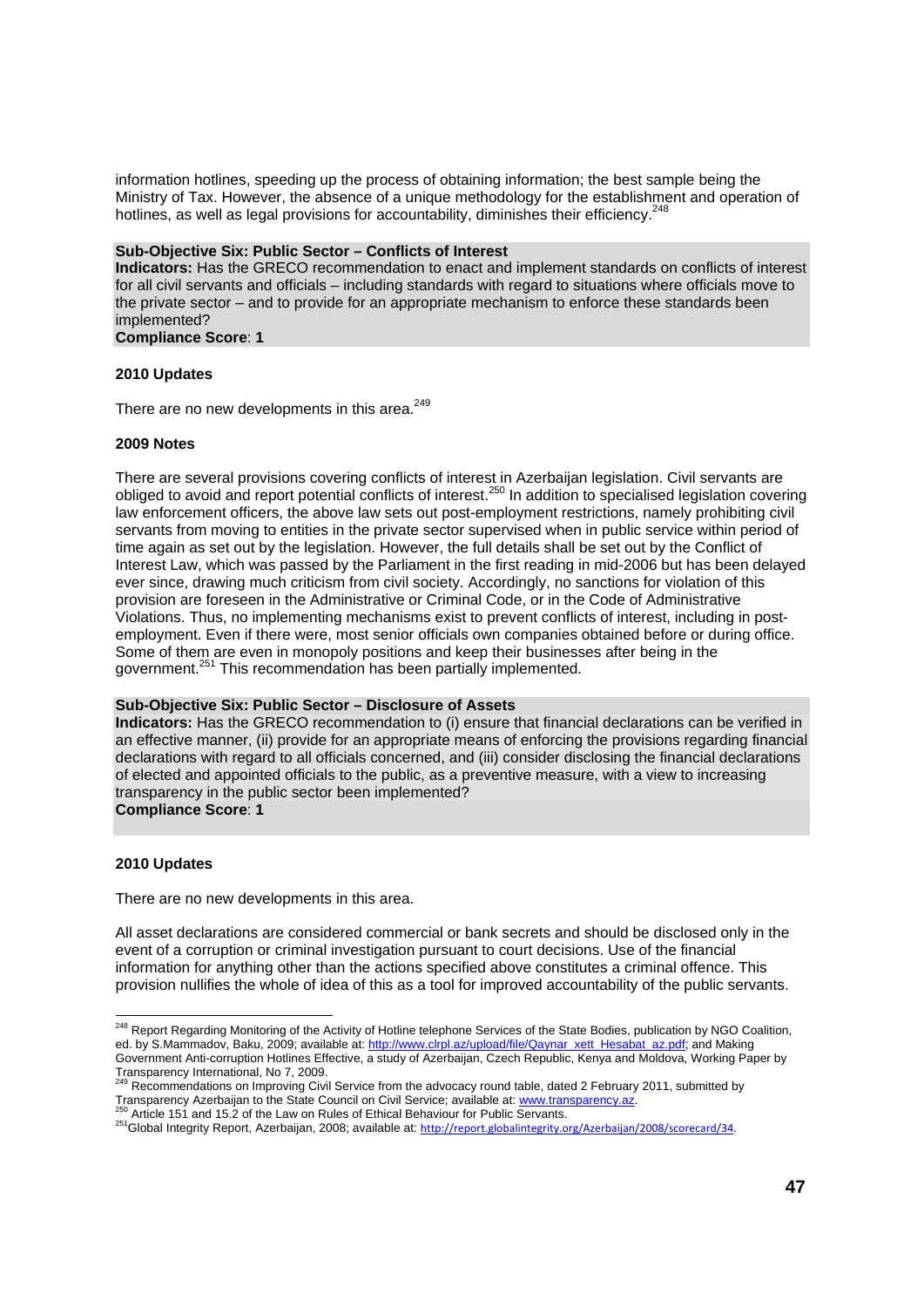information hotlines, speeding up the process of obtaining information; the best sample being the Ministry of Tax. However, the absence of a unique methodology for the establishment and operation of hotlines, as well as legal provisions for accountability, diminishes their efficiency.<sup>248</sup>

#### **Sub-Objective Six: Public Sector – Conflicts of Interest**

**Indicators:** Has the GRECO recommendation to enact and implement standards on conflicts of interest for all civil servants and officials – including standards with regard to situations where officials move to the private sector – and to provide for an appropriate mechanism to enforce these standards been implemented?

### **Compliance Score**: **1**

#### **2010 Updates**

There are no new developments in this area.<sup>249</sup>

#### **2009 Notes**

There are several provisions covering conflicts of interest in Azerbaijan legislation. Civil servants are obliged to avoid and report potential conflicts of interest.250 In addition to specialised legislation covering law enforcement officers, the above law sets out post-employment restrictions, namely prohibiting civil servants from moving to entities in the private sector supervised when in public service within period of time again as set out by the legislation. However, the full details shall be set out by the Conflict of Interest Law, which was passed by the Parliament in the first reading in mid-2006 but has been delayed ever since, drawing much criticism from civil society. Accordingly, no sanctions for violation of this provision are foreseen in the Administrative or Criminal Code, or in the Code of Administrative Violations. Thus, no implementing mechanisms exist to prevent conflicts of interest, including in postemployment. Even if there were, most senior officials own companies obtained before or during office. Some of them are even in monopoly positions and keep their businesses after being in the government.<sup>251</sup> This recommendation has been partially implemented.

#### **Sub-Objective Six: Public Sector – Disclosure of Assets**

**Indicators:** Has the GRECO recommendation to (i) ensure that financial declarations can be verified in an effective manner, (ii) provide for an appropriate means of enforcing the provisions regarding financial declarations with regard to all officials concerned, and (iii) consider disclosing the financial declarations of elected and appointed officials to the public, as a preventive measure, with a view to increasing transparency in the public sector been implemented?

**Compliance Score**: **1** 

#### **2010 Updates**

l

There are no new developments in this area.

All asset declarations are considered commercial or bank secrets and should be disclosed only in the event of a corruption or criminal investigation pursuant to court decisions. Use of the financial information for anything other than the actions specified above constitutes a criminal offence. This provision nullifies the whole of idea of this as a tool for improved accountability of the public servants.

<sup>&</sup>lt;sup>248</sup> Report Regarding Monitoring of the Activity of Hotline telephone Services of the State Bodies, publication by NGO Coalition, ed. by S.Mammadov, Baku, 2009; available at: http://www.clrpl.az/upload/file/Qaynar\_xett\_Hesabat\_az.pdf; and Making Government Anti-corruption Hotlines Effective, a study of Azerbaijan, Czech Republic, Kenya and Moldova, Working Paper by Transparency International, No 7, 2009.<br><sup>249</sup> Recommendations on Improving Civil Service from the advocacy round table, dated 2 February 2011, submitted by

Transparency Azerbaijan to the State Council on Civil Service; available at: www.transparency.az.<br><sup>250</sup> Article 151 and 15.2 of the Law on Rules of Ethical Behaviour for Public Servants.<br><sup>251</sup>Global Integrity Report, Azerb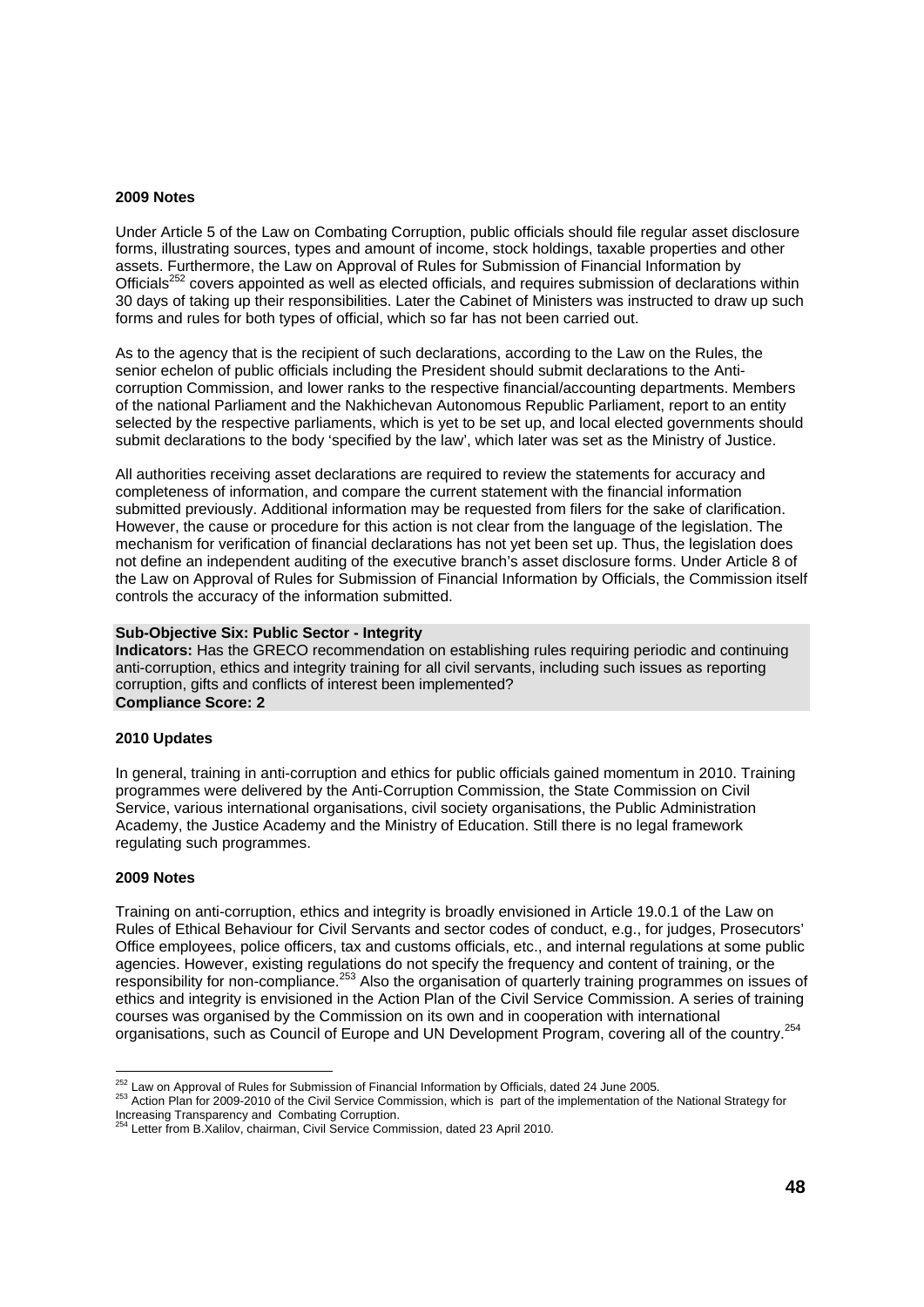#### **2009 Notes**

Under Article 5 of the Law on Combating Corruption, public officials should file regular asset disclosure forms, illustrating sources, types and amount of income, stock holdings, taxable properties and other assets. Furthermore, the Law on Approval of Rules for Submission of Financial Information by Officials<sup>252</sup> covers appointed as well as elected officials, and requires submission of declarations within 30 days of taking up their responsibilities. Later the Cabinet of Ministers was instructed to draw up such forms and rules for both types of official, which so far has not been carried out.

As to the agency that is the recipient of such declarations, according to the Law on the Rules, the senior echelon of public officials including the President should submit declarations to the Anticorruption Commission, and lower ranks to the respective financial/accounting departments. Members of the national Parliament and the Nakhichevan Autonomous Republic Parliament, report to an entity selected by the respective parliaments, which is yet to be set up, and local elected governments should submit declarations to the body 'specified by the law', which later was set as the Ministry of Justice.

All authorities receiving asset declarations are required to review the statements for accuracy and completeness of information, and compare the current statement with the financial information submitted previously. Additional information may be requested from filers for the sake of clarification. However, the cause or procedure for this action is not clear from the language of the legislation. The mechanism for verification of financial declarations has not yet been set up. Thus, the legislation does not define an independent auditing of the executive branch's asset disclosure forms. Under Article 8 of the Law on Approval of Rules for Submission of Financial Information by Officials, the Commission itself controls the accuracy of the information submitted.

#### **Sub-Objective Six: Public Sector - Integrity**

**Indicators:** Has the GRECO recommendation on establishing rules requiring periodic and continuing anti-corruption, ethics and integrity training for all civil servants, including such issues as reporting corruption, gifts and conflicts of interest been implemented? **Compliance Score: 2** 

### **2010 Updates**

In general, training in anti-corruption and ethics for public officials gained momentum in 2010. Training programmes were delivered by the Anti-Corruption Commission, the State Commission on Civil Service, various international organisations, civil society organisations, the Public Administration Academy, the Justice Academy and the Ministry of Education. Still there is no legal framework regulating such programmes.

#### **2009 Notes**

Training on anti-corruption, ethics and integrity is broadly envisioned in Article 19.0.1 of the Law on Rules of Ethical Behaviour for Civil Servants and sector codes of conduct, e.g., for judges, Prosecutors' Office employees, police officers, tax and customs officials, etc., and internal regulations at some public agencies. However, existing regulations do not specify the frequency and content of training, or the responsibility for non-compliance.<sup>253</sup> Also the organisation of quarterly training programmes on issues of ethics and integrity is envisioned in the Action Plan of the Civil Service Commission. A series of training courses was organised by the Commission on its own and in cooperation with international organisations, such as Council of Europe and UN Development Program, covering all of the country.<sup>254</sup>

<sup>&</sup>lt;sup>252</sup> Law on Approval of Rules for Submission of Financial Information by Officials, dated 24 June 2005.

<sup>253</sup> Action Plan for 2009-2010 of the Civil Service Commission, which is part of the implementation of the National Strategy for Increasing Transparency and Combating Corruption.

<sup>&</sup>lt;sup>4</sup> Letter from B.Xalilov, chairman, Civil Service Commission, dated 23 April 2010.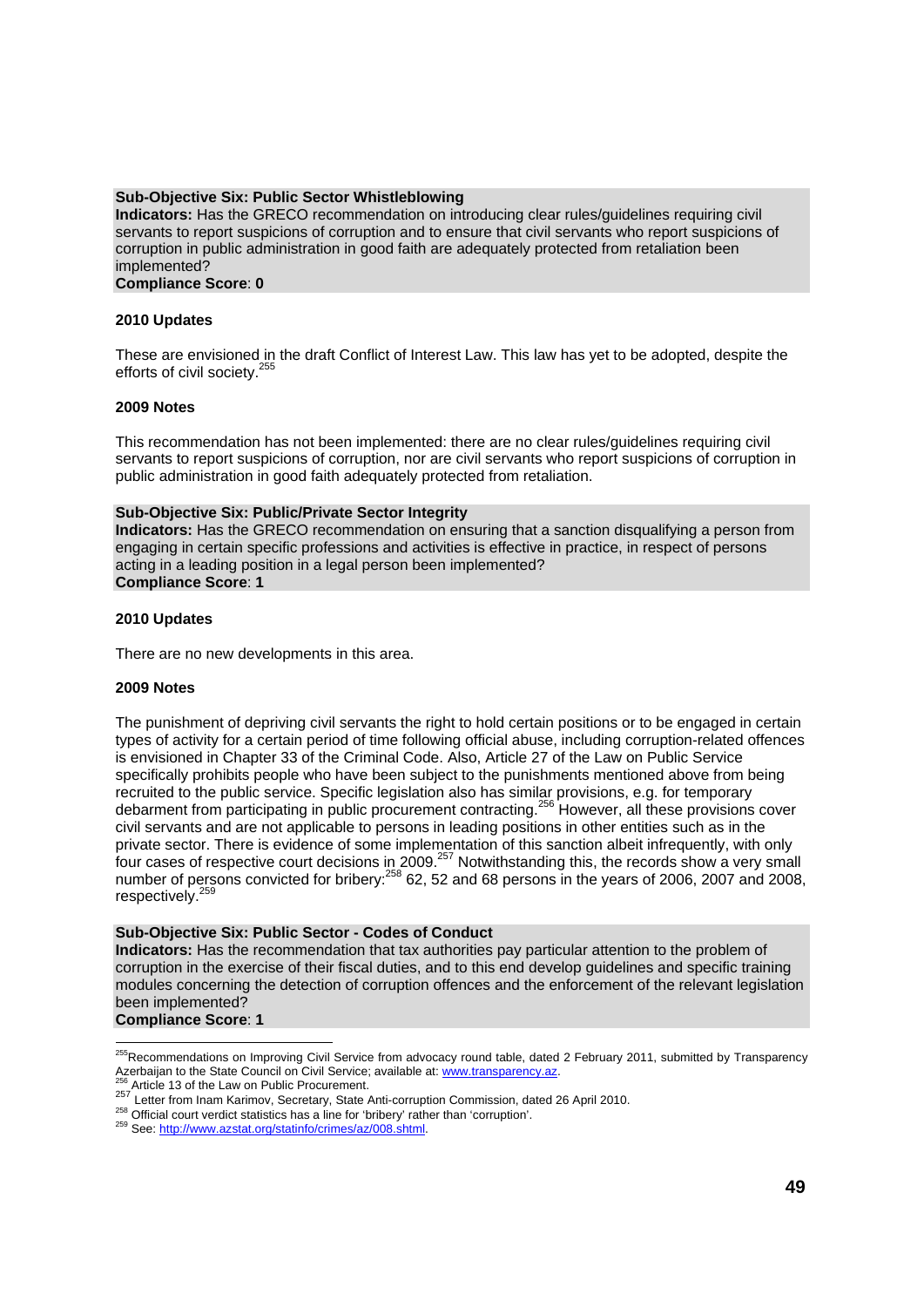#### **Sub-Objective Six: Public Sector Whistleblowing**

**Indicators:** Has the GRECO recommendation on introducing clear rules/guidelines requiring civil servants to report suspicions of corruption and to ensure that civil servants who report suspicions of corruption in public administration in good faith are adequately protected from retaliation been implemented?

#### **Compliance Score**: **0**

#### **2010 Updates**

These are envisioned in the draft Conflict of Interest Law. This law has yet to be adopted, despite the efforts of civil society.<sup>255</sup>

#### **2009 Notes**

This recommendation has not been implemented: there are no clear rules/guidelines requiring civil servants to report suspicions of corruption, nor are civil servants who report suspicions of corruption in public administration in good faith adequately protected from retaliation.

#### **Sub-Objective Six: Public/Private Sector Integrity**

**Indicators:** Has the GRECO recommendation on ensuring that a sanction disqualifying a person from engaging in certain specific professions and activities is effective in practice, in respect of persons acting in a leading position in a legal person been implemented? **Compliance Score**: **1** 

#### **2010 Updates**

There are no new developments in this area.

#### **2009 Notes**

The punishment of depriving civil servants the right to hold certain positions or to be engaged in certain types of activity for a certain period of time following official abuse, including corruption-related offences is envisioned in Chapter 33 of the Criminal Code. Also, Article 27 of the Law on Public Service specifically prohibits people who have been subject to the punishments mentioned above from being recruited to the public service. Specific legislation also has similar provisions, e.g. for temporary debarment from participating in public procurement contracting.256 However, all these provisions cover civil servants and are not applicable to persons in leading positions in other entities such as in the private sector. There is evidence of some implementation of this sanction albeit infrequently, with only four cases of respective court decisions in 2009.257 Notwithstanding this, the records show a very small number of persons convicted for bribery:<sup>258</sup> 62, 52 and 68 persons in the years of 2006, 2007 and 2008, respectively.<sup>259</sup>

#### **Sub-Objective Six: Public Sector - Codes of Conduct**

**Indicators:** Has the recommendation that tax authorities pay particular attention to the problem of corruption in the exercise of their fiscal duties, and to this end develop guidelines and specific training modules concerning the detection of corruption offences and the enforcement of the relevant legislation been implemented?

**Compliance Score**: **1**

l

<sup>&</sup>lt;sup>255</sup>Recommendations on Improving Civil Service from advocacy round table, dated 2 February 2011, submitted by Transparency Azerbaijan to the State Council on Civil Service item anyonesy found table, taked 2 February 2<br>
<sup>256</sup> Article 13 of the Law on Public Procurement.<br>
<sup>257</sup> Letter from Inam Karimov, Secretary, State Anti-corruption Commissio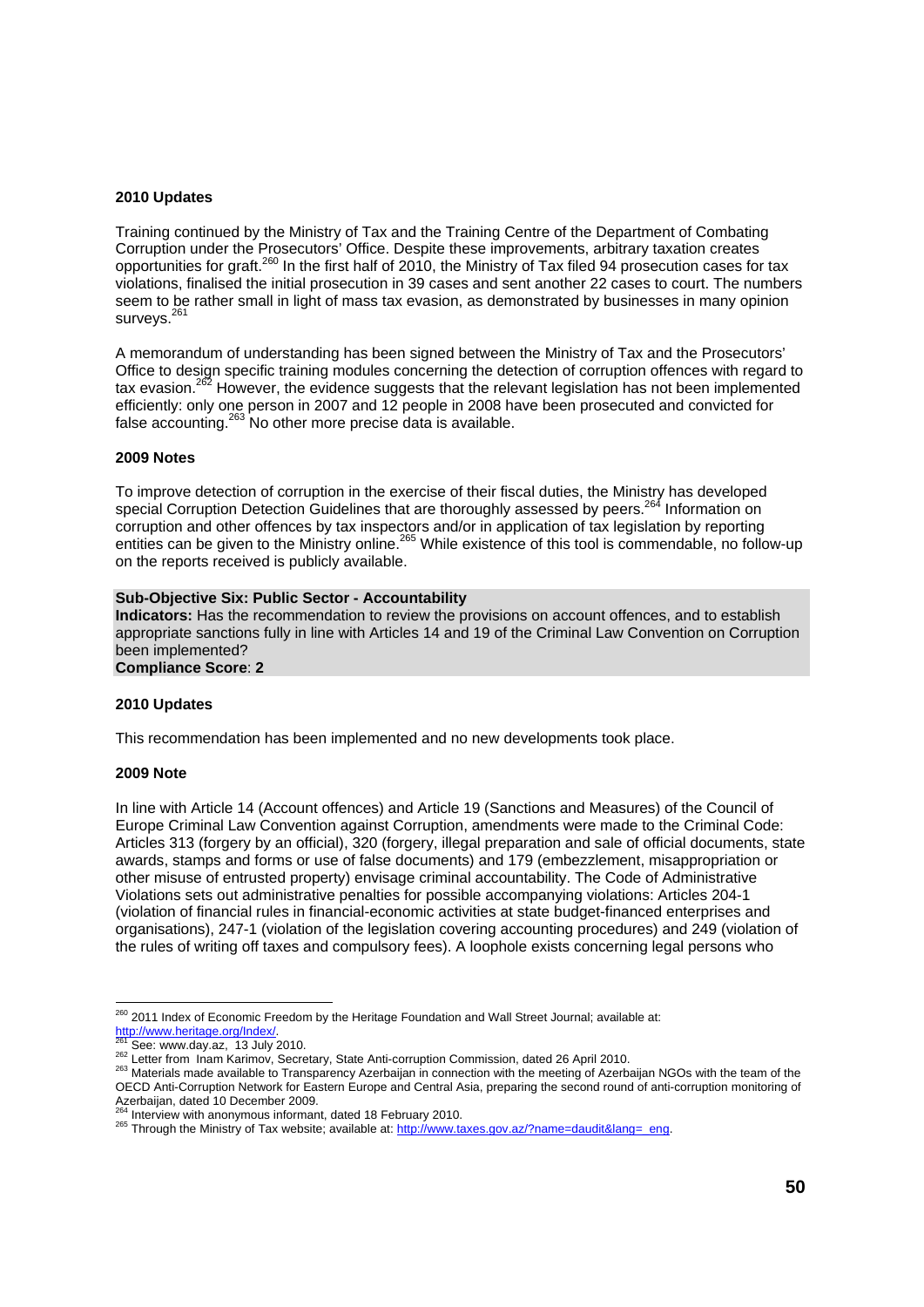#### **2010 Updates**

Training continued by the Ministry of Tax and the Training Centre of the Department of Combating Corruption under the Prosecutors' Office. Despite these improvements, arbitrary taxation creates opportunities for graft.260 In the first half of 2010, the Ministry of Tax filed 94 prosecution cases for tax violations, finalised the initial prosecution in 39 cases and sent another 22 cases to court. The numbers seem to be rather small in light of mass tax evasion, as demonstrated by businesses in many opinion surveys.<sup>261</sup>

A memorandum of understanding has been signed between the Ministry of Tax and the Prosecutors' Office to design specific training modules concerning the detection of corruption offences with regard to tax evasion.<sup>262</sup> However, the evidence suggests that the relevant legislation has not been implemented efficiently: only one person in 2007 and 12 people in 2008 have been prosecuted and convicted for false accounting.263 No other more precise data is available.

#### **2009 Notes**

To improve detection of corruption in the exercise of their fiscal duties, the Ministry has developed special Corruption Detection Guidelines that are thoroughly assessed by peers.<sup>264</sup> Information on corruption and other offences by tax inspectors and/or in application of tax legislation by reporting entities can be given to the Ministry online.<sup>265</sup> While existence of this tool is commendable, no follow-up on the reports received is publicly available.

#### **Sub-Objective Six: Public Sector - Accountability**

**Indicators:** Has the recommendation to review the provisions on account offences, and to establish appropriate sanctions fully in line with Articles 14 and 19 of the Criminal Law Convention on Corruption been implemented?

**Compliance Score**: **2** 

#### **2010 Updates**

This recommendation has been implemented and no new developments took place.

#### **2009 Note**

In line with Article 14 (Account offences) and Article 19 (Sanctions and Measures) of the Council of Europe Criminal Law Convention against Corruption, amendments were made to the Criminal Code: Articles 313 (forgery by an official), 320 (forgery, illegal preparation and sale of official documents, state awards, stamps and forms or use of false documents) and 179 (embezzlement, misappropriation or other misuse of entrusted property) envisage criminal accountability. The Code of Administrative Violations sets out administrative penalties for possible accompanying violations: Articles 204-1 (violation of financial rules in financial-economic activities at state budget-financed enterprises and organisations), 247-1 (violation of the legislation covering accounting procedures) and 249 (violation of the rules of writing off taxes and compulsory fees). A loophole exists concerning legal persons who

 <sup>260</sup> 2011 Index of Economic Freedom by the Heritage Foundation and Wall Street Journal; available at:

http://www.heritage.org/Index/.<br><sup>261</sup> See: www.day.az, 13 July 2010.<br><sup>262</sup> Letter from Inam Karimov, Secretary, State Anti-corruption Commission, dated 26 April 2010.<br><sup>262</sup> Letter from Inam Karimov, Secretary, State Anti-c OECD Anti-Corruption Network for Eastern Europe and Central Asia, preparing the second round of anti-corruption monitoring of Azerbaijan, dated 10 December 2009.<br><sup>264</sup> Interview with anonymous informant, dated 18 February 2010.

<sup>265</sup> Through the Ministry of Tax website; available at: http://www.taxes.gov.az/?name=daudit&lang=\_eng.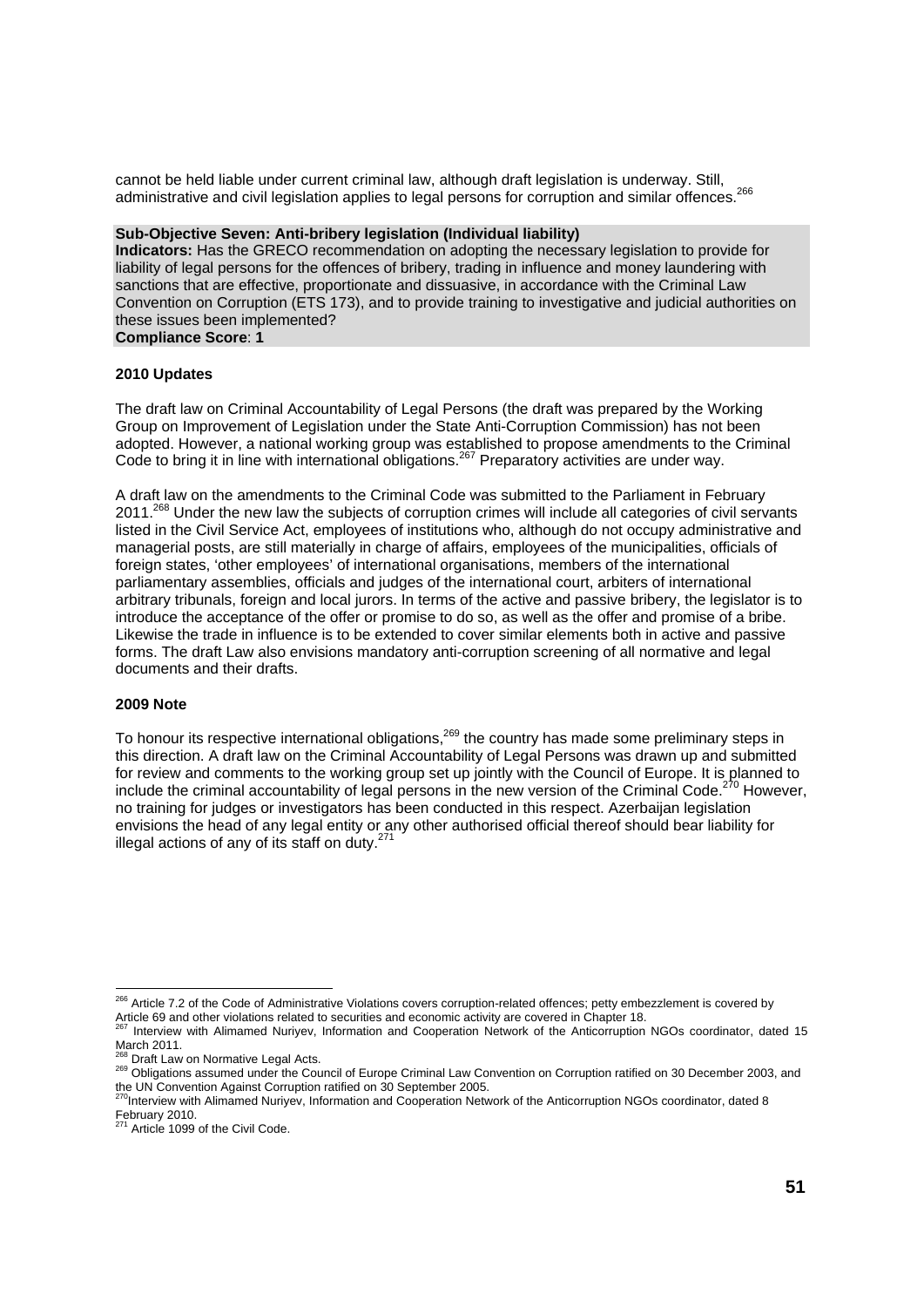cannot be held liable under current criminal law, although draft legislation is underway. Still, administrative and civil legislation applies to legal persons for corruption and similar offences.<sup>266</sup>

#### **Sub-Objective Seven: Anti-bribery legislation (Individual liability)**

**Indicators:** Has the GRECO recommendation on adopting the necessary legislation to provide for liability of legal persons for the offences of bribery, trading in influence and money laundering with sanctions that are effective, proportionate and dissuasive, in accordance with the Criminal Law Convention on Corruption (ETS 173), and to provide training to investigative and judicial authorities on these issues been implemented?

### **Compliance Score**: **1**

#### **2010 Updates**

The draft law on Criminal Accountability of Legal Persons (the draft was prepared by the Working Group on Improvement of Legislation under the State Anti-Corruption Commission) has not been adopted. However, a national working group was established to propose amendments to the Criminal Code to bring it in line with international obligations.<sup>267</sup> Preparatory activities are under way.

A draft law on the amendments to the Criminal Code was submitted to the Parliament in February 2011.<sup>268</sup> Under the new law the subjects of corruption crimes will include all categories of civil servants listed in the Civil Service Act, employees of institutions who, although do not occupy administrative and managerial posts, are still materially in charge of affairs, employees of the municipalities, officials of foreign states, 'other employees' of international organisations, members of the international parliamentary assemblies, officials and judges of the international court, arbiters of international arbitrary tribunals, foreign and local jurors. In terms of the active and passive bribery, the legislator is to introduce the acceptance of the offer or promise to do so, as well as the offer and promise of a bribe. Likewise the trade in influence is to be extended to cover similar elements both in active and passive forms. The draft Law also envisions mandatory anti-corruption screening of all normative and legal documents and their drafts.

#### **2009 Note**

To honour its respective international obligations,<sup>269</sup> the country has made some preliminary steps in this direction. A draft law on the Criminal Accountability of Legal Persons was drawn up and submitted for review and comments to the working group set up jointly with the Council of Europe. It is planned to include the criminal accountability of legal persons in the new version of the Criminal Code.<sup>270</sup> However, no training for judges or investigators has been conducted in this respect. Azerbaijan legislation envisions the head of any legal entity or any other authorised official thereof should bear liability for illegal actions of any of its staff on duty.<sup>271</sup>

<sup>&</sup>lt;sup>266</sup> Article 7.2 of the Code of Administrative Violations covers corruption-related offences; petty embezzlement is covered by Article 69 and other violations related to securities and economic activity are covered in Chapter 18.

<sup>267</sup> Interview with Alimamed Nuriyev, Information and Cooperation Network of the Anticorruption NGOs coordinator, dated 15 March 2011.

<sup>&</sup>lt;sup>268</sup> Draft Law on Normative Legal Acts.<br><sup>269</sup> Obligations assumed under the Council of Europe Criminal Law Convention on Corruption ratified on 30 December 2003, and the UN Convention Against Corruption ratified on 30 September 2005.

<sup>&</sup>lt;sup>0</sup>Interview with Alimamed Nuriyev, Information and Cooperation Network of the Anticorruption NGOs coordinator, dated 8

February 2010.<br><sup>271</sup> Article 1099 of the Civil Code.